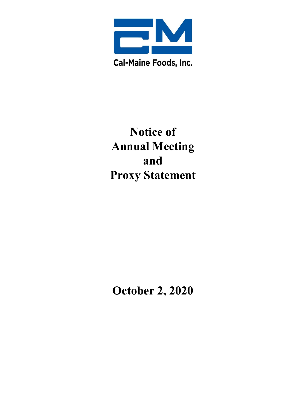

**Notice of Annual Meeting and Proxy Statement**

**October 2, 2020**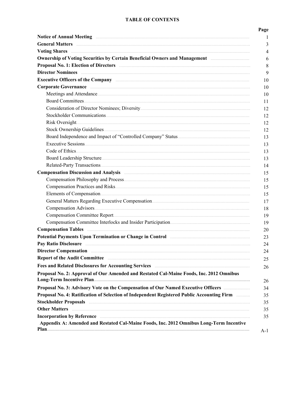# **TABLE OF CONTENTS**

| General Matters <b>Matters and State Contract Contract Contract Contract Contract Contract Contract Contract Contract Contract Contract Contract Contract Contract Contract Contract Contract Contract Contract Contract Contrac</b> |  |
|--------------------------------------------------------------------------------------------------------------------------------------------------------------------------------------------------------------------------------------|--|
| Voting Shares <b>Example 2018</b> Shares <b>Example 2018</b> Shares <b>Example 2018</b> Shares <b>Example 2018</b> Shares <b>Example 2018</b>                                                                                        |  |
| Ownership of Voting Securities by Certain Beneficial Owners and Management <b>Conservation</b> Ownership of Voting Securities                                                                                                        |  |
| Proposal No. 1: Election of Directors <b>Construction</b> Construction Construction Construction Construction Construction Construction Construction Construction Construction Construction Construction Construction Construction   |  |
| Director Nominees <b>Executive Constructs</b> and Theorem 2011 of the Construction of the Construction of the Construction of the Construction of the Construction of the Construction of the Construction of the Construction of t  |  |
|                                                                                                                                                                                                                                      |  |
| Corporate Governance <b>contracts</b> and contracts and contracts of the contract of the contract of the contract of the contract of the contract of the contract of the contract of the contract of the contract of the contract o  |  |
|                                                                                                                                                                                                                                      |  |
|                                                                                                                                                                                                                                      |  |
|                                                                                                                                                                                                                                      |  |
|                                                                                                                                                                                                                                      |  |
|                                                                                                                                                                                                                                      |  |
|                                                                                                                                                                                                                                      |  |
|                                                                                                                                                                                                                                      |  |
|                                                                                                                                                                                                                                      |  |
|                                                                                                                                                                                                                                      |  |
|                                                                                                                                                                                                                                      |  |
|                                                                                                                                                                                                                                      |  |
|                                                                                                                                                                                                                                      |  |
|                                                                                                                                                                                                                                      |  |
|                                                                                                                                                                                                                                      |  |
|                                                                                                                                                                                                                                      |  |
|                                                                                                                                                                                                                                      |  |
|                                                                                                                                                                                                                                      |  |
|                                                                                                                                                                                                                                      |  |
|                                                                                                                                                                                                                                      |  |
| Compensation Tables <b>Example 2018</b> 2019 12:00:00 12:00:00 12:00:00 12:00:00 12:00:00 12:00:00 12:00:00 12:00:00 12:00:00 12:00:00 12:00:00 12:00:00 12:00:00 12:00:00 12:00:00 12:00:00 12:00:00 12:00:00 12:00:00 12:00:00 12  |  |
|                                                                                                                                                                                                                                      |  |
| Pay Ratio Disclosure <b>contraction of the contract of the Contract Office</b> Pay Ratio Disclosure                                                                                                                                  |  |
|                                                                                                                                                                                                                                      |  |
| <b>Report of the Audit Committee</b>                                                                                                                                                                                                 |  |
|                                                                                                                                                                                                                                      |  |
| Proposal No. 2: Approval of Our Amended and Restated Cal-Maine Foods, Inc. 2012 Omnibus                                                                                                                                              |  |
| Proposal No. 3: Advisory Vote on the Compensation of Our Named Executive Officers                                                                                                                                                    |  |
| Proposal No. 4: Ratification of Selection of Independent Registered Public Accounting Firm <b>Election</b>                                                                                                                           |  |
| Stockholder Proposals <b>Manual Communisties</b> and the state of the state of the state of the state of the state of the state of the state of the state of the state of the state of the state of the state of the state of the s  |  |
| <b>Other Matters</b>                                                                                                                                                                                                                 |  |
| Incorporation by Reference <i>manufacture in the contract of the set of the set of the set of the set of the set of</i>                                                                                                              |  |
| Appendix A: Amended and Restated Cal-Maine Foods, Inc. 2012 Omnibus Long-Term Incentive                                                                                                                                              |  |
|                                                                                                                                                                                                                                      |  |

### Page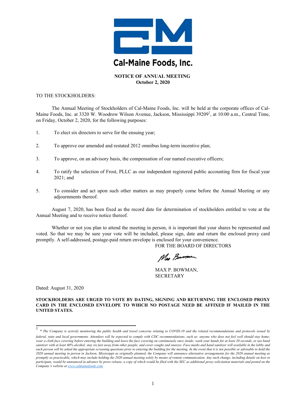

# **NOTICE OF ANNUAL MEETING October 2, 2020**

### TO THE STOCKHOLDERS:

The Annual Meeting of Stockholders of Cal-Maine Foods, Inc. will be held at the corporate offices of Cal-Maine Foods, Inc. at 3320 W. Woodrow Wilson Avenue, Jackson, Mississippi 39209<sup>1</sup>, at 10:00 a.m., Central Time, on Friday, October 2, 2020, for the following purposes:

- 1. To elect six directors to serve for the ensuing year;
- 2. To approve our amended and restated 2012 omnibus long-term incentive plan;
- 3. To approve, on an advisory basis, the compensation of our named executive officers;
- 4. To ratify the selection of Frost, PLLC as our independent registered public accounting firm for fiscal year 2021; and
- 5. To consider and act upon such other matters as may properly come before the Annual Meeting or any adjournments thereof.

August 7, 2020, has been fixed as the record date for determination of stockholders entitled to vote at the Annual Meeting and to receive notice thereof.

Whether or not you plan to attend the meeting in person, it is important that your shares be represented and voted. So that we may be sure your vote will be included, please sign, date and return the enclosed proxy card promptly. A self-addressed, postage-paid return envelope is enclosed for your convenience.

FOR THE BOARD OF DIRECTORS

May Bournau

MAX P. BOWMAN, **SECRETARY** 

Dated: August 31, 2020

1

**STOCKHOLDERS ARE URGED TO VOTE BY DATING, SIGNING AND RETURNING THE ENCLOSED PROXY CARD IN THE ENCLOSED ENVELOPE TO WHICH NO POSTAGE NEED BE AFFIXED IF MAILED IN THE UNITED STATES.** 

*<sup>\*</sup> The Company is actively monitoring the public health and travel concerns relating to COVID-19 and the related recommendations and protocols issued by*  federal, state and local governments. Attendees will be expected to comply with CDC recommendations, such as: anyone who does not feel well should stay home; *wear a cloth face covering before entering the building and leave the face covering on continuously once inside; wash your hands for at least 20 seconds, or use hand*  sanitizer with at least 60% alcohol; stay six feet away from other people; and cover coughs and sneezes. Face masks and hand sanitizer will available in the lobby and each person will be asked the appropriate screening questions prior to entering the building for the meeting. In the event that it is not possible or advisable to hold the *2020 annual meeting in person in Jackson, Mississippi as originally planned, the Company will announce alternative arrangements for the 2020 annual meeting as promptly as practicable, which may include holding the 2020 annual meeting solely by means of remote communication. Any such change, including details on how to participate, would be announced in advance by press release, a copy of which would be filed with the SEC as additional proxy solicitation materials and posted on the*  $\overline{\phantom{a}}$ *Company's website at [www.calmainefoods.com.](http://www.calmainefoods.com)*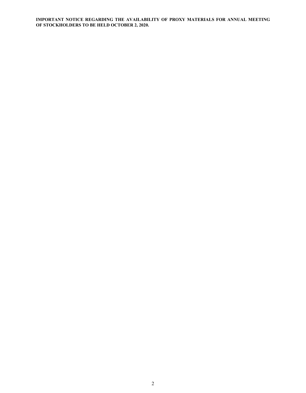**IMPORTANT NOTICE REGARDING THE AVAILABILITY OF PROXY MATERIALS FOR ANNUAL MEETING OF STOCKHOLDERS TO BE HELD OCTOBER 2, 2020.**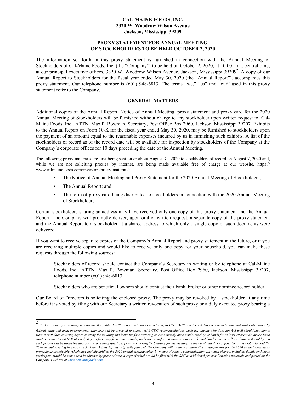# **CAL-MAINE FOODS, INC. 3320 W. Woodrow Wilson Avenue Jackson, Mississippi 39209**

### **PROXY STATEMENT FOR ANNUAL MEETING OF STOCKHOLDERS TO BE HELD OCTOBER 2, 2020**

The information set forth in this proxy statement is furnished in connection with the Annual Meeting of Stockholders of Cal-Maine Foods, Inc. (the "Company") to be held on October 2, 2020, at 10:00 a.m., central time, at our principal executive offices, 3320 W. Woodrow Wilson Avenue, Jackson, Mississippi 39209<sup>2</sup>. A copy of our Annual Report to Stockholders for the fiscal year ended May 30, 2020 (the "Annual Report"), accompanies this proxy statement. Our telephone number is (601) 948-6813. The terms "we," "us" and "our" used in this proxy statement refer to the Company.

#### **GENERAL MATTERS**

Additional copies of the Annual Report, Notice of Annual Meeting, proxy statement and proxy card for the 2020 Annual Meeting of Stockholders will be furnished without charge to any stockholder upon written request to: Cal-Maine Foods, Inc., ATTN: Max P. Bowman, Secretary, Post Office Box 2960, Jackson, Mississippi 39207. Exhibits to the Annual Report on Form 10-K for the fiscal year ended May 30, 2020, may be furnished to stockholders upon the payment of an amount equal to the reasonable expenses incurred by us in furnishing such exhibits. A list of the stockholders of record as of the record date will be available for inspection by stockholders of the Company at the Company's corporate offices for 10 days preceding the date of the Annual Meeting.

The following proxy materials are first being sent on or about August 31, 2020 to stockholders of record on August 7, 2020 and, while we are not soliciting proxies by internet, are being made available free of charge at our website, https:// www.calmainefoods.com/investors/proxy-material/:

- The Notice of Annual Meeting and Proxy Statement for the 2020 Annual Meeting of Stockholders;
- The Annual Report; and
- The form of proxy card being distributed to stockholders in connection with the 2020 Annual Meeting of Stockholders.

Certain stockholders sharing an address may have received only one copy of this proxy statement and the Annual Report. The Company will promptly deliver, upon oral or written request, a separate copy of the proxy statement and the Annual Report to a stockholder at a shared address to which only a single copy of such documents were delivered.

If you want to receive separate copies of the Company's Annual Report and proxy statement in the future, or if you are receiving multiple copies and would like to receive only one copy for your household, you can make these requests through the following sources:

Stockholders of record should contact the Company's Secretary in writing or by telephone at Cal-Maine Foods, Inc., ATTN: Max P. Bowman, Secretary, Post Office Box 2960, Jackson, Mississippi 39207, telephone number (601) 948-6813.

Stockholders who are beneficial owners should contact their bank, broker or other nominee record holder.

Our Board of Directors is soliciting the enclosed proxy. The proxy may be revoked by a stockholder at any time before it is voted by filing with our Secretary a written revocation of such proxy or a duly executed proxy bearing a

<sup>2</sup> *\* The Company is actively monitoring the public health and travel concerns relating to COVID-19 and the related recommendations and protocols issued by federal, state and local governments. Attendees will be expected to comply with CDC recommendations, such as: anyone who does not feel well should stay home;*  wear a cloth face covering before entering the building and leave the face covering on continuously once inside; wash your hands for at least 20 seconds, or use hand *sanitizer with at least 60% alcohol; stay six feet away from other people; and cover coughs and sneezes. Face masks and hand sanitizer will available in the lobby and*  each person will be asked the appropriate screening questions prior to entering the building for the meeting. In the event that it is not possible or advisable to hold the *2020 annual meeting in person in Jackson, Mississippi as originally planned, the Company will announce alternative arrangements for the 2020 annual meeting as promptly as practicable, which may include holding the 2020 annual meeting solely by means of remote communication. Any such change, including details on how to*  participate, would be announced in advance by press release, a copy of which would be filed with the SEC as additional proxy solicitation materials and posted on the *Company's website at [www.calmainefoods.com.](http://www.calmainefoods.com)*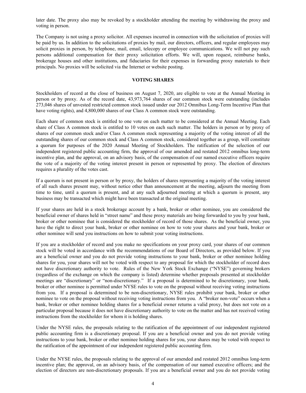later date. The proxy also may be revoked by a stockholder attending the meeting by withdrawing the proxy and voting in person.

The Company is not using a proxy solicitor. All expenses incurred in connection with the solicitation of proxies will be paid by us. In addition to the solicitations of proxies by mail, our directors, officers, and regular employees may solicit proxies in person, by telephone, mail, email, telecopy or employee communications. We will not pay such persons additional compensation for their proxy solicitation efforts. We will, upon request, reimburse banks, brokerage houses and other institutions, and fiduciaries for their expenses in forwarding proxy materials to their principals. No proxies will be solicited via the Internet or website posting.

### **VOTING SHARES**

Stockholders of record at the close of business on August 7, 2020, are eligible to vote at the Annual Meeting in person or by proxy. As of the record date, 43,973,764 shares of our common stock were outstanding (includes 273,046 shares of unvested restricted common stock issued under our 2012 Omnibus Long-Term Incentive Plan that have voting rights), and 4,800,000 shares of our Class A common stock were outstanding.

Each share of common stock is entitled to one vote on each matter to be considered at the Annual Meeting. Each share of Class A common stock is entitled to 10 votes on each such matter. The holders in person or by proxy of shares of our common stock and/or Class A common stock representing a majority of the voting interest of all the outstanding shares of our common stock and Class A common stock, considered together as a group, will constitute a quorum for purposes of the 2020 Annual Meeting of Stockholders. The ratification of the selection of our independent registered public accounting firm, the approval of our amended and restated 2012 omnibus long-term incentive plan, and the approval, on an advisory basis, of the compensation of our named executive officers require the vote of a majority of the voting interest present in person or represented by proxy. The election of directors requires a plurality of the votes cast.

If a quorum is not present in person or by proxy, the holders of shares representing a majority of the voting interest of all such shares present may, without notice other than announcement at the meeting, adjourn the meeting from time to time, until a quorum is present, and at any such adjourned meeting at which a quorum is present, any business may be transacted which might have been transacted at the original meeting.

If your shares are held in a stock brokerage account by a bank, broker or other nominee, you are considered the beneficial owner of shares held in "street name" and these proxy materials are being forwarded to you by your bank, broker or other nominee that is considered the stockholder of record of those shares. As the beneficial owner, you have the right to direct your bank, broker or other nominee on how to vote your shares and your bank, broker or other nominee will send you instructions on how to submit your voting instructions.

If you are a stockholder of record and you make no specifications on your proxy card, your shares of our common stock will be voted in accordance with the recommendations of our Board of Directors, as provided below. If you are a beneficial owner and you do not provide voting instructions to your bank, broker or other nominee holding shares for you, your shares will not be voted with respect to any proposal for which the stockholder of record does not have discretionary authority to vote. Rules of the New York Stock Exchange ("NYSE") governing brokers (regardless of the exchange on which the company is listed) determine whether proposals presented at stockholder meetings are "discretionary" or "non-discretionary." If a proposal is determined to be discretionary, your bank, broker or other nominee is permitted under NYSE rules to vote on the proposal without receiving voting instructions from you. If a proposal is determined to be non-discretionary, NYSE rules prohibit your bank, broker or other nominee to vote on the proposal without receiving voting instructions from you. A "broker non-vote" occurs when a bank, broker or other nominee holding shares for a beneficial owner returns a valid proxy, but does not vote on a particular proposal because it does not have discretionary authority to vote on the matter and has not received voting instructions from the stockholder for whom it is holding shares.

Under the NYSE rules, the proposals relating to the ratification of the appointment of our independent registered public accounting firm is a discretionary proposal. If you are a beneficial owner and you do not provide voting instructions to your bank, broker or other nominee holding shares for you, your shares may be voted with respect to the ratification of the appointment of our independent registered public accounting firm.

Under the NYSE rules, the proposals relating to the approval of our amended and restated 2012 omnibus long-term incentive plan; the approval, on an advisory basis, of the compensation of our named executive officers; and the election of directors are non-discretionary proposals. If you are a beneficial owner and you do not provide voting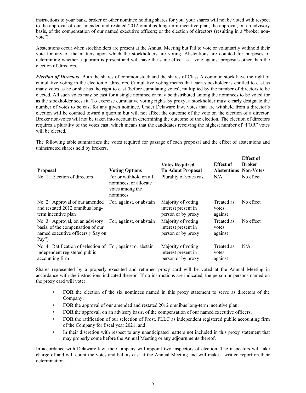instructions to your bank, broker or other nominee holding shares for you, your shares will not be voted with respect to the approval of our amended and restated 2012 omnibus long-term incentive plan; the approval, on an advisory basis, of the compensation of our named executive officers; or the election of directors (resulting in a "broker nonvote").

Abstentions occur when stockholders are present at the Annual Meeting but fail to vote or voluntarily withhold their vote for any of the matters upon which the stockholders are voting. Abstentions are counted for purposes of determining whether a quorum is present and will have the same effect as a vote against proposals other than the election of directors.

*Election of Directors*. Both the shares of common stock and the shares of Class A common stock have the right of cumulative voting in the election of directors. Cumulative voting means that each stockholder is entitled to cast as many votes as he or she has the right to cast (before cumulating votes), multiplied by the number of directors to be elected. All such votes may be cast for a single nominee or may be distributed among the nominees to be voted for as the stockholder sees fit. To exercise cumulative voting rights by proxy, a stockholder must clearly designate the number of votes to be cast for any given nominee. Under Delaware law, votes that are withheld from a director's election will be counted toward a quorum but will not affect the outcome of the vote on the election of a director. Broker non-votes will not be taken into account in determining the outcome of the election. The election of directors requires a plurality of the votes cast, which means that the candidates receiving the highest number of "FOR" votes will be elected.

The following table summarizes the votes required for passage of each proposal and the effect of abstentions and uninstructed shares held by brokers.

|                                                                                                                       |                                                                                | <b>Votes Required</b>                                           | <b>Effect of</b>               | <b>Effect</b> of<br><b>Broker</b> |
|-----------------------------------------------------------------------------------------------------------------------|--------------------------------------------------------------------------------|-----------------------------------------------------------------|--------------------------------|-----------------------------------|
| <b>Proposal</b>                                                                                                       | <b>Voting Options</b>                                                          | <b>To Adopt Proposal</b>                                        | <b>Abstentions Non-Votes</b>   |                                   |
| No. 1: Election of directors                                                                                          | For or withhold on all<br>nominees, or allocate<br>votes among the<br>nominees | Plurality of votes cast                                         | N/A                            | No effect                         |
| No. 2: Approval of our amended<br>and restated 2012 omnibus long-<br>term incentive plan                              | For, against, or abstain                                                       | Majority of voting<br>interest present in<br>person or by proxy | Treated as<br>votes<br>against | No effect                         |
| No. 3: Approval, on an advisory<br>basis, of the compensation of our<br>named executive officers ("Say on<br>$Pay$ ") | For, against, or abstain                                                       | Majority of voting<br>interest present in<br>person or by proxy | Treated as<br>votes<br>against | No effect                         |
| No. 4: Ratification of selection of For, against or abstain<br>independent registered public<br>accounting firm       |                                                                                | Majority of voting<br>interest present in<br>person or by proxy | Treated as<br>votes<br>against | N/A                               |

Shares represented by a properly executed and returned proxy card will be voted at the Annual Meeting in accordance with the instructions indicated thereon. If no instructions are indicated, the person or persons named on the proxy card will vote:

- ∙ **FOR** the election of the six nominees named in this proxy statement to serve as directors of the Company;
- ∙ **FOR** the approval of our amended and restated 2012 omnibus long-term incentive plan;
- **FOR** the approval, on an advisory basis, of the compensation of our named executive officers;
- ∙ **FOR** the ratification of our selection of Frost, PLLC as independent registered public accounting firm of the Company for fiscal year 2021; and
- ∙ In their discretion with respect to any unanticipated matters not included in this proxy statement that may properly come before the Annual Meeting or any adjournments thereof.

In accordance with Delaware law, the Company will appoint two inspectors of election. The inspectors will take charge of and will count the votes and ballots cast at the Annual Meeting and will make a written report on their determination.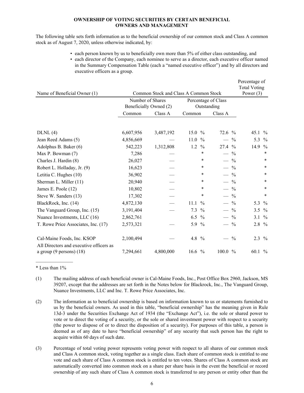### **OWNERSHIP OF VOTING SECURITIES BY CERTAIN BENEFICIAL OWNERS AND MANAGEMENT**

The following table sets forth information as to the beneficial ownership of our common stock and Class A common stock as of August 7, 2020, unless otherwise indicated, by:

- each person known by us to beneficially own more than 5% of either class outstanding, and
- each director of the Company, each nominee to serve as a director, each executive officer named in the Summary Compensation Table (each a "named executive officer") and by all directors and executive officers as a group.

| Name of Beneficial Owner (1)                                          |           | Common Stock and Class A Common Stock      |                                    |                          |               | Percentage of<br><b>Total Voting</b><br>Power $(3)$ |               |
|-----------------------------------------------------------------------|-----------|--------------------------------------------|------------------------------------|--------------------------|---------------|-----------------------------------------------------|---------------|
|                                                                       |           | Number of Shares<br>Beneficially Owned (2) | Percentage of Class<br>Outstanding |                          |               |                                                     |               |
|                                                                       | Common    | Class A                                    | Common                             | Class A                  |               |                                                     |               |
| DLNL(4)                                                               | 6,607,956 | 3,487,192                                  | 15.0 $%$                           | 72.6 %                   |               | 45.1 $%$                                            |               |
| Jean Reed Adams (5)                                                   | 4,856,669 |                                            | 11.0<br>$\frac{0}{0}$              | $\overline{\phantom{m}}$ | $\frac{0}{0}$ | 5.3                                                 | $\frac{0}{0}$ |
| Adolphus B. Baker (6)                                                 | 542,223   | 1,312,808                                  | 1.2<br>$\frac{0}{0}$               | 27.4 %                   |               | 14.9                                                | $\frac{0}{0}$ |
| Max P. Bowman (7)                                                     | 7,286     |                                            | $\ast$                             | $-$ %                    |               |                                                     | $\ast$        |
| Charles J. Hardin (8)                                                 | 26,027    |                                            | *                                  |                          | $\frac{0}{0}$ |                                                     | $\ast$        |
| Robert L. Holladay, Jr. (9)                                           | 16,623    |                                            | $\ast$                             | $\frac{1}{2}$            | $\frac{0}{0}$ |                                                     | $\ast$        |
| Letitia C. Hughes (10)                                                | 36,902    |                                            | $\ast$                             | $-$ %                    |               |                                                     | $\ast$        |
| Sherman L. Miller (11)                                                | 20,940    |                                            | *                                  | $-$ %                    |               |                                                     | *             |
| James E. Poole (12)                                                   | 10,802    |                                            | *                                  | $-$ %                    |               |                                                     | $\ast$        |
| Steve W. Sanders (13)                                                 | 17,302    |                                            | $\ast$                             | $-$ %                    |               |                                                     | $\ast$        |
| BlackRock, Inc. (14)                                                  | 4,872,130 |                                            | $\frac{0}{0}$<br>11.1              | $-$ %                    |               | 5.3                                                 | $\frac{0}{0}$ |
| The Vanguard Group, Inc. (15)                                         | 3,191,404 |                                            | 7.3<br>$\frac{0}{0}$               | $-$ %                    |               | 3.5 $%$                                             |               |
| Nuance Investments, LLC (16)                                          | 2,862,761 |                                            | 6.5 $%$                            | $-$ %                    |               | 3.1 $%$                                             |               |
| T. Rowe Price Associates, Inc. (17)                                   | 2,573,321 |                                            | 5.9 %                              | $-$ %                    |               | $2.8\%$                                             |               |
| Cal-Maine Foods, Inc. KSOP<br>All Directors and executive officers as | 2,100,494 |                                            | 4.8 %                              | $\hspace{0.05cm}$        | $\frac{0}{0}$ | $2.3\%$                                             |               |
| a group $(9$ persons $)(18)$                                          | 7,294,661 | 4,800,000                                  | 16.6 $%$                           | 100.0 %                  |               | 60.1 $%$                                            |               |

\* Less than 1%

- (1) The mailing address of each beneficial owner is Cal-Maine Foods, Inc., Post Office Box 2960, Jackson, MS 39207, except that the addresses are set forth in the Notes below for Blackrock, Inc., The Vanguard Group, Nuance Investments, LLC and Inc. T. Rowe Price Associates, Inc.
- (2) The information as to beneficial ownership is based on information known to us or statements furnished to us by the beneficial owners. As used in this table, "beneficial ownership" has the meaning given in Rule 13d-3 under the Securities Exchange Act of 1934 (the "Exchange Act"), i.e. the sole or shared power to vote or to direct the voting of a security, or the sole or shared investment power with respect to a security (the power to dispose of or to direct the disposition of a security). For purposes of this table, a person is deemed as of any date to have "beneficial ownership" of any security that such person has the right to acquire within 60 days of such date.
- (3) Percentage of total voting power represents voting power with respect to all shares of our common stock and Class A common stock, voting together as a single class. Each share of common stock is entitled to one vote and each share of Class A common stock is entitled to ten votes. Shares of Class A common stock are automatically converted into common stock on a share per share basis in the event the beneficial or record ownership of any such share of Class A common stock is transferred to any person or entity other than the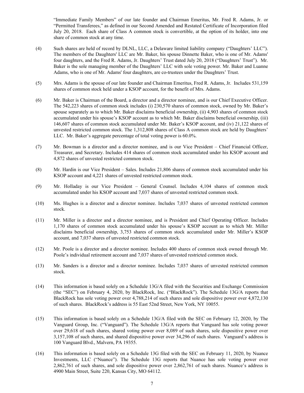"Immediate Family Members" of our late founder and Chairman Emeritus, Mr. Fred R. Adams, Jr. or "Permitted Transferees," as defined in our Second Amended and Restated Certificate of Incorporation filed July 20, 2018. Each share of Class A common stock is convertible, at the option of its holder, into one share of common stock at any time.

- (4) Such shares are held of record by DLNL, LLC, a Delaware limited liability company ("Daughters' LLC"). The members of the Daughters' LLC are Mr. Baker, his spouse Dinnette Baker, who is one of Mr. Adams' four daughters, and the Fred R. Adams, Jr. Daughters' Trust dated July 20, 2018 ("Daughters' Trust"). Mr. Baker is the sole managing member of the Daughters' LLC with sole voting power. Mr. Baker and Luanne Adams, who is one of Mr. Adams' four daughters, are co-trustees under the Daughters' Trust.
- (5) Mrs. Adams is the spouse of our late founder and Chairman Emeritus, Fred R. Adams, Jr. Includes 531,159 shares of common stock held under a KSOP account, for the benefit of Mrs. Adams.
- (6) Mr. Baker is Chairman of the Board, a director and a director nominee, and is our Chief Executive Officer. The 542,223 shares of common stock includes (i) 230,570 shares of common stock, owned by Mr. Baker's spouse separately as to which Mr. Baker disclaims beneficial ownership, (ii) 4,903 shares of common stock accumulated under his spouse's KSOP account as to which Mr. Baker disclaims beneficial ownership, (iii) 146,607 shares of common stock accumulated under Mr. Baker's KSOP account, and (iv) 21,122 shares of unvested restricted common stock. The 1,312,808 shares of Class A common stock are held by Daughters' LLC. Mr. Baker's aggregate percentage of total voting power is 60.0%.
- (7) Mr. Bowman is a director and a director nominee, and is our Vice President Chief Financial Officer, Treasurer, and Secretary. Includes 414 shares of common stock accumulated under his KSOP account and 4,872 shares of unvested restricted common stock.
- (8) Mr. Hardin is our Vice President Sales. Includes 21,806 shares of common stock accumulated under his KSOP account and 4,221 shares of unvested restricted common stock.
- (9) Mr. Holladay is our Vice President General Counsel. Includes 4,104 shares of common stock accumulated under his KSOP account and 7,037 shares of unvested restricted common stock.
- (10) Ms. Hughes is a director and a director nominee. Includes 7,037 shares of unvested restricted common stock.
- (11) Mr. Miller is a director and a director nominee, and is President and Chief Operating Officer. Includes 1,170 shares of common stock accumulated under his spouse's KSOP account as to which Mr. Miller disclaims beneficial ownership, 3,753 shares of common stock accumulated under Mr. Miller's KSOP account, and 7,037 shares of unvested restricted common stock.
- (12) Mr. Poole is a director and a director nominee. Includes 400 shares of common stock owned through Mr. Poole's individual retirement account and 7,037 shares of unvested restricted common stock.
- (13) Mr. Sanders is a director and a director nominee. Includes 7,037 shares of unvested restricted common stock.
- (14) This information is based solely on a Schedule 13G/A filed with the Securities and Exchange Commission (the "SEC") on February 4, 2020, by BlackRock, Inc. ("BlackRock"). The Schedule 13G/A reports that BlackRock has sole voting power over 4,788,214 of such shares and sole dispositive power over 4,872,130 of such shares. BlackRock's address is 55 East 52nd Street, New York, NY 10055.
- (15) This information is based solely on a Schedule 13G/A filed with the SEC on February 12, 2020, by The Vanguard Group, Inc. ("Vanguard"). The Schedule 13G/A reports that Vanguard has sole voting power over 29,618 of such shares, shared voting power over 8,089 of such shares, sole dispositive power over 3,157,108 of such shares, and shared dispositive power over 34,296 of such shares. Vanguard's address is 100 Vanguard Blvd., Malvern, PA 19355.
- (16) This information is based solely on a Schedule 13G filed with the SEC on February 11, 2020, by Nuance Investments, LLC ("Nuance"). The Schedule 13G reports that Nuance has sole voting power over 2,862,761 of such shares, and sole dispositive power over 2,862,761 of such shares. Nuance's address is 4900 Main Street, Suite 220, Kansas City, MO 64112.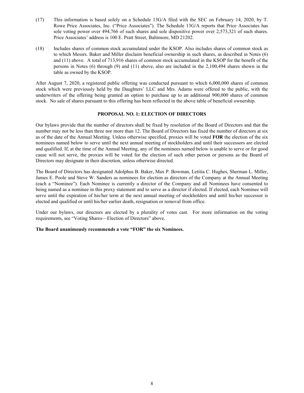- (17) This information is based solely on a Schedule 13G/A filed with the SEC on February 14, 2020, by T. Rowe Price Associates, Inc. ("Price Associates"). The Schedule 13G/A reports that Price Associates has sole voting power over 494,766 of such shares and sole dispositive power over 2,573,321 of such shares. Price Associates' address is 100 E. Pratt Street, Baltimore, MD 21202.
- (18) Includes shares of common stock accumulated under the KSOP. Also includes shares of common stock as to which Messrs. Baker and Miller disclaim beneficial ownership in such shares, as described in Notes (6) and (11) above. A total of 713,916 shares of common stock accumulated in the KSOP for the benefit of the persons in Notes (6) through (9) and (11) above, also are included in the 2,100,494 shares shown in the table as owned by the KSOP.

After August 7, 2020, a registered public offering was conducted pursuant to which 6,000,000 shares of common stock which were previously held by the Daughters' LLC and Mrs. Adams were offered to the public, with the underwriters of the offering being granted an option to purchase up to an additional 900,000 shares of common stock. No sale of shares pursuant to this offering has been reflected in the above table of beneficial ownership.

### **PROPOSAL NO. 1: ELECTION OF DIRECTORS**

Our bylaws provide that the number of directors shall be fixed by resolution of the Board of Directors and that the number may not be less than three nor more than 12. The Board of Directors has fixed the number of directors at six as of the date of the Annual Meeting. Unless otherwise specified, proxies will be voted **FOR** the election of the six nominees named below to serve until the next annual meeting of stockholders and until their successors are elected and qualified. If, at the time of the Annual Meeting, any of the nominees named below is unable to serve or for good cause will not serve, the proxies will be voted for the election of such other person or persons as the Board of Directors may designate in their discretion, unless otherwise directed.

The Board of Directors has designated Adolphus B. Baker, Max P. Bowman, Letitia C. Hughes, Sherman L. Miller, James E. Poole and Steve W. Sanders as nominees for election as directors of the Company at the Annual Meeting (each a "Nominee"). Each Nominee is currently a director of the Company and all Nominees have consented to being named as a nominee in this proxy statement and to serve as a director if elected. If elected, each Nominee will serve until the expiration of his/her term at the next annual meeting of stockholders and until his/her successor is elected and qualified or until his/her earlier death, resignation or removal from office.

Under our bylaws, our directors are elected by a plurality of votes cast. For more information on the voting requirements, see "Voting Shares—Election of Directors" above.

# **The Board unanimously recommends a vote "FOR" the six Nominees.**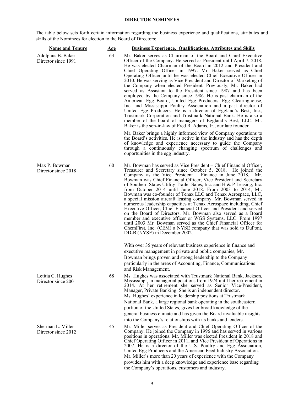### **DIRECTOR NOMINEES**

The table below sets forth certain information regarding the business experience and qualifications, attributes and skills of the Nominees for election to the Board of Directors:

| <b>Name and Tenure</b>                   | <u>Age</u> | <b>Business Experience, Qualifications, Attributes and Skills</b>                                                                                                                                                                                                                                                                                                                                                                                                                                                                                                                                                                                                                                                                                                                                                                                                                                                                                                                                                               |
|------------------------------------------|------------|---------------------------------------------------------------------------------------------------------------------------------------------------------------------------------------------------------------------------------------------------------------------------------------------------------------------------------------------------------------------------------------------------------------------------------------------------------------------------------------------------------------------------------------------------------------------------------------------------------------------------------------------------------------------------------------------------------------------------------------------------------------------------------------------------------------------------------------------------------------------------------------------------------------------------------------------------------------------------------------------------------------------------------|
| Adolphus B. Baker<br>Director since 1991 | 63         | Mr. Baker serves as Chairman of the Board and Chief Executive<br>Officer of the Company. He served as President until April 7, 2018.<br>He was elected Chairman of the Board in 2012 and President and<br>Chief Operating Officer in 1997. Mr. Baker served as Chief<br>Operating Officer until he was elected Chief Executive Officer in<br>2010. He was serving as Vice President and Director of Marketing of<br>the Company when elected President. Previously, Mr. Baker had<br>served as Assistant to the President since 1987 and has been<br>employed by the Company since 1986. He is past chairman of the<br>American Egg Board, United Egg Producers, Egg Clearinghouse,<br>Inc. and Mississippi Poultry Association and a past director of<br>United Egg Producers. He is a director of Eggland's Best, Inc.,<br>Trustmark Corporation and Trustmark National Bank. He is also a<br>member of the board of managers of Eggland's Best, LLC. Mr.<br>Baker is the son-in-law of Fred R. Adams, Jr., our late founder. |
|                                          |            | Mr. Baker brings a highly informed view of Company operations to<br>the Board's activities. He is active in the industry and has the depth<br>of knowledge and experience necessary to guide the Company<br>through a continuously changing spectrum of challenges and<br>opportunities in the egg industry.                                                                                                                                                                                                                                                                                                                                                                                                                                                                                                                                                                                                                                                                                                                    |
| Max P. Bowman<br>Director since 2018     | 60         | Mr. Bowman has served as Vice President – Chief Financial Officer,<br>Treasurer and Secretary since October 5, 2018. He joined the<br>Company as the Vice President $-$ Finance in June 2018.<br>Mr.<br>Bowman was Chief Financial Officer, Vice President and Secretary<br>of Southern States Utility Trailer Sales, Inc. and H & P Leasing, Inc.<br>from October 2014 until June 2018. From 2003 to 2014, Mr.<br>Bowman was co-founder of Tenax LLC and Tenax Aerospace, LLC,<br>a special mission aircraft leasing company. Mr. Bowman served in<br>numerous leadership capacities at Tenax Aerospace including, Chief<br>Executive Officer, Chief Financial Officer and President and served<br>on the Board of Directors. Mr. Bowman also served as a Board<br>member and executive officer or WGS Systems, LLC. From 1997<br>until 2003 Mr. Bowman served as the Chief Financial Officer for<br>ChemFirst, Inc. (CEM) a NYSE company that was sold to DuPont,<br>DD-B (NYSE) in December 2002.                            |
|                                          |            | With over 35 years of relevant business experience in finance and<br>executive management in private and public companies, Mr.<br>Bowman brings proven and strong leadership to the Company<br>particularly in the areas of Accounting, Finance, Communications                                                                                                                                                                                                                                                                                                                                                                                                                                                                                                                                                                                                                                                                                                                                                                 |
| Letitia C. Hughes<br>Director since 2001 | 68         | and Risk Management.<br>Ms. Hughes was associated with Trustmark National Bank, Jackson,<br>Mississippi, in managerial positions from 1974 until her retirement in<br>2014. At her retirement she served as Senior Vice-President,<br>Manager, Private Banking. She is an independent director.<br>Ms. Hughes' experience in leadership positions at Trustmark<br>National Bank, a large regional bank operating in the southeastern<br>portion of the United States, gives her broad knowledge of the<br>general business climate and has given the Board invaluable insights<br>into the Company's relationships with its banks and lenders.                                                                                                                                                                                                                                                                                                                                                                                  |
| Sherman L. Miller<br>Director since 2012 | 45         | Mr. Miller serves as President and Chief Operating Officer of the<br>Company. He joined the Company in 1996 and has served in various<br>positions in operations. Mr. Miller was elected President in 2018 and<br>Chief Operating Officer in 2011, and Vice President of Operations in<br>2007. He is a director of the U.S. Poultry and Egg Association,<br>United Egg Producers and the American Feed Industry Association.<br>Mr. Miller's more than 20 years of experience with the Company<br>provides him with a deep knowledge and experience base regarding                                                                                                                                                                                                                                                                                                                                                                                                                                                             |

the Company's operations, customers and industry.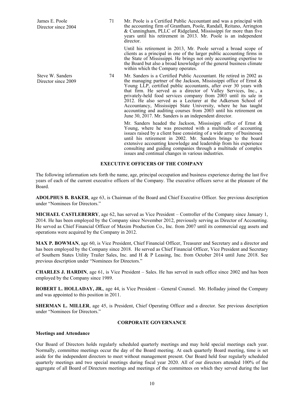| James E. Poole<br>Director since 2004   | 71 | Mr. Poole is a Certified Public Accountant and was a principal with<br>the accounting firm of Grantham, Poole, Randall, Reitano, Arrington<br>& Cunningham, PLLC of Ridgeland, Mississippi for more than five<br>years until his retirement in 2013. Mr. Poole is an independent<br>director.                                                                                                                                                                                                                                                                                                                            |
|-----------------------------------------|----|--------------------------------------------------------------------------------------------------------------------------------------------------------------------------------------------------------------------------------------------------------------------------------------------------------------------------------------------------------------------------------------------------------------------------------------------------------------------------------------------------------------------------------------------------------------------------------------------------------------------------|
|                                         |    | Until his retirement in 2013, Mr. Poole served a broad scope of<br>clients as a principal in one of the larger public accounting firms in<br>the State of Mississippi. He brings not only accounting expertise to<br>the Board but also a broad knowledge of the general business climate<br>within which the Company operates.                                                                                                                                                                                                                                                                                          |
| Steve W. Sanders<br>Director since 2009 | 74 | Mr. Sanders is a Certified Public Accountant. He retired in 2002 as<br>the managing partner of the Jackson, Mississippi office of Ernst $\&$<br>Young LLP, certified public accountants, after over 30 years with<br>that firm. He served as a director of Valley Services, Inc., a<br>privately-held food services company from 2003 until its sale in<br>2012. He also served as a Lecturer at the Adkerson School of<br>Accountancy, Mississippi State University, where he has taught<br>accounting and auditing courses from 2003 until his retirement on<br>June 30, 2017. Mr. Sanders is an independent director. |
|                                         |    | Mr. Sanders headed the Jackson, Mississippi office of Ernst $\&$<br>Young, where he was presented with a multitude of accounting<br>issues raised by a client base consisting of a wide array of businesses<br>until his retirement in 2002. Mr. Sanders brings to the board<br>extensive accounting knowledge and leadership from his experience<br>consulting and guiding companies through a multitude of complex<br>issues and continual changes in various industries.                                                                                                                                              |

### **EXECUTIVE OFFICERS OF THE COMPANY**

The following information sets forth the name, age, principal occupation and business experience during the last five years of each of the current executive officers of the Company. The executive officers serve at the pleasure of the Board.

**ADOLPHUS B. BAKER**, age 63, is Chairman of the Board and Chief Executive Officer. See previous description under "Nominees for Directors."

**MICHAEL CASTLEBERRY**, age 62, has served as Vice President – Controller of the Company since January 1, 2014. He has been employed by the Company since November 2012, previously serving as Director of Accounting. He served as Chief Financial Officer of Maxim Production Co., Inc. from 2007 until its commercial egg assets and operations were acquired by the Company in 2012.

**MAX P. BOWMAN**, age 60, is Vice President, Chief Financial Officer, Treasurer and Secretary and a director and has been employed by the Company since 2018. He served as Chief Financial Officer, Vice President and Secretary of Southern States Utility Trailer Sales, Inc. and H & P Leasing, Inc. from October 2014 until June 2018. See previous description under "Nominees for Directors."

**CHARLES J. HARDIN**, age 61, is Vice President – Sales. He has served in such office since 2002 and has been employed by the Company since 1989.

**ROBERT L. HOLLADAY, JR.**, age 44, is Vice President – General Counsel. Mr. Holladay joined the Company and was appointed to this position in 2011.

**SHERMAN L. MILLER**, age 45, is President, Chief Operating Officer and a director. See previous description under "Nominees for Directors."

### **CORPORATE GOVERNANCE**

#### **Meetings and Attendance**

Our Board of Directors holds regularly scheduled quarterly meetings and may hold special meetings each year. Normally, committee meetings occur the day of the Board meeting. At each quarterly Board meeting, time is set aside for the independent directors to meet without management present. Our Board held four regularly scheduled quarterly meetings and two special meetings during fiscal year 2020. All of our directors attended 100% of the aggregate of all Board of Directors meetings and meetings of the committees on which they served during the last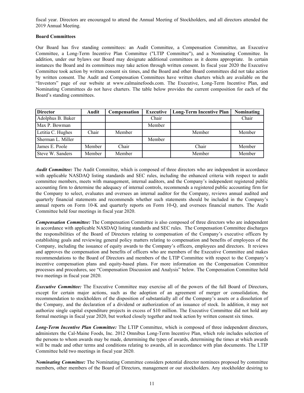fiscal year. Directors are encouraged to attend the Annual Meeting of Stockholders, and all directors attended the 2019 Annual Meeting.

### **Board Committees**

Our Board has five standing committees: an Audit Committee, a Compensation Committee, an Executive Committee, a Long-Term Incentive Plan Committee ("LTIP Committee"), and a Nominating Committee. In addition, under our bylaws our Board may designate additional committees as it deems appropriate. In certain instances the Board and its committees may take action through written consent. In fiscal year 2020 the Executive Committee took action by written consent six times, and the Board and other Board committees did not take action by written consent. The Audit and Compensation Committees have written charters which are available on the "Investors" page of our website at www.calmainefoods.com. The Executive, Long-Term Incentive Plan, and Nominating Committees do not have charters. The table below provides the current composition for each of the Board's standing committees.

| <b>Director</b>   | Audit  | Compensation | <b>Executive</b> | <b>Long-Term Incentive Plan</b> | Nominating |
|-------------------|--------|--------------|------------------|---------------------------------|------------|
| Adolphus B. Baker |        |              | Chair            |                                 | Chair      |
| Max P. Bowman     |        |              | Member           |                                 |            |
| Letitia C. Hughes | Chair  | Member       |                  | Member                          | Member     |
| Sherman L. Miller |        |              | Member           |                                 |            |
| James E. Poole    | Member | Chair        |                  | Chair                           | Member     |
| Steve W. Sanders  | Member | Member       |                  | Member                          | Member     |

*Audit Committee:* The Audit Committee, which is composed of three directors who are independent in accordance with applicable NASDAQ listing standards and SEC rules, including the enhanced criteria with respect to audit committee members, meets with management, internal auditors, and the Company's independent registered public accounting firm to determine the adequacy of internal controls, recommends a registered public accounting firm for the Company to select, evaluates and oversees an internal auditor for the Company, reviews annual audited and quarterly financial statements and recommends whether such statements should be included in the Company's annual reports on Form 10-K and quarterly reports on Form 10-Q, and oversees financial matters. The Audit Committee held four meetings in fiscal year 2020.

*Compensation Committee:* The Compensation Committee is also composed of three directors who are independent in accordance with applicable NASDAQ listing standards and SEC rules. The Compensation Committee discharges the responsibilities of the Board of Directors relating to compensation of the Company's executive officers by establishing goals and reviewing general policy matters relating to compensation and benefits of employees of the Company, including the issuance of equity awards to the Company's officers, employees and directors. It reviews and approves the compensation and benefits of officers who are members of the Executive Committee and makes recommendations to the Board of Directors and members of the LTIP Committee with respect to the Company's incentive compensation plans and equity-based plans. For more information on the Compensation Committee processes and procedures, see "Compensation Discussion and Analysis" below. The Compensation Committee held two meetings in fiscal year 2020.

*Executive Committee:* The Executive Committee may exercise all of the powers of the full Board of Directors, except for certain major actions, such as the adoption of an agreement of merger or consolidation, the recommendation to stockholders of the disposition of substantially all of the Company's assets or a dissolution of the Company, and the declaration of a dividend or authorization of an issuance of stock. In addition, it may not authorize single capital expenditure projects in excess of \$10 million. The Executive Committee did not hold any formal meetings in fiscal year 2020, but worked closely together and took action by written consent six times.

*Long-Term Incentive Plan Committee:* The LTIP Committee, which is composed of three independent directors, administers the Cal-Maine Foods, Inc. 2012 Omnibus Long-Term Incentive Plan, which role includes selection of the persons to whom awards may be made, determining the types of awards, determining the times at which awards will be made and other terms and conditions relating to awards, all in accordance with plan documents. The LTIP Committee held two meetings in fiscal year 2020.

*Nominating Committee:* The Nominating Committee considers potential director nominees proposed by committee members, other members of the Board of Directors, management or our stockholders. Any stockholder desiring to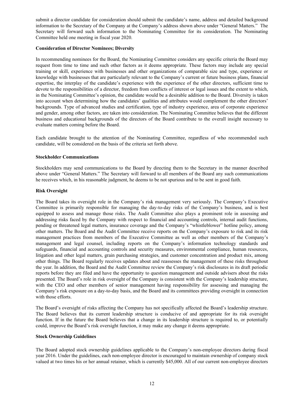submit a director candidate for consideration should submit the candidate's name, address and detailed background information to the Secretary of the Company at the Company's address shown above under "General Matters." The Secretary will forward such information to the Nominating Committee for its consideration. The Nominating Committee held one meeting in fiscal year 2020.

### **Consideration of Director Nominees; Diversity**

In recommending nominees for the Board, the Nominating Committee considers any specific criteria the Board may request from time to time and such other factors as it deems appropriate. These factors may include any special training or skill, experience with businesses and other organizations of comparable size and type, experience or knowledge with businesses that are particularly relevant to the Company's current or future business plans, financial expertise, the interplay of the candidate's experience with the experience of the other directors, sufficient time to devote to the responsibilities of a director, freedom from conflicts of interest or legal issues and the extent to which, in the Nominating Committee's opinion, the candidate would be a desirable addition to the Board. Diversity is taken into account when determining how the candidates' qualities and attributes would complement the other directors' backgrounds. Type of advanced studies and certification, type of industry experience, area of corporate experience and gender, among other factors, are taken into consideration. The Nominating Committee believes that the different business and educational backgrounds of the directors of the Board contribute to the overall insight necessary to evaluate matters coming before the Board.

Each candidate brought to the attention of the Nominating Committee, regardless of who recommended such candidate, will be considered on the basis of the criteria set forth above.

### **Stockholder Communications**

Stockholders may send communications to the Board by directing them to the Secretary in the manner described above under "General Matters." The Secretary will forward to all members of the Board any such communications he receives which, in his reasonable judgment, he deems to be not spurious and to be sent in good faith.

### **Risk Oversight**

The Board takes its oversight role in the Company's risk management very seriously. The Company's Executive Committee is primarily responsible for managing the day-to-day risks of the Company's business, and is best equipped to assess and manage those risks. The Audit Committee also plays a prominent role in assessing and addressing risks faced by the Company with respect to financial and accounting controls, internal audit functions, pending or threatened legal matters, insurance coverage and the Company's "whistleblower" hotline policy, among other matters. The Board and the Audit Committee receive reports on the Company's exposure to risk and its risk management practices from members of the Executive Committee as well as other members of the Company's management and legal counsel, including reports on the Company's information technology standards and safeguards, financial and accounting controls and security measures, environmental compliance, human resources, litigation and other legal matters, grain purchasing strategies, and customer concentration and product mix, among other things. The Board regularly receives updates about and reassesses the management of these risks throughout the year. In addition, the Board and the Audit Committee review the Company's risk disclosures in its draft periodic reports before they are filed and have the opportunity to question management and outside advisers about the risks presented. The Board's role in risk oversight of the Company is consistent with the Company's leadership structure, with the CEO and other members of senior management having responsibility for assessing and managing the Company's risk exposure on a day-to-day basis, and the Board and its committees providing oversight in connection with those efforts.

The Board's oversight of risks affecting the Company has not specifically affected the Board's leadership structure. The Board believes that its current leadership structure is conducive of and appropriate for its risk oversight function. If in the future the Board believes that a change in its leadership structure is required to, or potentially could, improve the Board's risk oversight function, it may make any change it deems appropriate.

#### **Stock Ownership Guidelines**

The Board adopted stock ownership guidelines applicable to the Company's non-employee directors during fiscal year 2016. Under the guidelines, each non-employee director is encouraged to maintain ownership of company stock valued at two times his or her annual retainer, which is currently \$45,000. All of our current non-employee directors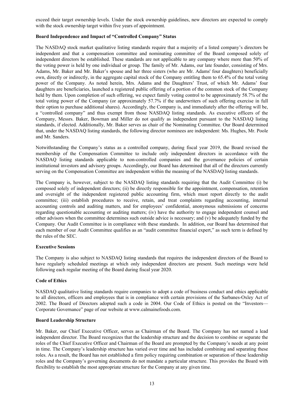exceed their target ownership levels. Under the stock ownership guidelines, new directors are expected to comply with the stock ownership target within five years of appointment.

### **Board Independence and Impact of "Controlled Company" Status**

The NASDAQ stock market qualitative listing standards require that a majority of a listed company's directors be independent and that a compensation committee and nominating committee of the Board composed solely of independent directors be established. These standards are not applicable to any company where more than 50% of the voting power is held by one individual or group. The family of Mr. Adams, our late founder, consisting of Mrs. Adams, Mr. Baker and Mr. Baker's spouse and her three sisters (who are Mr. Adams' four daughters) beneficially own, directly or indirectly, in the aggregate capital stock of the Company entitling them to 65.4% of the total voting power of the Company. As noted herein, Mrs. Adams and the Daughters' Trust, of which Mr. Adams' four daughters are beneficiaries, launched a registered public offering of a portion of the common stock of the Company held by them. Upon completion of such offering, we expect family voting control to be approximately 58.7% of the total voting power of the Company (or approximately 57.7% if the underwriters of such offering exercise in full their option to purchase additional shares). Accordingly, the Company is, and immediately after the offering will be, a "controlled company" and thus exempt from those NASDAQ listing standards. As executive officers of the Company, Messrs. Baker, Bowman and Miller do not qualify as independent pursuant to the NASDAQ listing standards, if elected. Additionally, Mr. Baker serves as chair of the Nominating Committee. Our Board determined that, under the NASDAQ listing standards, the following director nominees are independent: Ms. Hughes, Mr. Poole and Mr. Sanders.

Notwithstanding the Company's status as a controlled company, during fiscal year 2019, the Board revised the membership of the Compensation Committee to include only independent directors in accordance with the NASDAQ listing standards applicable to non-controlled companies and the governance policies of certain institutional investors and advisory groups. Accordingly, our Board has determined that all of the directors currently serving on the Compensation Committee are independent within the meaning of the NASDAQ listing standards.

The Company is, however, subject to the NASDAQ listing standards requiring that the Audit Committee (i) be composed solely of independent directors; (ii) be directly responsible for the appointment, compensation, retention and oversight of the independent registered public accounting firm, which must report directly to the audit committee; (iii) establish procedures to receive, retain, and treat complaints regarding accounting, internal accounting controls and auditing matters, and for employees' confidential, anonymous submissions of concerns regarding questionable accounting or auditing matters; (iv) have the authority to engage independent counsel and other advisors when the committee determines such outside advice is necessary; and (v) be adequately funded by the Company. Our Audit Committee is in compliance with these standards. In addition, our Board has determined that each member of our Audit Committee qualifies as an "audit committee financial expert," as such term is defined by the rules of the SEC.

#### **Executive Sessions**

The Company is also subject to NASDAQ listing standards that requires the independent directors of the Board to have regularly scheduled meetings at which only independent directors are present. Such meetings were held following each regular meeting of the Board during fiscal year 2020.

#### **Code of Ethics**

NASDAQ qualitative listing standards require companies to adopt a code of business conduct and ethics applicable to all directors, officers and employees that is in compliance with certain provisions of the Sarbanes-Oxley Act of 2002. The Board of Directors adopted such a code in 2004. Our Code of Ethics is posted on the "Investors— Corporate Governance" page of our website at www.calmainefoods.com.

#### **Board Leadership Structure**

Mr. Baker, our Chief Executive Officer, serves as Chairman of the Board. The Company has not named a lead independent director. The Board recognizes that the leadership structure and the decision to combine or separate the roles of the Chief Executive Officer and Chairman of the Board are prompted by the Company's needs at any point in time. The Company's leadership structure has varied over time and has included combining and separating these roles. As a result, the Board has not established a firm policy requiring combination or separation of these leadership roles and the Company's governing documents do not mandate a particular structure. This provides the Board with flexibility to establish the most appropriate structure for the Company at any given time.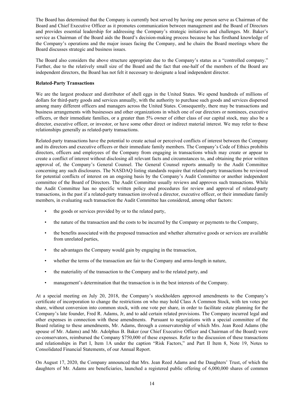The Board has determined that the Company is currently best served by having one person serve as Chairman of the Board and Chief Executive Officer as it promotes communication between management and the Board of Directors and provides essential leadership for addressing the Company's strategic initiatives and challenges. Mr. Baker's service as Chairman of the Board aids the Board's decision-making process because he has firsthand knowledge of the Company's operations and the major issues facing the Company, and he chairs the Board meetings where the Board discusses strategic and business issues.

The Board also considers the above structure appropriate due to the Company's status as a "controlled company." Further, due to the relatively small size of the Board and the fact that one-half of the members of the Board are independent directors, the Board has not felt it necessary to designate a lead independent director.

# **Related-Party Transactions**

We are the largest producer and distributor of shell eggs in the United States. We spend hundreds of millions of dollars for third-party goods and services annually, with the authority to purchase such goods and services dispersed among many different officers and managers across the United States. Consequently, there may be transactions and business arrangements with businesses and other organizations in which one of our directors or nominees, executive officers, or their immediate families, or a greater than 5% owner of either class of our capital stock, may also be a director, executive officer, or investor, or have some other direct or indirect material interest. We may refer to these relationships generally as related-party transactions.

Related-party transactions have the potential to create actual or perceived conflicts of interest between the Company and its directors and executive officers or their immediate family members. The Company's Code of Ethics prohibits directors, officers and employees of the Company from engaging in transactions which may create or appear to create a conflict of interest without disclosing all relevant facts and circumstances to, and obtaining the prior written approval of, the Company's General Counsel. The General Counsel reports annually to the Audit Committee concerning any such disclosures. The NASDAQ listing standards require that related-party transactions be reviewed for potential conflicts of interest on an ongoing basis by the Company's Audit Committee or another independent committee of the Board of Directors. The Audit Committee usually reviews and approves such transactions. While the Audit Committee has no specific written policy and procedures for review and approval of related-party transactions, in the past if a related-party transaction involved a director, executive officer, or their immediate family members, in evaluating such transaction the Audit Committee has considered, among other factors:

- the goods or services provided by or to the related party,
- the nature of the transaction and the costs to be incurred by the Company or payments to the Company,
- the benefits associated with the proposed transaction and whether alternative goods or services are available from unrelated parties,
- the advantages the Company would gain by engaging in the transaction,
- whether the terms of the transaction are fair to the Company and arms-length in nature,
- the materiality of the transaction to the Company and to the related party, and
- management's determination that the transaction is in the best interests of the Company.

At a special meeting on July 20, 2018, the Company's stockholders approved amendments to the Company's certificate of incorporation to change the restrictions on who may hold Class A Common Stock, with ten votes per share, without conversion into common stock, with one vote per share, in order to facilitate estate planning for the Company's late founder, Fred R. Adams, Jr, and to add certain related provisions. The Company incurred legal and other expenses in connection with these amendments. Pursuant to negotiations with a special committee of the Board relating to these amendments, Mr. Adams, through a conservatorship of which Mrs. Jean Reed Adams (the spouse of Mr. Adams) and Mr. Adolphus B. Baker (our Chief Executive Officer and Chairman of the Board) were co-conservators, reimbursed the Company \$750,000 of these expenses. Refer to the discussion of these transactions and relationships in Part I, Item 1A under the caption "Risk Factors," and Part II Item 8, Note 19, Notes to Consolidated Financial Statements, of our Annual Report.

On August 17, 2020, the Company announced that Mrs. Jean Reed Adams and the Daughters' Trust, of which the daughters of Mr. Adams are beneficiaries, launched a registered public offering of 6,000,000 shares of common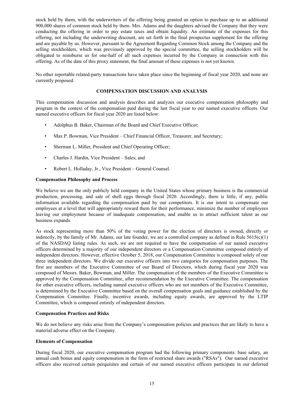stock held by them, with the underwriters of the offering being granted an option to purchase up to an additional 900,000 shares of common stock held by them. Mrs. Adams and the daughters advised the Company that they were conducting the offering in order to pay estate taxes and obtain liquidity. An estimate of the expenses for this offering, not including the underwriting discount, are set forth in the final prospectus supplement for the offering and are payable by us. However, pursuant to the Agreement Regarding Common Stock among the Company and the selling stockholders, which was previously approved by the special committee, the selling stockholders will be obligated to reimburse us for one-half of all such expenses incurred by the Company in connection with this offering. As of the date of this proxy statement, the final amount of these expenses is not yet known.

No other reportable related-party transactions have taken place since the beginning of fiscal year 2020, and none are currently proposed.

### **COMPENSATION DISCUSSION AND ANALYSIS**

This compensation discussion and analysis describes and analyzes our executive compensation philosophy and program in the context of the compensation paid during the last fiscal year to our named executive officers. Our named executive officers for fiscal year 2020 are listed below:

- Adolphus B. Baker, Chairman of the Board and Chief Executive Officer;
- Max P. Bowman, Vice President Chief Financial Officer, Treasurer, and Secretary;
- Sherman L. Miller, President and Chief Operating Officer;
- Charles J. Hardin, Vice President Sales; and
- Robert L. Holladay, Jr., Vice President General Counsel.

### **Compensation Philosophy and Process**

We believe we are the only publicly held company in the United States whose primary business is the commercial production, processing, and sale of shell eggs through fiscal 2020. Accordingly, there is little, if any, public information available regarding the compensation paid by our competitors. It is our intent to compensate our employees at a level that will appropriately reward them for their performance, minimize the number of employees leaving our employment because of inadequate compensation, and enable us to attract sufficient talent as our business expands.

As stock representing more than 50% of the voting power for the election of directors is owned, directly or indirectly, by the family of Mr. Adams, our late founder, we are a controlled company as defined in Rule  $5615(c)(1)$ of the NASDAQ listing rules. As such, we are not required to have the compensation of our named executive officers determined by a majority of our independent directors or a Compensation Committee composed entirely of independent directors. However, effective October 5, 2018, our Compensation Committee is composed solely of our three independent directors. We divide our executive officers into two categories for compensation purposes. The first are members of the Executive Committee of our Board of Directors, which during fiscal year 2020 was composed of Messrs. Baker, Bowman, and Miller. The compensation of the members of the Executive Committee is approved by the Compensation Committee, after recommendation by the Executive Committee. The compensation for other executive officers, including named executive officers who are not members of the Executive Committee, is determined by the Executive Committee based on the overall compensation goals and guidance established by the Compensation Committee. Finally, incentive awards, including equity awards, are approved by the LTIP Committee, which is composed entirely of independent directors.

### **Compensation Practices and Risks**

We do not believe any risks arise from the Company's compensation policies and practices that are likely to have a material adverse effect on the Company.

#### **Elements of Compensation**

During fiscal 2020, our executive compensation program had the following primary components: base salary, an annual cash bonus and equity compensation in the form of restricted share awards ("RSAs"). Our named executive officers also received certain perquisites and certain of our named executive officers participate in our deferred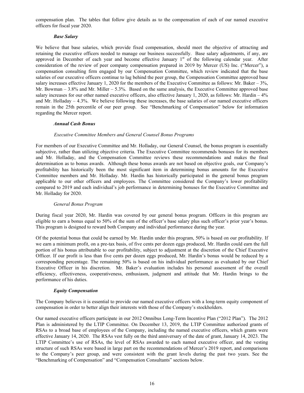compensation plan. The tables that follow give details as to the compensation of each of our named executive officers for fiscal year 2020.

### *Base Salary*

We believe that base salaries, which provide fixed compensation, should meet the objective of attracting and retaining the executive officers needed to manage our business successfully. Base salary adjustments, if any, are approved in December of each year and become effective January  $1<sup>st</sup>$  of the following calendar year. After consideration of the review of peer company compensation prepared in 2019 by Mercer (US) Inc. ("Mercer"), a compensation consulting firm engaged by our Compensation Committee, which review indicated that the base salaries of our executive officers continue to lag behind the peer group, the Compensation Committee approved base salary increases effective January 1, 2020 for the members of the Executive Committee as follows: Mr. Baker – 3%, Mr. Bowman – 3.8% and Mr. Miller – 5.3%. Based on the same analysis, the Executive Committee approved base salary increases for our other named executive officers, also effective January 1, 2020, as follows: Mr. Hardin – 4% and Mr. Holladay  $-4.3\%$ . We believe following these increases, the base salaries of our named executive officers remain in the 25th percentile of our peer group. See "Benchmarking of Compensation" below for information regarding the Mercer report.

### *Annual Cash Bonus*

### *Executive Committee Members and General Counsel Bonus Programs*

For members of our Executive Committee and Mr. Holladay, our General Counsel, the bonus program is essentially subjective, rather than utilizing objective criteria. The Executive Committee recommends bonuses for its members and Mr. Holladay, and the Compensation Committee reviews these recommendations and makes the final determination as to bonus awards. Although these bonus awards are not based on objective goals, our Company's profitability has historically been the most significant item in determining bonus amounts for the Executive Committee members and Mr. Holladay. Mr. Hardin has historically participated in the general bonus program applicable to our other officers and employees. The Committee considered the Company's lower profitability compared to 2019 and each individual's job performance in determining bonuses for the Executive Committee and Mr. Holladay for 2020.

#### *General Bonus Program*

During fiscal year 2020, Mr. Hardin was covered by our general bonus program. Officers in this program are eligible to earn a bonus equal to 50% of the sum of the officer's base salary plus such officer's prior year's bonus. This program is designed to reward both Company and individual performance during the year.

Of the potential bonus that could be earned by Mr. Hardin under this program, 50% is based on our profitability. If we earn a minimum profit, on a pre-tax basis, of five cents per dozen eggs produced, Mr. Hardin could earn the full portion of his bonus attributable to our profitability, subject to adjustment at the discretion of the Chief Executive Officer. If our profit is less than five cents per dozen eggs produced, Mr. Hardin's bonus would be reduced by a corresponding percentage. The remaining 50% is based on his individual performance as evaluated by our Chief Executive Officer in his discretion. Mr. Baker's evaluation includes his personal assessment of the overall efficiency, effectiveness, cooperativeness, enthusiasm, judgment and attitude that Mr. Hardin brings to the performance of his duties.

# *Equity Compensation*

The Company believes it is essential to provide our named executive officers with a long-term equity component of compensation in order to better align their interests with those of the Company's stockholders.

Our named executive officers participate in our 2012 Omnibus Long-Term Incentive Plan ("2012 Plan"). The 2012 Plan is administered by the LTIP Committee. On December 13, 2019, the LTIP Committee authorized grants of RSAs to a broad base of employees of the Company, including the named executive officers, which grants were effective January 14, 2020. The RSAs vest fully on the third anniversary of the date of grant, January 14, 2023. The LTIP Committee's use of RSAs, the level of RSAs awarded to each named executive officer, and the vesting structure of such RSAs were based in large part on the recommendations of Mercer's 2019 report, and comparisons to the Company's peer group, and were consistent with the grant levels during the past two years. See the "Benchmarking of Compensation" and "Compensation Consultants" sections below.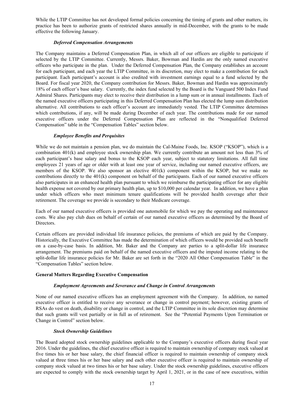While the LTIP Committee has not developed formal policies concerning the timing of grants and other matters, its practice has been to authorize grants of restricted shares annually in mid-December, with the grants to be made effective the following January.

### *Deferred Compensation Arrangements*

The Company maintains a Deferred Compensation Plan, in which all of our officers are eligible to participate if selected by the LTIP Committee. Currently, Messrs. Baker, Bowman and Hardin are the only named executive officers who participate in the plan. Under the Deferred Compensation Plan, the Company establishes an account for each participant, and each year the LTIP Committee, in its discretion, may elect to make a contribution for each participant. Each participant's account is also credited with investment earnings equal to a fund selected by the Board. For fiscal year 2020, the Company contribution for Messrs. Baker, Bowman and Hardin was approximately 18% of each officer's base salary. Currently, the index fund selected by the Board is the Vanguard 500 Index Fund Admiral Shares. Participants may elect to receive their distribution in a lump sum or in annual installments. Each of the named executive officers participating in this Deferred Compensation Plan has elected the lump sum distribution alternative. All contributions to each officer's account are immediately vested. The LTIP Committee determines which contributions, if any, will be made during December of each year. The contributions made for our named executive officers under the Deferred Compensation Plan are reflected in the "Nonqualified Deferred Compensation" table in the "Compensation Tables" section below.

# *Employee Benefits and Perquisites*

While we do not maintain a pension plan, we do maintain the Cal-Maine Foods, Inc. KSOP ("KSOP"), which is a combination 401(k) and employee stock ownership plan. We currently contribute an amount not less than 3% of each participant's base salary and bonus to the KSOP each year, subject to statutory limitations. All full time employees 21 years of age or older with at least one year of service, including our named executive officers, are members of the KSOP. We also sponsor an elective 401(k) component within the KSOP, but we make no contributions directly to the 401(k) component on behalf of the participants. Each of our named executive officers also participates in an enhanced health plan pursuant to which we reimburse the participating officer for any eligible health expense not covered by our primary health plan, up to \$10,000 per calendar year. In addition, we have a plan under which officers who meet minimum tenure qualifications will be provided health coverage after their retirement. The coverage we provide is secondary to their Medicare coverage.

Each of our named executive officers is provided one automobile for which we pay the operating and maintenance costs. We also pay club dues on behalf of certain of our named executive officers as determined by the Board of Directors.

Certain officers are provided individual life insurance policies, the premiums of which are paid by the Company. Historically, the Executive Committee has made the determination of which officers would be provided such benefit on a case-by-case basis. In addition, Mr. Baker and the Company are parties to a split-dollar life insurance arrangement. The premiums paid on behalf of the named executive officers and the imputed income relating to the split-dollar life insurance policies for Mr. Baker are set forth in the "2020 All Other Compensation Table" in the "Compensation Tables" section below.

# **General Matters Regarding Executive Compensation**

# *Employment Agreements and Severance and Change in Control Arrangements*

None of our named executive officers has an employment agreement with the Company. In addition, no named executive officer is entitled to receive any severance or change in control payment; however, existing grants of RSAs do vest on death, disability or change in control, and the LTIP Committee in its sole discretion may determine that such grants will vest partially or in full as of retirement. See the "Potential Payments Upon Termination or Change in Control" section below.

# *Stock Ownership Guidelines*

The Board adopted stock ownership guidelines applicable to the Company's executive officers during fiscal year 2016. Under the guidelines, the chief executive officer is required to maintain ownership of company stock valued at five times his or her base salary, the chief financial officer is required to maintain ownership of company stock valued at three times his or her base salary and each other executive officer is required to maintain ownership of company stock valued at two times his or her base salary. Under the stock ownership guidelines, executive officers are expected to comply with the stock ownership target by April 1, 2021, or in the case of new executives, within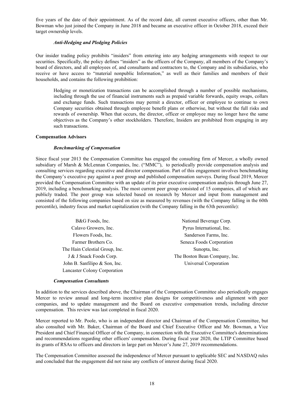five years of the date of their appointment. As of the record date, all current executive officers, other than Mr. Bowman who just joined the Company in June 2018 and became an executive officer in October 2018, exceed their target ownership levels.

### *Anti-Hedging and Pledging Policies*

Our insider trading policy prohibits "insiders" from entering into any hedging arrangements with respect to our securities. Specifically, the policy defines "insiders" as the officers of the Company, all members of the Company's board of directors, and all employees of, and consultants and contractors to, the Company and its subsidiaries, who receive or have access to "material nonpublic Information," as well as their families and members of their households, and contains the following prohibition:

Hedging or monetization transactions can be accomplished through a number of possible mechanisms, including through the use of financial instruments such as prepaid variable forwards, equity swaps, collars and exchange funds. Such transactions may permit a director, officer or employee to continue to own Company securities obtained through employee benefit plans or otherwise, but without the full risks and rewards of ownership. When that occurs, the director, officer or employee may no longer have the same objectives as the Company's other stockholders. Therefore, Insiders are prohibited from engaging in any such transactions.

### **Compensation Advisors**

### *Benchmarking of Compensation*

Since fiscal year 2013 the Compensation Committee has engaged the consulting firm of Mercer, a wholly owned subsidiary of Marsh & McLennan Companies, Inc. ("MMC"), to periodically provide compensation analysis and consulting services regarding executive and director compensation. Part of this engagement involves benchmarking the Company's executive pay against a peer group and published compensation surveys. During fiscal 2019, Mercer provided the Compensation Committee with an update of its prior executive compensation analysis through June 27, 2019, including a benchmarking analysis. The most current peer group consisted of 15 companies, all of which are publicly traded. The peer group was selected based on research by Mercer and input from management and consisted of the following companies based on size as measured by revenues (with the Company falling in the 60th percentile), industry focus and market capitalization (with the Company falling in the 63th percentile):

| B&G Foods, Inc.                     | National Beverage Corp.       |
|-------------------------------------|-------------------------------|
| Calavo Growers, Inc.                | Pyrus International, Inc.     |
| Flowers Foods, Inc.                 | Sanderson Farms, Inc.         |
| Farmer Brothers Co.                 | Seneca Foods Corporation      |
| The Hain Celestial Group, Inc.      | Sunopta, Inc.                 |
| J & J Snack Foods Corp.             | The Boston Bean Company, Inc. |
| John B. Sanfilipo & Son, Inc.       | Universal Corporation         |
| <b>Lancaster Colony Corporation</b> |                               |
|                                     |                               |

#### *Compensation Consultants*

In addition to the services described above, the Chairman of the Compensation Committee also periodically engages Mercer to review annual and long-term incentive plan designs for competitiveness and alignment with peer companies, and to update management and the Board on executive compensation trends, including director compensation. This review was last completed in fiscal 2020.

Mercer reported to Mr. Poole, who is an independent director and Chairman of the Compensation Committee, but also consulted with Mr. Baker, Chairman of the Board and Chief Executive Officer and Mr. Bowman, a Vice President and Chief Financial Officer of the Company, in connection with the Executive Committee's determinations and recommendations regarding other officers' compensation. During fiscal year 2020, the LTIP Committee based its grants of RSAs to officers and directors in large part on Mercer's June 27, 2019 recommendations.

The Compensation Committee assessed the independence of Mercer pursuant to applicable SEC and NASDAQ rules and concluded that the engagement did not raise any conflicts of interest during fiscal 2020.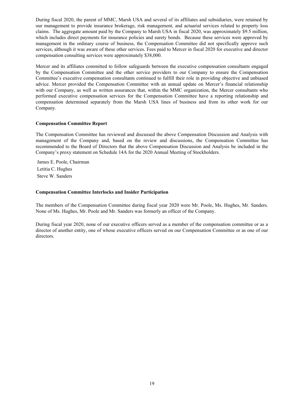During fiscal 2020, the parent of MMC, Marsh USA and several of its affiliates and subsidiaries, were retained by our management to provide insurance brokerage, risk management, and actuarial services related to property loss claims. The aggregate amount paid by the Company to Marsh USA in fiscal 2020, was approximately \$9.5 million, which includes direct payments for insurance policies and surety bonds. Because these services were approved by management in the ordinary course of business, the Compensation Committee did not specifically approve such services, although it was aware of these other services. Fees paid to Mercer in fiscal 2020 for executive and director compensation consulting services were approximately \$38,000.

Mercer and its affiliates committed to follow safeguards between the executive compensation consultants engaged by the Compensation Committee and the other service providers to our Company to ensure the Compensation Committee's executive compensation consultants continued to fulfill their role in providing objective and unbiased advice. Mercer provided the Compensation Committee with an annual update on Mercer's financial relationship with our Company, as well as written assurances that, within the MMC organization, the Mercer consultants who performed executive compensation services for the Compensation Committee have a reporting relationship and compensation determined separately from the Marsh USA lines of business and from its other work for our Company.

### **Compensation Committee Report**

The Compensation Committee has reviewed and discussed the above Compensation Discussion and Analysis with management of the Company and, based on the review and discussions, the Compensation Committee has recommended to the Board of Directors that the above Compensation Discussion and Analysis be included in the Company's proxy statement on Schedule 14A for the 2020 Annual Meeting of Stockholders.

James E. Poole, Chairman Letitia C. Hughes Steve W. Sanders

#### **Compensation Committee Interlocks and Insider Participation**

The members of the Compensation Committee during fiscal year 2020 were Mr. Poole, Ms. Hughes, Mr. Sanders. None of Ms. Hughes, Mr. Poole and Mr. Sanders was formerly an officer of the Company.

During fiscal year 2020, none of our executive officers served as a member of the compensation committee or as a director of another entity, one of whose executive officers served on our Compensation Committee or as one of our directors.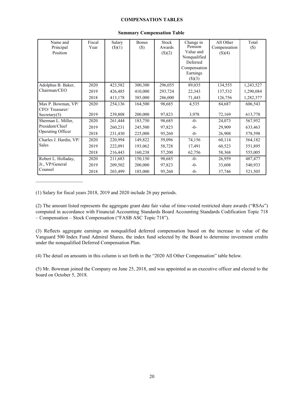#### **COMPENSATION TABLES**

| Name and<br>Principal<br>Position | Fiscal<br>Year | Salary<br>$($ \$ $)(1)$ | <b>Bonus</b><br>$($)$ | Stock<br>Awards<br>\$)(2) | Change in<br>Pension<br>Value and<br>Nonqualified<br>Deferred<br>Compensation<br>Earnings<br>(\$)(3) | All Other<br>Compensation<br>\$)(4) | Total<br>$(\$)$ |
|-----------------------------------|----------------|-------------------------|-----------------------|---------------------------|------------------------------------------------------------------------------------------------------|-------------------------------------|-----------------|
| Adolphus B. Baker,                | 2020           | 423,582                 | 300,300               | 296,055                   | 89,035                                                                                               | 134,555                             | 1,243,527       |
| Chairman/CEO                      | 2019           | 426,485                 | 410,000               | 293,724                   | 22,343                                                                                               | 137,532                             | 1,290,084       |
|                                   | 2018           | 413,178                 | 385,000               | 286,000                   | 71,443                                                                                               | 126,756                             | 1,282,377       |
| Max P. Bowman, VP/                | 2020           | 254,136                 | 164,500               | 98,685                    | 4,535                                                                                                | 84,687                              | 606,543         |
| CFO/Treasurer/                    |                |                         |                       |                           |                                                                                                      |                                     |                 |
| Secretary $(5)$                   | 2019           | 239,808                 | 200,000               | 97,823                    | 3,978                                                                                                | 72,169                              | 613,778         |
| Sherman L. Miller,                | 2020           | 261,444                 | 183,750               | 98,685                    | $-0-$                                                                                                | 24,073                              | 567,952         |
| President/Chief                   | 2019           | 260,231                 | 245,500               | 97,823                    | $-0-$                                                                                                | 29,909                              | 633,463         |
| <b>Operating Officer</b>          | 2018           | 231,430                 | 225,000               | 95,260                    | $-0-$                                                                                                | 26,908                              | 578,598         |
| Charles J. Hardin, VP/            | 2020           | 220,994                 | 149,822               | 59,096                    | 74,156                                                                                               | 60,114                              | 564,182         |
| Sales                             | 2019           | 222,091                 | 193,062               | 58,728                    | 17,491                                                                                               | 60,523                              | 551,895         |
|                                   | 2018           | 216,443                 | 160,238               | 57,200                    | 62,756                                                                                               | 58,368                              | 555,005         |
| Robert L. Holladay,               | 2020           | 211,683                 | 150,150               | 98,685                    | $-0-$                                                                                                | 26,959                              | 487,477         |
| Jr., VP/General                   | 2019           | 209,502                 | 200,000               | 97,823                    | $-0-$                                                                                                | 33,608                              | 540,933         |
| Counsel                           | 2018           | 203,499                 | 185,000               | 95,260                    | $-0-$                                                                                                | 37,746                              | 521,505         |

#### **Summary Compensation Table**

(1) Salary for fiscal years 2018, 2019 and 2020 include 26 pay periods.

 $\mathcal{L}_\text{max}$  , where  $\mathcal{L}_\text{max}$  and  $\mathcal{L}_\text{max}$ 

(2) The amount listed represents the aggregate grant date fair value of time-vested restricted share awards ("RSAs") computed in accordance with Financial Accounting Standards Board Accounting Standards Codification Topic 718 – Compensation – Stock Compensation ("FASB ASC Topic 718").

(3) Reflects aggregate earnings on nonqualified deferred compensation based on the increase in value of the Vanguard 500 Index Fund Admiral Shares, the index fund selected by the Board to determine investment credits under the nonqualified Deferred Compensation Plan.

(4) The detail on amounts in this column is set forth in the "2020 All Other Compensation" table below.

(5) Mr. Bowman joined the Company on June 25, 2018, and was appointed as an executive officer and elected to the board on October 5, 2018.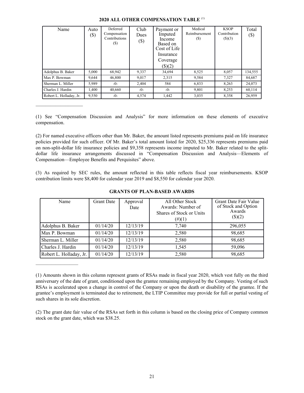### **2020 ALL OTHER COMPENSATION TABLE** (1)

| Name                    | Auto<br>$(\$)$ | Deferred<br>Compensation<br>Contributions<br>$(\$)$ | Club<br>Dues<br>$(\$)$ | Payment or<br>Imputed<br>Income<br>Based on<br>Cost of Life<br>Insurance<br>Coverage<br>\$)(2) | Medical<br>Reimbursement<br>$(S)$ | <b>KSOP</b><br>Contribution<br>$($ ) $(3)$ | Total<br>$\left( \text{\$}\right)$ |
|-------------------------|----------------|-----------------------------------------------------|------------------------|------------------------------------------------------------------------------------------------|-----------------------------------|--------------------------------------------|------------------------------------|
| Adolphus B. Baker       | 5.000          | 68,942                                              | 9,337                  | 34,694                                                                                         | 8,525                             | 8,057                                      | 134,555                            |
| Max P. Bowman           | 9.644          | 46.800                                              | 9.017                  | 2,315                                                                                          | 9,584                             | 7,327                                      | 84,687                             |
| Sherman L. Miller       | 5,989          | $-0-$                                               | 2,404                  | 584                                                                                            | 6,833                             | 8,263                                      | 24,073                             |
| Charles J. Hardin       | 1.400          | 40.660                                              | $-0-$                  | $-0-$                                                                                          | 9,801                             | 8,253                                      | 60.114                             |
| Robert L. Holladay, Jr. | 9,550          | $-0-$                                               | 4,574                  | 1,442                                                                                          | 3,035                             | 8,358                                      | 26,959                             |

(1) See "Compensation Discussion and Analysis" for more information on these elements of executive compensation.

 $\mathcal{L}_\text{max}$  , where  $\mathcal{L}_\text{max}$  and  $\mathcal{L}_\text{max}$ 

 $\mathcal{L}_\text{max}$ 

(2) For named executive officers other than Mr. Baker, the amount listed represents premiums paid on life insurance policies provided for such officer. Of Mr. Baker's total amount listed for 2020, \$25,336 represents premiums paid on non-split-dollar life insurance policies and \$9,358 represents income imputed to Mr. Baker related to the splitdollar life insurance arrangements discussed in "Compensation Discussion and Analysis—Elements of Compensation—Employee Benefits and Perquisites" above.

(3) As required by SEC rules, the amount reflected in this table reflects fiscal year reimbursements. KSOP contribution limits were \$8,400 for calendar year 2019 and \$8,550 for calendar year 2020.

| Name                    | <b>Grant Date</b> | Approval<br>Date | All Other Stock<br>Awards: Number of<br>Shares of Stock or Units<br>$(\#)(1)$ | Grant Date Fair Value<br>of Stock and Option<br>Awards<br>\$)(2) |
|-------------------------|-------------------|------------------|-------------------------------------------------------------------------------|------------------------------------------------------------------|
| Adolphus B. Baker       | 01/14/20          | 12/13/19         | 7,740                                                                         | 296,055                                                          |
| Max P. Bowman           | 01/14/20          | 12/13/19         | 2,580                                                                         | 98,685                                                           |
| Sherman L. Miller       | 01/14/20          | 12/13/19         | 2,580                                                                         | 98,685                                                           |
| Charles J. Hardin       | 01/14/20          | 12/13/19         | 1.545                                                                         | 59,096                                                           |
| Robert L. Holladay, Jr. | 01/14/20          | 12/13/19         | 2,580                                                                         | 98,685                                                           |

# **GRANTS OF PLAN-BASED AWARDS**

<sup>(1)</sup> Amounts shown in this column represent grants of RSAs made in fiscal year 2020, which vest fully on the third anniversary of the date of grant, conditioned upon the grantee remaining employed by the Company. Vesting of such RSAs is accelerated upon a change in control of the Company or upon the death or disability of the grantee. If the grantee's employment is terminated due to retirement, the LTIP Committee may provide for full or partial vesting of such shares in its sole discretion.

<sup>(2)</sup> The grant date fair value of the RSAs set forth in this column is based on the closing price of Company common stock on the grant date, which was \$38.25.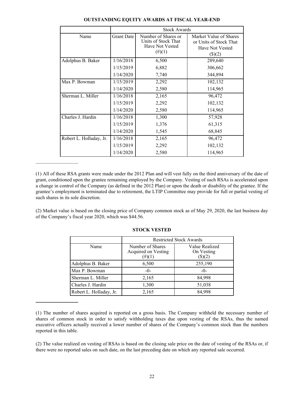|                         | <b>Stock Awards</b> |                                                                                   |                                                                               |  |  |  |
|-------------------------|---------------------|-----------------------------------------------------------------------------------|-------------------------------------------------------------------------------|--|--|--|
| Name                    | <b>Grant Date</b>   | Number of Shares or<br>Units of Stock That<br><b>Have Not Vested</b><br>$(\#)(1)$ | Market Value of Shares<br>or Units of Stock That<br>Have Not Vested<br>\$)(2) |  |  |  |
| Adolphus B. Baker       | 1/16/2018           | 6,500                                                                             | 289,640                                                                       |  |  |  |
|                         | 1/15/2019           | 6,882                                                                             | 306,662                                                                       |  |  |  |
|                         | 1/14/2020           | 7,740                                                                             | 344,894                                                                       |  |  |  |
| Max P. Bowman           | 1/15/2019           | 2,292                                                                             | 102,132                                                                       |  |  |  |
|                         | 1/14/2020           | 2,580                                                                             | 114,965                                                                       |  |  |  |
| Sherman L. Miller       | 1/16/2018           | 2,165                                                                             | 96,472                                                                        |  |  |  |
|                         | 1/15/2019           | 2,292                                                                             | 102,132                                                                       |  |  |  |
|                         | 1/14/2020           | 2,580                                                                             | 114,965                                                                       |  |  |  |
| Charles J. Hardin       | 1/16/2018           | 1,300                                                                             | 57,928                                                                        |  |  |  |
|                         | 1/15/2019           | 1,376                                                                             | 61,315                                                                        |  |  |  |
|                         | 1/14/2020           | 1,545                                                                             | 68,845                                                                        |  |  |  |
| Robert L. Holladay, Jr. | 1/16/2018           | 2,165                                                                             | 96,472                                                                        |  |  |  |
|                         | 1/15/2019           | 2,292                                                                             | 102,132                                                                       |  |  |  |
|                         | 1/14/2020           | 2,580                                                                             | 114,965                                                                       |  |  |  |

### **OUTSTANDING EQUITY AWARDS AT FISCAL YEAR-END**

(1) All of these RSA grants were made under the 2012 Plan and will vest fully on the third anniversary of the date of grant, conditioned upon the grantee remaining employed by the Company. Vesting of such RSAs is accelerated upon a change in control of the Company (as defined in the 2012 Plan) or upon the death or disability of the grantee. If the grantee's employment is terminated due to retirement, the LTIP Committee may provide for full or partial vesting of such shares in its sole discretion.

(2) Market value is based on the closing price of Company common stock as of May 29, 2020, the last business day of the Company's fiscal year 2020, which was \$44.56.

|                         | <b>Restricted Stock Awards</b>                       |                                        |  |  |  |  |
|-------------------------|------------------------------------------------------|----------------------------------------|--|--|--|--|
| Name                    | Number of Shares<br>Acquired on Vesting<br>$(\#)(1)$ | Value Realized<br>On Vesting<br>\$)(2) |  |  |  |  |
| Adolphus B. Baker       | 6,500                                                | 255,190                                |  |  |  |  |
| Max P. Bowman           | $-()$                                                | $-()$                                  |  |  |  |  |
| Sherman L. Miller       | 2,165                                                | 84,998                                 |  |  |  |  |
| Charles J. Hardin       | 1,300                                                | 51,038                                 |  |  |  |  |
| Robert L. Holladay, Jr. | 2,165                                                | 84,998                                 |  |  |  |  |

### **STOCK VESTED**

 $\mathcal{L}=\{1,2,3,4,5\}$ 

<sup>(1)</sup> The number of shares acquired is reported on a gross basis. The Company withheld the necessary number of shares of common stock in order to satisfy withholding taxes due upon vesting of the RSAs, thus the named executive officers actually received a lower number of shares of the Company's common stock than the numbers reported in this table.

<sup>(2)</sup> The value realized on vesting of RSAs is based on the closing sale price on the date of vesting of the RSAs or, if there were no reported sales on such date, on the last preceding date on which any reported sale occurred.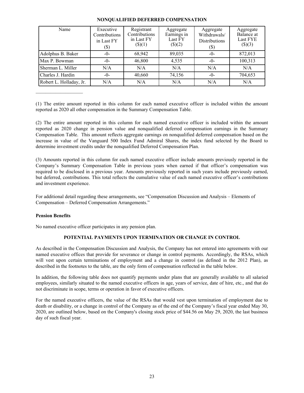| Name                    | Executive<br>Contributions<br>in Last FY<br>(\$) | Registrant<br>Contributions<br>in Last FY<br>$($ \$ $)(1)$ | Aggregate<br>Earnings in<br>Last FY<br>$($ (\$)(2) | Aggregate<br>Withdrawals/<br><b>Distributions</b><br>(\$) | Aggregate<br>Balance at<br>Last FYE<br>(\$)(3) |
|-------------------------|--------------------------------------------------|------------------------------------------------------------|----------------------------------------------------|-----------------------------------------------------------|------------------------------------------------|
| Adolphus B. Baker       | $-0-$                                            | 68,942                                                     | 89,035                                             | $-0-$                                                     | 872,013                                        |
| Max P. Bowman           | $-0-$                                            | 46,800                                                     | 4,535                                              | $-0-$                                                     | 100,313                                        |
| Sherman L. Miller       | N/A                                              | N/A                                                        | N/A                                                | N/A                                                       | N/A                                            |
| Charles J. Hardin       | $-0-$                                            | 40,660                                                     | 74,156                                             | $-0-$                                                     | 704,653                                        |
| Robert L. Holladay, Jr. | N/A                                              | N/A                                                        | N/A                                                | N/A                                                       | N/A                                            |

# **NONQUALIFIED DEFERRED COMPENSATION**

(1) The entire amount reported in this column for each named executive officer is included within the amount reported as 2020 all other compensation in the Summary Compensation Table.

(2) The entire amount reported in this column for each named executive officer is included within the amount reported as 2020 change in pension value and nonqualified deferred compensation earnings in the Summary Compensation Table. This amount reflects aggregate earnings on nonqualified deferred compensation based on the increase in value of the Vanguard 500 Index Fund Admiral Shares, the index fund selected by the Board to determine investment credits under the nonqualified Deferred Compensation Plan.

(3) Amounts reported in this column for each named executive officer include amounts previously reported in the Company's Summary Compensation Table in previous years when earned if that officer's compensation was required to be disclosed in a previous year. Amounts previously reported in such years include previously earned, but deferred, contributions. This total reflects the cumulative value of each named executive officer's contributions and investment experience.

For additional detail regarding these arrangements, see "Compensation Discussion and Analysis – Elements of Compensation – Deferred Compensation Arrangements."

# **Pension Benefits**

 $\mathcal{L}_\text{max}$  , where  $\mathcal{L}_\text{max}$ 

No named executive officer participates in any pension plan.

# **POTENTIAL PAYMENTS UPON TERMINATION OR CHANGE IN CONTROL**

As described in the Compensation Discussion and Analysis, the Company has not entered into agreements with our named executive offices that provide for severance or change in control payments. Accordingly, the RSAs, which will vest upon certain terminations of employment and a change in control (as defined in the 2012 Plan), as described in the footnotes to the table, are the only form of compensation reflected in the table below.

In addition, the following table does not quantify payments under plans that are generally available to all salaried employees, similarly situated to the named executive officers in age, years of service, date of hire, etc., and that do not discriminate in scope, terms or operation in favor of executive officers.

For the named executive officers, the value of the RSAs that would vest upon termination of employment due to death or disability, or a change in control of the Company as of the end of the Company's fiscal year ended May 30, 2020, are outlined below, based on the Company's closing stock price of \$44.56 on May 29, 2020, the last business day of such fiscal year.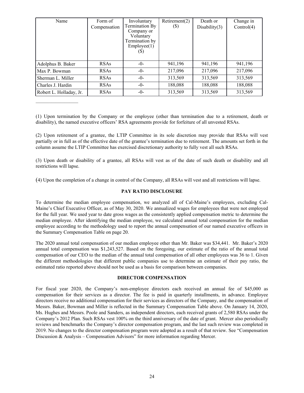| Name                    | Form of<br>Compensation | Involuntary<br>Termination By<br>Company or<br>Voluntary<br>Termination by<br>Employee(1)<br>(S) | Retirement(2)<br>$\left( \text{\$}\right)$ | Death or<br>Disability(3) | Change in<br>Control(4) |
|-------------------------|-------------------------|--------------------------------------------------------------------------------------------------|--------------------------------------------|---------------------------|-------------------------|
| Adolphus B. Baker       | <b>RSAs</b>             | $-0-$                                                                                            | 941,196                                    | 941,196                   | 941,196                 |
| Max P. Bowman           | <b>RSAs</b>             | $-0-$                                                                                            | 217,096                                    | 217,096                   | 217,096                 |
| Sherman L. Miller       | <b>RSAs</b>             | $-0-$                                                                                            | 313,569                                    | 313,569                   | 313,569                 |
| Charles J. Hardin       | <b>RSAs</b>             | $-0-$                                                                                            | 188,088                                    | 188,088                   | 188,088                 |
| Robert L. Holladay, Jr. | <b>RSAs</b>             | $-0-$                                                                                            | 313,569                                    | 313,569                   | 313,569                 |

(1) Upon termination by the Company or the employee (other than termination due to a retirement, death or disability), the named executive officers' RSA agreements provide for forfeiture of all unvested RSAs.

 $\mathcal{L}_\text{max}$ 

(2) Upon retirement of a grantee, the LTIP Committee in its sole discretion may provide that RSAs will vest partially or in full as of the effective date of the grantee's termination due to retirement. The amounts set forth in the column assume the LTIP Committee has exercised discretionary authority to fully vest all such RSAs.

(3) Upon death or disability of a grantee, all RSAs will vest as of the date of such death or disability and all restrictions will lapse.

(4) Upon the completion of a change in control of the Company, all RSAs will vest and all restrictions will lapse.

### **PAY RATIO DISCLOSURE**

To determine the median employee compensation, we analyzed all of Cal-Maine's employees, excluding Cal-Maine's Chief Executive Officer, as of May 30, 2020. We annualized wages for employees that were not employed for the full year. We used year to date gross wages as the consistently applied compensation metric to determine the median employee. After identifying the median employee, we calculated annual total compensation for the median employee according to the methodology used to report the annual compensation of our named executive officers in the Summary Compensation Table on page 20.

The 2020 annual total compensation of our median employee other than Mr. Baker was \$34,441. Mr. Baker's 2020 annual total compensation was \$1,243,527. Based on the foregoing, our estimate of the ratio of the annual total compensation of our CEO to the median of the annual total compensation of all other employees was 36 to 1. Given the different methodologies that different public companies use to determine an estimate of their pay ratio, the estimated ratio reported above should not be used as a basis for comparison between companies.

### **DIRECTOR COMPENSATION**

For fiscal year 2020, the Company's non-employee directors each received an annual fee of \$45,000 as compensation for their services as a director. The fee is paid in quarterly installments, in advance. Employee directors receive no additional compensation for their services as directors of the Company, and the compensation of Messrs. Baker, Bowman and Miller is reflected in the Summary Compensation Table above. On January 14, 2020, Ms. Hughes and Messrs. Poole and Sanders, as independent directors, each received grants of 2,580 RSAs under the Company's 2012 Plan. Such RSAs vest 100% on the third anniversary of the date of grant. Mercer also periodically reviews and benchmarks the Company's director compensation program, and the last such review was completed in 2019. No changes to the director compensation program were adopted as a result of that review. See "Compensation Discussion & Analysis – Compensation Advisors" for more information regarding Mercer.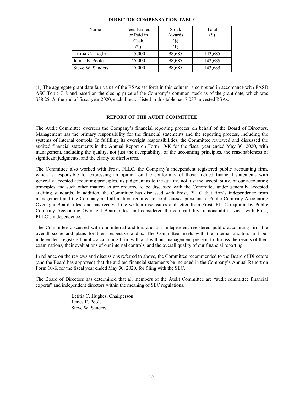### **DIRECTOR COMPENSATION TABLE**

| Name              | Fees Earned | <b>Stock</b> | Total   |
|-------------------|-------------|--------------|---------|
|                   | or Paid in  | Awards       | $(\$\)$ |
|                   | Cash        | $(\$)$       |         |
|                   | (S`         | H.           |         |
| Letitia C. Hughes | 45,000      | 98,685       | 143,685 |
| James E. Poole    | 45,000      | 98,685       | 143,685 |
| Steve W. Sanders  | 45,000      | 98,685       | 143,685 |

(1) The aggregate grant date fair value of the RSAs set forth in this column is computed in accordance with FASB ASC Topic 718 and based on the closing price of the Company's common stock as of the grant date, which was \$38.25. At the end of fiscal year 2020, each director listed in this table had 7,037 unvested RSAs.

# **REPORT OF THE AUDIT COMMITTEE**

The Audit Committee oversees the Company's financial reporting process on behalf of the Board of Directors. Management has the primary responsibility for the financial statements and the reporting process, including the systems of internal controls. In fulfilling its oversight responsibilities, the Committee reviewed and discussed the audited financial statements in the Annual Report on Form 10-K for the fiscal year ended May 30, 2020, with management, including the quality, not just the acceptability, of the accounting principles, the reasonableness of significant judgments, and the clarity of disclosures.

The Committee also worked with Frost, PLLC, the Company's independent registered public accounting firm, which is responsible for expressing an opinion on the conformity of those audited financial statements with generally accepted accounting principles, its judgment as to the quality, not just the acceptability, of our accounting principles and such other matters as are required to be discussed with the Committee under generally accepted auditing standards. In addition, the Committee has discussed with Frost, PLLC that firm's independence from management and the Company and all matters required to be discussed pursuant to Public Company Accounting Oversight Board rules, and has received the written disclosures and letter from Frost, PLLC required by Public Company Accounting Oversight Board rules, and considered the compatibility of nonaudit services with Frost, PLLC's independence.

The Committee discussed with our internal auditors and our independent registered public accounting firm the overall scope and plans for their respective audits. The Committee meets with the internal auditors and our independent registered public accounting firm, with and without management present, to discuss the results of their examinations, their evaluations of our internal controls, and the overall quality of our financial reporting.

In reliance on the reviews and discussions referred to above, the Committee recommended to the Board of Directors (and the Board has approved) that the audited financial statements be included in the Company's Annual Report on Form 10-K for the fiscal year ended May 30, 2020, for filing with the SEC.

The Board of Directors has determined that all members of the Audit Committee are "audit committee financial experts" and independent directors within the meaning of SEC regulations.

> Letitia C. Hughes, Chairperson James E. Poole Steve W. Sanders

 $\mathcal{L}_\text{max}$  , where  $\mathcal{L}_\text{max}$  and  $\mathcal{L}_\text{max}$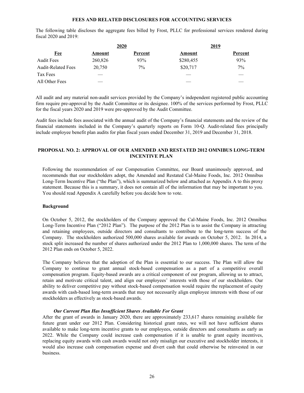#### **FEES AND RELATED DISCLOSURES FOR ACCOUNTING SERVICES**

The following table discloses the aggregate fees billed by Frost, PLLC for professional services rendered during fiscal 2020 and 2019:

| <b>Fee</b>                | 2020    |         | 2019      |         |  |
|---------------------------|---------|---------|-----------|---------|--|
|                           | Amount  | Percent | Amount    | Percent |  |
| <b>Audit Fees</b>         | 260,826 | 93%     | \$280,455 | 93%     |  |
| <b>Audit-Related Fees</b> | 20,750  | $7\%$   | \$20,717  | $7\%$   |  |
| Tax Fees                  |         |         |           |         |  |
| All Other Fees            |         |         |           |         |  |

All audit and any material non-audit services provided by the Company's independent registered public accounting firm require pre-approval by the Audit Committee or its designee. 100% of the services performed by Frost, PLLC for the fiscal years 2020 and 2019 were pre-approved by the Audit Committee.

Audit fees include fees associated with the annual audit of the Company's financial statements and the review of the financial statements included in the Company's quarterly reports on Form 10-Q. Audit-related fees principally include employee benefit plan audits for plan fiscal years ended December 31, 2019 and December 31, 2018.

# **PROPOSAL NO. 2: APPROVAL OF OUR AMENDED AND RESTATED 2012 OMNIBUS LONG-TERM INCENTIVE PLAN**

Following the recommendation of our Compensation Committee, our Board unanimously approved, and recommends that our stockholders adopt, the Amended and Restated Cal-Maine Foods, Inc. 2012 Omnibus Long-Term Incentive Plan ("the Plan"), which is summarized below and attached as Appendix A to this proxy statement. Because this is a summary, it does not contain all of the information that may be important to you. You should read Appendix A carefully before you decide how to vote.

#### **Background**

On October 5, 2012, the stockholders of the Company approved the Cal-Maine Foods, Inc. 2012 Omnibus Long-Term Incentive Plan ("2012 Plan"). The purpose of the 2012 Plan is to assist the Company in attracting and retaining employees, outside directors and consultants to contribute to the long-term success of the Company. The stockholders authorized 500,000 shares available for awards on October 5, 2012. In 2014, a stock split increased the number of shares authorized under the 2012 Plan to 1,000,000 shares. The term of the 2012 Plan ends on October 5, 2022.

The Company believes that the adoption of the Plan is essential to our success. The Plan will allow the Company to continue to grant annual stock-based compensation as a part of a competitive overall compensation program. Equity-based awards are a critical component of our program, allowing us to attract, retain and motivate critical talent, and align our employees' interests with those of our stockholders. Our ability to deliver competitive pay without stock-based compensation would require the replacement of equity awards with cash-based long-term awards that may not necessarily align employee interests with those of our stockholders as effectively as stock-based awards.

### *Our Current Plan Has Insufficient Shares Available For Grant*

After the grant of awards in January 2020, there are approximately 233,617 shares remaining available for future grant under our 2012 Plan. Considering historical grant rates, we will not have sufficient shares available to make long-term incentive grants to our employees, outside directors and consultants as early as 2022. While the Company could increase cash compensation if it is unable to grant equity incentives, replacing equity awards with cash awards would not only misalign our executive and stockholder interests, it would also increase cash compensation expense and divert cash that could otherwise be reinvested in our business.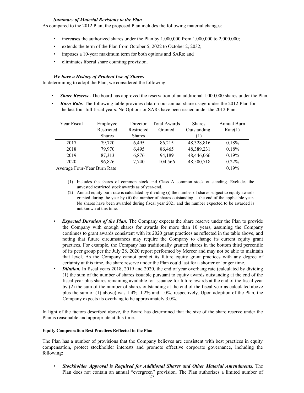#### *Summary of Material Revisions to the Plan*

As compared to the 2012 Plan, the proposed Plan includes the following material changes:

- increases the authorized shares under the Plan by 1,000,000 from 1,000,000 to 2,000,000;
- extends the term of the Plan from October 5, 2022 to October 2, 2032;
- imposes a 10-year maximum term for both options and SARs; and
- eliminates liberal share counting provision.

#### *We have a History of Prudent Use of Shares*

In determining to adopt the Plan, we considered the following:

- *Share Reserve***.** The board has approved the reservation of an additional 1,000,000 shares under the Plan.
- **Burn Rate.** The following table provides data on our annual share usage under the 2012 Plan for the last four full fiscal years. No Options or SARs have been issued under the 2012 Plan.

| Year Fiscal                 | Employee      | Director      | <b>Total Awards</b> | <b>Shares</b> | Annual Burn |
|-----------------------------|---------------|---------------|---------------------|---------------|-------------|
|                             | Restricted    | Restricted    | Granted             | Outstanding   | Rate(1)     |
|                             | <b>Shares</b> | <b>Shares</b> |                     | (1)           |             |
| 2017                        | 79.720        | 6,495         | 86,215              | 48,328,816    | 0.18%       |
| 2018                        | 79,970        | 6,495         | 86,465              | 48,389,231    | 0.18%       |
| 2019                        | 87,313        | 6,876         | 94.189              | 48,446,066    | 0.19%       |
| 2020                        | 96,826        | 7,740         | 104,566             | 48,500,718    | $0.22\%$    |
| Average Four-Year Burn Rate |               |               |                     |               | 0.19%       |

- (1) Includes the shares of common stock and Class A common stock outstanding. Excludes the unvested restricted stock awards as of year-end.
- (2) Annual equity burn rate is calculated by dividing (i) the number of shares subject to equity awards granted during the year by (ii) the number of shares outstanding at the end of the applicable year. No shares have been awarded during fiscal year 2021 and the number expected to be awarded is not known at this time.
- *Expected Duration of the Plan.* The Company expects the share reserve under the Plan to provide the Company with enough shares for awards for more than 10 years, assuming the Company continues to grant awards consistent with its 2020 grant practices as reflected in the table above, and noting that future circumstances may require the Company to change its current equity grant practices. For example, the Company has traditionally granted shares in the bottom third percentile of its peer group per the July 28, 2020 report performed by Mercer and may not be able to maintain that level. As the Company cannot predict its future equity grant practices with any degree of certainty at this time, the share reserve under the Plan could last for a shorter or longer time.
- *Dilution*. In fiscal years 2018, 2019 and 2020, the end of year overhang rate (calculated by dividing (1) the sum of the number of shares issuable pursuant to equity awards outstanding at the end of the fiscal year plus shares remaining available for issuance for future awards at the end of the fiscal year by (2) the sum of the number of shares outstanding at the end of the fiscal year as calculated above plus the sum of (1) above) was 1.4%, 1.2% and 1.0%, respectively. Upon adoption of the Plan, the Company expects its overhang to be approximately 3.0%.

In light of the factors described above, the Board has determined that the size of the share reserve under the Plan is reasonable and appropriate at this time.

#### **Equity Compensation Best Practices Reflected in the Plan**

The Plan has a number of provisions that the Company believes are consistent with best practices in equity compensation, protect stockholder interests and promote effective corporate governance, including the following:

• *Stockholder Approval is Required for Additional Shares and Other Material Amendments.* The Plan does not contain an annual "evergreen" provision. The Plan authorizes a limited number of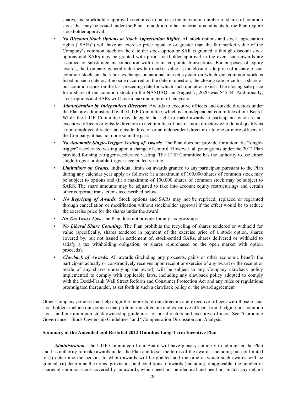shares, and stockholder approval is required to increase the maximum number of shares of common stock that may be issued under the Plan. In addition, other material amendments to the Plan require stockholder approval.

- *No Discount Stock Options or Stock Appreciation Rights.* All stock options and stock appreciation rights ("SARs") will have an exercise price equal to or greater than the fair market value of the Company's common stock on the date the stock option or SAR is granted; although discount stock options and SARs may be granted with prior stockholder approval in the event such awards are assumed or substituted in connection with certain corporate transactions. For purposes of equity awards, the Company generally defines fair market value as the closing sale price of a share of our common stock on the stock exchange or national market system on which our common stock is listed on such date or, if no sale occurred on the date in question, the closing sale price for a share of our common stock on the last preceding date for which such quotation exists. The closing sale price for a share of our common stock on the NASDAQ, on August 7, 2020 was \$45.44. Additionally, stock options and SARs will have a maximum term of ten years.
- *Administration by Independent Directors.* Awards to executive officers and outside directors under the Plan are administered by the LTIP Committee, which is an independent committee of our Board. While the LTIP Committee may delegate the right to make awards to participants who are not executive officers or outside directors to a committee of one or more directors who do not qualify as a non-employee director, an outside director or an independent director or to one or more officers of the Company, it has not done so in the past.
- *No Automatic Single-Trigger Vesting of Awards.* The Plan does not provide for automatic "singletrigger" accelerated vesting upon a change of control. However, all prior grants under the 2012 Plan provided for single-trigger accelerated vesting. The LTIP Committee has the authority to use either single-trigger or double-trigger accelerated vesting.
- *Limitations on Grants.* Individual limits on awards granted to any participant pursuant to the Plan during any calendar year apply as follows: (i) a maximum of 100,000 shares of common stock may be subject to options and (ii) a maximum of 100,000 shares of common stock may be subject to SARS. The share amounts may be adjusted to take into account equity restructurings and certain other corporate transactions as described below.
- *No Repricing of Awards.* Stock options and SARs may not be repriced, replaced or regranted through cancellation or modification without stockholder approval if the effect would be to reduce the exercise price for the shares under the award.
- *No Tax Gross-Ups.* The Plan does not provide for any tax gross-ups.
- *No Liberal Share Counting.* The Plan prohibits the recycling of shares tendered or withheld for value (specifically, shares tendered in payment of the exercise price of a stock option, shares covered by, but not issued in settlement of, stock-settled SARs, shares delivered or withheld to satisfy a tax withholding obligation, or shares repurchased on the open market with option proceeds).
- *Clawback of Awards.* All awards (including any proceeds, gains or other economic benefit the participant actually or constructively receives upon receipt or exercise of any award or the receipt or resale of any shares underlying the award) will be subject to any Company clawback policy implemented to comply with applicable laws, including any clawback policy adopted to comply with the Dodd-Frank Wall Street Reform and Consumer Protection Act and any rules or regulations promulgated thereunder, as set forth in such a clawback policy or the award agreement

Other Company policies that help align the interests of our directors and executive officers with those of our stockholders include our policies that prohibit our directors and executive officers from hedging our common stock, and our minimum stock ownership guidelines for our directors and executive officers. See "Corporate Governance – Stock Ownership Guidelines" and "Compensation Discussion and Analysis."

#### **Summary of the Amended and Restated 2012 Omnibus Long-Term Incentive Plan**

*Administration.* The LTIP Committee of our Board will have plenary authority to administer the Plan and has authority to make awards under the Plan and to set the terms of the awards, including but not limited to (i) determine the persons to whom awards will be granted and the time at which such awards will be granted; (ii) determine the terms, provisions, and conditions of awards (including, if applicable, the number of shares of common stock covered by an award), which need not be identical and need not match any default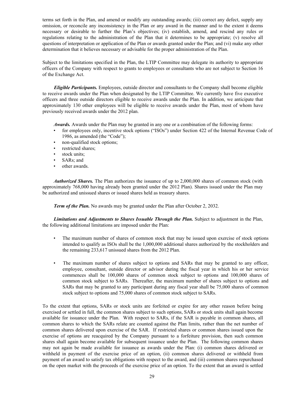terms set forth in the Plan, and amend or modify any outstanding awards; (iii) correct any defect, supply any omission, or reconcile any inconsistency in the Plan or any award in the manner and to the extent it deems necessary or desirable to further the Plan's objectives; (iv) establish, amend, and rescind any rules or regulations relating to the administration of the Plan that it determines to be appropriate; (v) resolve all questions of interpretation or application of the Plan or awards granted under the Plan; and (vi) make any other determination that it believes necessary or advisable for the proper administration of the Plan.

Subject to the limitations specified in the Plan, the LTIP Committee may delegate its authority to appropriate officers of the Company with respect to grants to employees or consultants who are not subject to Section 16 of the Exchange Act.

*Eligible Participants.* Employees, outside director and consultants to the Company shall become eligible to receive awards under the Plan when designated by the LTIP Committee. We currently have five executive officers and three outside directors eligible to receive awards under the Plan. In addition, we anticipate that approximately 130 other employees will be eligible to receive awards under the Plan, most of whom have previously received awards under the 2012 plan.

*Awards.* Awards under the Plan may be granted in any one or a combination of the following forms:

- for employees only, incentive stock options ("ISOs") under Section 422 of the Internal Revenue Code of 1986, as amended (the "Code");
- non-qualified stock options;
- restricted shares;
- stock units;
- SARs; and
- other awards.

*Authorized Shares.* The Plan authorizes the issuance of up to 2,000,000 shares of common stock (with approximately 768,000 having already been granted under the 2012 Plan). Shares issued under the Plan may be authorized and unissued shares or issued shares held as treasury shares.

**Term of the Plan.** No awards may be granted under the Plan after October 2, 2032.

*Limitations and Adjustments to Shares Issuable Through the Plan.* Subject to adjustment in the Plan, the following additional limitations are imposed under the Plan:

- The maximum number of shares of common stock that may be issued upon exercise of stock options intended to qualify as ISOs shall be the 1,000,000 additional shares authorized by the stockholders and the remaining 233,617 unissued shares from the 2012 Plan.
- The maximum number of shares subject to options and SARs that may be granted to any officer, employee, consultant, outside director or advisor during the fiscal year in which his or her service commences shall be 100,000 shares of common stock subject to options and 100,000 shares of common stock subject to SARs. Thereafter, the maximum number of shares subject to options and SARs that may be granted to any participant during any fiscal year shall be 75,000 shares of common stock subject to options and 75,000 shares of common stock subject to SARs.

To the extent that options, SARs or stock units are forfeited or expire for any other reason before being exercised or settled in full, the common shares subject to such options, SARs or stock units shall again become available for issuance under the Plan. With respect to SARs, if the SAR is payable in common shares, all common shares to which the SARs relate are counted against the Plan limits, rather than the net number of common shares delivered upon exercise of the SAR. If restricted shares or common shares issued upon the exercise of options are reacquired by the Company pursuant to a forfeiture provision, then such common shares shall again become available for subsequent issuance under the Plan. The following common shares may not again be made available for issuance as awards under the Plan: (i) common shares delivered or withheld in payment of the exercise price of an option, (ii) common shares delivered or withheld from payment of an award to satisfy tax obligations with respect to the award, and (iii) common shares repurchased on the open market with the proceeds of the exercise price of an option. To the extent that an award is settled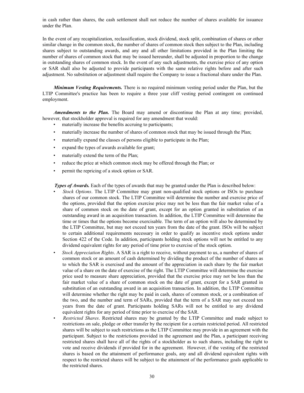in cash rather than shares, the cash settlement shall not reduce the number of shares available for issuance under the Plan.

In the event of any recapitalization, reclassification, stock dividend, stock split, combination of shares or other similar change in the common stock, the number of shares of common stock then subject to the Plan, including shares subject to outstanding awards, and any and all other limitations provided in the Plan limiting the number of shares of common stock that may be issued hereunder, shall be adjusted in proportion to the change in outstanding shares of common stock. In the event of any such adjustments, the exercise price of any option or SAR shall also be adjusted to provide participants with the same relative rights before and after such adjustment. No substitution or adjustment shall require the Company to issue a fractional share under the Plan.

*Minimum Vesting Requirements.* There is no required minimum vesting period under the Plan, but the LTIP Committee's practice has been to require a three year cliff vesting period contingent on continued employment.

*Amendments to the Plan.* The Board may amend or discontinue the Plan at any time; provided, however, that stockholder approval is required for any amendment that would:

- materially increase the benefits accruing to participants;
- materially increase the number of shares of common stock that may be issued through the Plan;
- materially expand the classes of persons eligible to participate in the Plan;
- expand the types of awards available for grant;
- materially extend the term of the Plan;
- reduce the price at which common stock may be offered through the Plan; or
- permit the repricing of a stock option or SAR.

**Types of Awards.** Each of the types of awards that may be granted under the Plan is described below:

- *Stock Options*. The LTIP Committee may grant non-qualified stock options or ISOs to purchase shares of our common stock. The LTIP Committee will determine the number and exercise price of the options, provided that the option exercise price may not be less than the fair market value of a share of common stock on the date of grant, except for an option granted in substitution of an outstanding award in an acquisition transaction. In addition, the LTIP Committee will determine the time or times that the options become exercisable. The term of an option will also be determined by the LTIP Committee, but may not exceed ten years from the date of the grant. ISOs will be subject to certain additional requirements necessary in order to qualify as incentive stock options under Section 422 of the Code. In addition, participants holding stock options will not be entitled to any dividend equivalent rights for any period of time prior to exercise of the stock option.
- *Stock Appreciation Rights*. A SAR is a right to receive, without payment to us, a number of shares of common stock or an amount of cash determined by dividing the product of the number of shares as to which the SAR is exercised and the amount of the appreciation in each share by the fair market value of a share on the date of exercise of the right. The LTIP Committee will determine the exercise price used to measure share appreciation, provided that the exercise price may not be less than the fair market value of a share of common stock on the date of grant, except for a SAR granted in substitution of an outstanding award in an acquisition transaction. In addition, the LTIP Committee will determine whether the right may be paid in cash, shares of common stock, or a combination of the two, and the number and term of SARs, provided that the term of a SAR may not exceed ten years from the date of grant. Participants holding SARs will not be entitled to any dividend equivalent rights for any period of time prior to exercise of the SAR.
- *Restricted Shares*. Restricted shares may be granted by the LTIP Committee and made subject to restrictions on sale, pledge or other transfer by the recipient for a certain restricted period. All restricted shares will be subject to such restrictions as the LTIP Committee may provide in an agreement with the participant. Subject to the restrictions provided in the agreement and the Plan, a participant receiving restricted shares shall have all of the rights of a stockholder as to such shares, including the right to vote and receive dividends if provided for in the agreement. However, if the vesting of the restricted shares is based on the attainment of performance goals, any and all dividend equivalent rights with respect to the restricted shares will be subject to the attainment of the performance goals applicable to the restricted shares.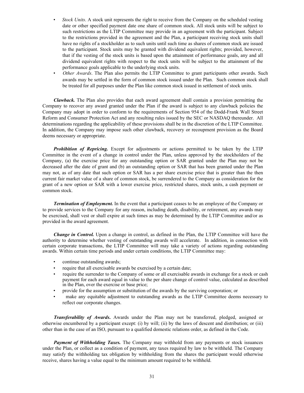- *Stock Units*. A stock unit represents the right to receive from the Company on the scheduled vesting date or other specified payment date one share of common stock. All stock units will be subject to such restrictions as the LTIP Committee may provide in an agreement with the participant. Subject to the restrictions provided in the agreement and the Plan, a participant receiving stock units shall have no rights of a stockholder as to such units until such time as shares of common stock are issued to the participant. Stock units may be granted with dividend equivalent rights; provided, however, that if the vesting of the stock units is based upon the attainment of performance goals, any and all dividend equivalent rights with respect to the stock units will be subject to the attainment of the performance goals applicable to the underlying stock units.
- *Other Awards*. The Plan also permits the LTIP Committee to grant participants other awards. Such awards may be settled in the form of common stock issued under the Plan. Such common stock shall be treated for all purposes under the Plan like common stock issued in settlement of stock units.

*Clawback.* The Plan also provides that each award agreement shall contain a provision permitting the Company to recover any award granted under the Plan if the award is subject to any clawback policies the Company may adopt in order to conform to the requirements of Section 954 of the Dodd-Frank Wall Street Reform and Consumer Protection Act and any resulting rules issued by the SEC or NASDAQ thereunder. All determinations regarding the applicability of these provisions shall be in the discretion of the LTIP Committee. In addition, the Company may impose such other clawback, recovery or recoupment provision as the Board deems necessary or appropriate.

**Prohibition of Repricing.** Except for adjustments or actions permitted to be taken by the LTIP Committee in the event of a change in control under the Plan, unless approved by the stockholders of the Company, (a) the exercise price for any outstanding option or SAR granted under the Plan may not be decreased after the date of grant and (b) an outstanding option or SAR that has been granted under the Plan may not, as of any date that such option or SAR has a per share exercise price that is greater than the then current fair market value of a share of common stock, be surrendered to the Company as consideration for the grant of a new option or SAR with a lower exercise price, restricted shares, stock units, a cash payment or common stock.

*Termination of Employment.* In the event that a participant ceases to be an employee of the Company or to provide services to the Company for any reason, including death, disability, or retirement, any awards may be exercised, shall vest or shall expire at such times as may be determined by the LTIP Committee and/or as provided in the award agreement.

*Change in Control.* Upon a change in control, as defined in the Plan, the LTIP Committee will have the authority to determine whether vesting of outstanding awards will accelerate. In addition, in connection with certain corporate transactions, the LTIP Committee will may take a variety of actions regarding outstanding awards. Within certain time periods and under certain conditions, the LTIP Committee may:

- continue outstanding awards;
- require that all exercisable awards be exercised by a certain date;
- require the surrender to the Company of some or all exercisable awards in exchange for a stock or cash payment for each award equal in value to the per share change of control value, calculated as described in the Plan, over the exercise or base price;
- provide for the assumption or substitution of the awards by the surviving corporation; or
- make any equitable adjustment to outstanding awards as the LTIP Committee deems necessary to reflect our corporate changes.

*Transferability of Awards***.** Awards under the Plan may not be transferred, pledged, assigned or otherwise encumbered by a participant except: (i) by will; (ii) by the laws of descent and distribution; or (iii) other than in the case of an ISO, pursuant to a qualified domestic relations order, as defined in the Code.

*Payment of Withholding Taxes.* The Company may withhold from any payments or stock issuances under the Plan, or collect as a condition of payment, any taxes required by law to be withheld. The Company may satisfy the withholding tax obligation by withholding from the shares the participant would otherwise receive, shares having a value equal to the minimum amount required to be withheld.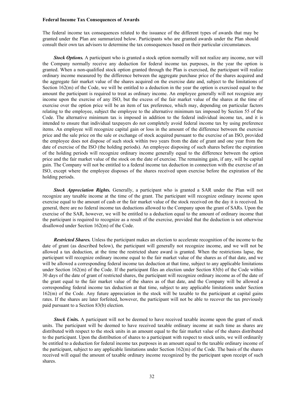#### **Federal Income Tax Consequences of Awards**

The federal income tax consequences related to the issuance of the different types of awards that may be granted under the Plan are summarized below. Participants who are granted awards under the Plan should consult their own tax advisors to determine the tax consequences based on their particular circumstances.

*Stock Options.* A participant who is granted a stock option normally will not realize any income, nor will the Company normally receive any deduction for federal income tax purposes, in the year the option is granted. When a non-qualified stock option granted through the Plan is exercised, the participant will realize ordinary income measured by the difference between the aggregate purchase price of the shares acquired and the aggregate fair market value of the shares acquired on the exercise date and, subject to the limitations of Section 162(m) of the Code, we will be entitled to a deduction in the year the option is exercised equal to the amount the participant is required to treat as ordinary income. An employee generally will not recognize any income upon the exercise of any ISO, but the excess of the fair market value of the shares at the time of exercise over the option price will be an item of tax preference, which may, depending on particular factors relating to the employee, subject the employee to the alternative minimum tax imposed by Section 55 of the Code. The alternative minimum tax is imposed in addition to the federal individual income tax, and it is intended to ensure that individual taxpayers do not completely avoid federal income tax by using preference items. An employee will recognize capital gain or loss in the amount of the difference between the exercise price and the sale price on the sale or exchange of stock acquired pursuant to the exercise of an ISO, provided the employee does not dispose of such stock within two years from the date of grant and one year from the date of exercise of the ISO (the holding periods). An employee disposing of such shares before the expiration of the holding periods will recognize ordinary income generally equal to the difference between the option price and the fair market value of the stock on the date of exercise. The remaining gain, if any, will be capital gain. The Company will not be entitled to a federal income tax deduction in connection with the exercise of an ISO, except where the employee disposes of the shares received upon exercise before the expiration of the holding periods.

*Stock Appreciation Rights.* Generally, a participant who is granted a SAR under the Plan will not recognize any taxable income at the time of the grant. The participant will recognize ordinary income upon exercise equal to the amount of cash or the fair market value of the stock received on the day it is received. In general, there are no federal income tax deductions allowed to the Company upon the grant of SARs. Upon the exercise of the SAR, however, we will be entitled to a deduction equal to the amount of ordinary income that the participant is required to recognize as a result of the exercise, provided that the deduction is not otherwise disallowed under Section 162(m) of the Code.

*Restricted Shares.* Unless the participant makes an election to accelerate recognition of the income to the date of grant (as described below), the participant will generally not recognize income, and we will not be allowed a tax deduction, at the time the restricted share award is granted. When the restrictions lapse, the participant will recognize ordinary income equal to the fair market value of the shares as of that date, and we will be allowed a corresponding federal income tax deduction at that time, subject to any applicable limitations under Section 162(m) of the Code. If the participant files an election under Section 83(b) of the Code within 30 days of the date of grant of restricted shares, the participant will recognize ordinary income as of the date of the grant equal to the fair market value of the shares as of that date, and the Company will be allowed a corresponding federal income tax deduction at that time, subject to any applicable limitations under Section 162(m) of the Code. Any future appreciation in the stock will be taxable to the participant at capital gains rates. If the shares are later forfeited, however, the participant will not be able to recover the tax previously paid pursuant to a Section 83(b) election.

*Stock Units.* A participant will not be deemed to have received taxable income upon the grant of stock units. The participant will be deemed to have received taxable ordinary income at such time as shares are distributed with respect to the stock units in an amount equal to the fair market value of the shares distributed to the participant. Upon the distribution of shares to a participant with respect to stock units, we will ordinarily be entitled to a deduction for federal income tax purposes in an amount equal to the taxable ordinary income of the participant, subject to any applicable limitations under Section 162(m) of the Code. The basis of the shares received will equal the amount of taxable ordinary income recognized by the participant upon receipt of such shares.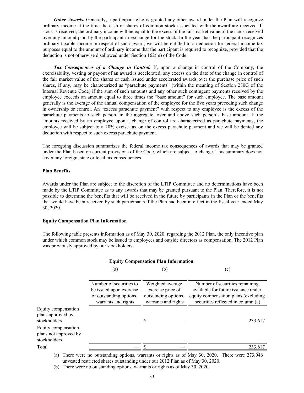*Other Awards.* Generally, a participant who is granted any other award under the Plan will recognize ordinary income at the time the cash or shares of common stock associated with the award are received. If stock is received, the ordinary income will be equal to the excess of the fair market value of the stock received over any amount paid by the participant in exchange for the stock. In the year that the participant recognizes ordinary taxable income in respect of such award, we will be entitled to a deduction for federal income tax purposes equal to the amount of ordinary income that the participant is required to recognize, provided that the deduction is not otherwise disallowed under Section 162(m) of the Code.

*Tax Consequences of a Change in Control.* If, upon a change in control of the Company, the exercisability, vesting or payout of an award is accelerated, any excess on the date of the change in control of the fair market value of the shares or cash issued under accelerated awards over the purchase price of such shares, if any, may be characterized as "parachute payments" (within the meaning of Section 280G of the Internal Revenue Code) if the sum of such amounts and any other such contingent payments received by the employee exceeds an amount equal to three times the "base amount" for such employee. The base amount generally is the average of the annual compensation of the employee for the five years preceding such change in ownership or control. An "excess parachute payment" with respect to any employee is the excess of the parachute payments to such person, in the aggregate, over and above such person's base amount. If the amounts received by an employee upon a change of control are characterized as parachute payments, the employee will be subject to a 20% excise tax on the excess parachute payment and we will be denied any deduction with respect to such excess parachute payment.

The foregoing discussion summarizes the federal income tax consequences of awards that may be granted under the Plan based on current provisions of the Code, which are subject to change. This summary does not cover any foreign, state or local tax consequences.

### **Plan Benefits**

Awards under the Plan are subject to the discretion of the LTIP Committee and no determinations have been made by the LTIP Committee as to any awards that may be granted pursuant to the Plan. Therefore, it is not possible to determine the benefits that will be received in the future by participants in the Plan or the benefits that would have been received by such participants if the Plan had been in effect in the fiscal year ended May 30, 2020.

#### **Equity Compensation Plan Information**

The following table presents information as of May 30, 2020, regarding the 2012 Plan, the only incentive plan under which common stock may be issued to employees and outside directors as compensation. The 2012 Plan was previously approved by our stockholders.

| Equity Compensation 1 ian 111101 mation                      |                                                                                                      |                                                                                      |                                                                                                                                                     |  |  |  |
|--------------------------------------------------------------|------------------------------------------------------------------------------------------------------|--------------------------------------------------------------------------------------|-----------------------------------------------------------------------------------------------------------------------------------------------------|--|--|--|
|                                                              | (a)                                                                                                  | (b)                                                                                  | (c)                                                                                                                                                 |  |  |  |
|                                                              | Number of securities to<br>be issued upon exercise<br>of outstanding options,<br>warrants and rights | Weighted average<br>exercise price of<br>outstanding options,<br>warrants and rights | Number of securities remaining<br>available for future issuance under<br>equity compensation plans (excluding<br>securities reflected in column (a) |  |  |  |
| Equity compensation<br>plans approved by<br>stockholders     |                                                                                                      | S                                                                                    | 233,617                                                                                                                                             |  |  |  |
| Equity compensation<br>plans not approved by<br>stockholders |                                                                                                      |                                                                                      |                                                                                                                                                     |  |  |  |
| Total                                                        |                                                                                                      |                                                                                      | 233,617                                                                                                                                             |  |  |  |

**Equity Compensation Plan Information**

(a) There were no outstanding options, warrants or rights as of May 30, 2020. There were 273,046 unvested restricted shares outstanding under our 2012 Plan as of May 30, 2020.

(b) There were no outstanding options, warrants or rights as of May 30, 2020.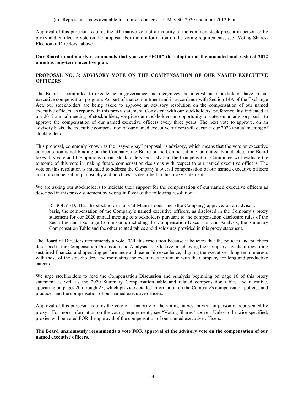(c) Represents shares available for future issuance as of May 30, 2020 under our 2012 Plan.

Approval of this proposal requires the affirmative vote of a majority of the common stock present in person or by proxy and entitled to vote on the proposal. For more information on the voting requirements, see "Voting Shares-Election of Directors" above.

### **Our Board unanimously recommends that you vote "FOR" the adoption of the amended and restated 2012 omnibus long-term incentive plan.**

# **PROPOSAL NO. 3: ADVISORY VOTE ON THE COMPENSATION OF OUR NAMED EXECUTIVE OFFICERS**

The Board is committed to excellence in governance and recognizes the interest our stockholders have in our executive compensation program. As part of that commitment and in accordance with Section 14A of the Exchange Act, our stockholders are being asked to approve an advisory resolution on the compensation of our named executive officers, as reported in this proxy statement. Consistent with our stockholders' preference, last indicated at our 2017 annual meeting of stockholders, we give our stockholders an opportunity to vote, on an advisory basis, to approve the compensation of our named executive officers every three years. The next vote to approve, on an advisory basis, the executive compensation of our named executive officers will occur at our 2023 annual meeting of stockholders.

This proposal, commonly known as the "say-on-pay" proposal, is advisory, which means that the vote on executive compensation is not binding on the Company, the Board or the Compensation Committee. Nonetheless, the Board takes this vote and the opinions of our stockholders seriously and the Compensation Committee will evaluate the outcome of this vote in making future compensation decisions with respect to our named executive officers. The vote on this resolution is intended to address the Company's overall compensation of our named executive officers and our compensation philosophy and practices, as described in this proxy statement.

We are asking our stockholders to indicate their support for the compensation of our named executive officers as described in this proxy statement by voting in favor of the following resolution:

RESOLVED, That the stockholders of Cal-Maine Foods, Inc. (the Company) approve, on an advisory basis, the compensation of the Company's named executive officers, as disclosed in the Company's proxy statement for our 2020 annual meeting of stockholders pursuant to the compensation disclosure rules of the Securities and Exchange Commission, including the Compensation Discussion and Analysis, the Summary Compensation Table and the other related tables and disclosures provided in this proxy statement.

The Board of Directors recommends a vote FOR this resolution because it believes that the policies and practices described in the Compensation Discussion and Analysis are effective in achieving the Company's goals of rewarding sustained financial and operating performance and leadership excellence, aligning the executives' long-term interests with those of the stockholders and motivating the executives to remain with the Company for long and productive careers.

We urge stockholders to read the Compensation Discussion and Analysis beginning on page 16 of this proxy statement as well as the 2020 Summary Compensation table and related compensation tables and narrative, appearing on pages 20 through 25, which provide detailed information on the Company's compensation policies and practices and the compensation of our named executive officers.

Approval of this proposal requires the vote of a majority of the voting interest present in person or represented by proxy. For more information on the voting requirements, see "Voting Shares" above. Unless otherwise specified, proxies will be voted FOR the approval of the compensation of our named executive officers.

**The Board unanimously recommends a vote FOR approval of the advisory vote on the compensation of our named executive officers.**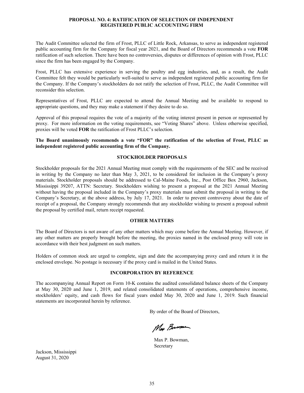### **PROPOSAL NO. 4: RATIFICATION OF SELECTION OF INDEPENDENT REGISTERED PUBLIC ACCOUNTING FIRM**

The Audit Committee selected the firm of Frost, PLLC of Little Rock, Arkansas, to serve as independent registered public accounting firm for the Company for fiscal year 2021, and the Board of Directors recommends a vote **FOR**  ratification of such selection. There have been no controversies, disputes or differences of opinion with Frost, PLLC since the firm has been engaged by the Company.

Frost, PLLC has extensive experience in serving the poultry and egg industries, and, as a result, the Audit Committee felt they would be particularly well-suited to serve as independent registered public accounting firm for the Company. If the Company's stockholders do not ratify the selection of Frost, PLLC, the Audit Committee will reconsider this selection.

Representatives of Frost, PLLC are expected to attend the Annual Meeting and be available to respond to appropriate questions, and they may make a statement if they desire to do so.

Approval of this proposal requires the vote of a majority of the voting interest present in person or represented by proxy. For more information on the voting requirements, see "Voting Shares" above. Unless otherwise specified, proxies will be voted **FOR** the ratification of Frost PLLC's selection.

# **The Board unanimously recommends a vote "FOR" the ratification of the selection of Frost, PLLC as independent registered public accounting firm of the Company.**

### **STOCKHOLDER PROPOSALS**

Stockholder proposals for the 2021 Annual Meeting must comply with the requirements of the SEC and be received in writing by the Company no later than May 3, 2021, to be considered for inclusion in the Company's proxy materials. Stockholder proposals should be addressed to Cal-Maine Foods, Inc., Post Office Box 2960, Jackson, Mississippi 39207, ATTN: Secretary. Stockholders wishing to present a proposal at the 2021 Annual Meeting without having the proposal included in the Company's proxy materials must submit the proposal in writing to the Company's Secretary, at the above address, by July 17, 2021. In order to prevent controversy about the date of receipt of a proposal, the Company strongly recommends that any stockholder wishing to present a proposal submit the proposal by certified mail, return receipt requested.

### **OTHER MATTERS**

The Board of Directors is not aware of any other matters which may come before the Annual Meeting. However, if any other matters are properly brought before the meeting, the proxies named in the enclosed proxy will vote in accordance with their best judgment on such matters.

Holders of common stock are urged to complete, sign and date the accompanying proxy card and return it in the enclosed envelope. No postage is necessary if the proxy card is mailed in the United States.

### **INCORPORATION BY REFERENCE**

The accompanying Annual Report on Form 10-K contains the audited consolidated balance sheets of the Company at May 30, 2020 and June 1, 2019, and related consolidated statements of operations, comprehensive income, stockholders' equity, and cash flows for fiscal years ended May 30, 2020 and June 1, 2019. Such financial statements are incorporated herein by reference.

By order of the Board of Directors,

May Brunson

Max P. Bowman, Secretary

Jackson, Mississippi August 31, 2020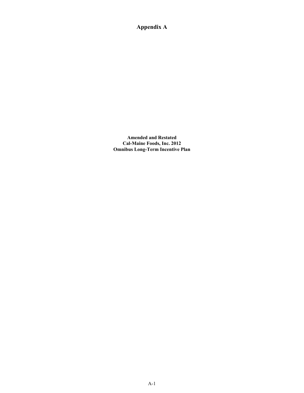**Appendix A**

**Amended and Restated Cal-Maine Foods, Inc. 2012 Omnibus Long-Term Incentive Plan**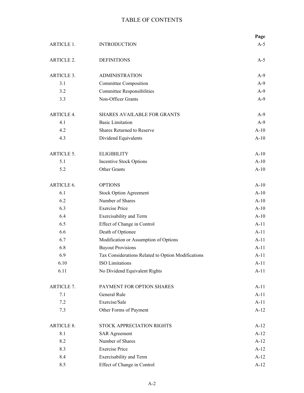# TABLE OF CONTENTS

|                   |                                                    | Page   |
|-------------------|----------------------------------------------------|--------|
| <b>ARTICLE 1.</b> | <b>INTRODUCTION</b>                                | $A-5$  |
| <b>ARTICLE 2.</b> | <b>DEFINITIONS</b>                                 | $A-5$  |
| <b>ARTICLE 3.</b> | <b>ADMINISTRATION</b>                              | $A-9$  |
| 3.1               | Committee Composition                              | $A-9$  |
| 3.2               | <b>Committee Responsibilities</b>                  | $A-9$  |
| 3.3               | Non-Officer Grants                                 | $A-9$  |
| <b>ARTICLE 4.</b> | <b>SHARES AVAILABLE FOR GRANTS</b>                 | $A-9$  |
| 4.1               | <b>Basic Limitation</b>                            | $A-9$  |
| 4.2               | <b>Shares Returned to Reserve</b>                  | $A-10$ |
| 4.3               | Dividend Equivalents                               | $A-10$ |
| <b>ARTICLE 5.</b> | <b>ELIGIBILITY</b>                                 | $A-10$ |
| 5.1               | <b>Incentive Stock Options</b>                     | $A-10$ |
| 5.2               | <b>Other Grants</b>                                | $A-10$ |
| ARTICLE 6.        | <b>OPTIONS</b>                                     | $A-10$ |
| 6.1               | <b>Stock Option Agreement</b>                      | $A-10$ |
| 6.2               | Number of Shares                                   | $A-10$ |
| 6.3               | <b>Exercise Price</b>                              | $A-10$ |
| 6.4               | Exercisability and Term                            | $A-10$ |
| 6.5               | Effect of Change in Control                        | $A-11$ |
| 6.6               | Death of Optionee                                  | $A-11$ |
| 6.7               | Modification or Assumption of Options              | $A-11$ |
| 6.8               | <b>Buyout Provisions</b>                           | $A-11$ |
| 6.9               | Tax Considerations Related to Option Modifications | $A-11$ |
| 6.10              | <b>ISO</b> Limitations                             | $A-11$ |
| 6.11              | No Dividend Equivalent Rights                      | $A-11$ |
| <b>ARTICLE 7.</b> | PAYMENT FOR OPTION SHARES                          | $A-11$ |
| 7.1               | General Rule                                       | $A-11$ |
| 7.2               | Exercise/Sale                                      | $A-11$ |
| 7.3               | Other Forms of Payment                             | $A-12$ |
| <b>ARTICLE 8.</b> | STOCK APPRECIATION RIGHTS                          | $A-12$ |
| 8.1               | <b>SAR Agreement</b>                               | $A-12$ |
| 8.2               | Number of Shares                                   | $A-12$ |
| 8.3               | <b>Exercise Price</b>                              | $A-12$ |
| 8.4               | Exercisability and Term                            | $A-12$ |
| 8.5               | Effect of Change in Control                        | $A-12$ |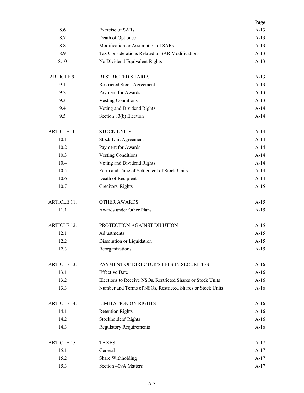|                    |                                                             | Page   |
|--------------------|-------------------------------------------------------------|--------|
| 8.6                | <b>Exercise of SARs</b>                                     | $A-13$ |
| 8.7                | Death of Optionee                                           | $A-13$ |
| 8.8                | Modification or Assumption of SARs                          | $A-13$ |
| 8.9                | Tax Considerations Related to SAR Modifications             | $A-13$ |
| 8.10               | No Dividend Equivalent Rights                               | $A-13$ |
| <b>ARTICLE 9.</b>  | <b>RESTRICTED SHARES</b>                                    | $A-13$ |
| 9.1                | Restricted Stock Agreement                                  | $A-13$ |
| 9.2                | Payment for Awards                                          | $A-13$ |
| 9.3                | <b>Vesting Conditions</b>                                   | $A-13$ |
| 9.4                | Voting and Dividend Rights                                  | $A-14$ |
| 9.5                | Section 83(b) Election                                      | $A-14$ |
| <b>ARTICLE 10.</b> | <b>STOCK UNITS</b>                                          | $A-14$ |
| 10.1               | <b>Stock Unit Agreement</b>                                 | $A-14$ |
| 10.2               | Payment for Awards                                          | $A-14$ |
| 10.3               | <b>Vesting Conditions</b>                                   | $A-14$ |
| 10.4               | Voting and Dividend Rights                                  | $A-14$ |
| 10.5               | Form and Time of Settlement of Stock Units                  | $A-14$ |
| 10.6               | Death of Recipient                                          | $A-14$ |
| 10.7               | Creditors' Rights                                           | $A-15$ |
| <b>ARTICLE 11.</b> | <b>OTHER AWARDS</b>                                         | $A-15$ |
| 11.1               | Awards under Other Plans                                    | $A-15$ |
| <b>ARTICLE 12.</b> | PROTECTION AGAINST DILUTION                                 | $A-15$ |
| 12.1               | Adjustments                                                 | $A-15$ |
| 12.2               | Dissolution or Liquidation                                  | A-15   |
| 12.3               | Reorganizations                                             | $A-15$ |
| ARTICLE 13.        | PAYMENT OF DIRECTOR'S FEES IN SECURITIES                    | $A-16$ |
| 13.1               | <b>Effective Date</b>                                       | $A-16$ |
| 13.2               | Elections to Receive NSOs, Restricted Shares or Stock Units | $A-16$ |
| 13.3               | Number and Terms of NSOs, Restricted Shares or Stock Units  | $A-16$ |
| <b>ARTICLE 14.</b> | <b>LIMITATION ON RIGHTS</b>                                 | $A-16$ |
| 14.1               | <b>Retention Rights</b>                                     | $A-16$ |
| 14.2               | Stockholders' Rights                                        | $A-16$ |
| 14.3               | <b>Regulatory Requirements</b>                              | $A-16$ |
| ARTICLE 15.        | <b>TAXES</b>                                                | $A-17$ |
| 15.1               | General                                                     | $A-17$ |
| 15.2               | Share Withholding                                           | $A-17$ |
| 15.3               | Section 409A Matters                                        | $A-17$ |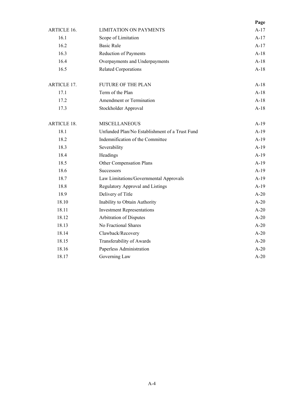|                    |                                                | Page   |
|--------------------|------------------------------------------------|--------|
| <b>ARTICLE 16.</b> | <b>LIMITATION ON PAYMENTS</b>                  | $A-17$ |
| 16.1               | Scope of Limitation                            | $A-17$ |
| 16.2               | <b>Basic Rule</b>                              | A-17   |
| 16.3               | Reduction of Payments                          | $A-18$ |
| 16.4               | Overpayments and Underpayments                 | $A-18$ |
| 16.5               | <b>Related Corporations</b>                    | $A-18$ |
| <b>ARTICLE 17.</b> | <b>FUTURE OF THE PLAN</b>                      | $A-18$ |
| 17.1               | Term of the Plan                               | $A-18$ |
| 17.2               | Amendment or Termination                       | $A-18$ |
| 17.3               | Stockholder Approval                           | $A-18$ |
| <b>ARTICLE 18.</b> | <b>MISCELLANEOUS</b>                           | $A-19$ |
| 18.1               | Unfunded Plan/No Establishment of a Trust Fund | $A-19$ |
| 18.2               | Indemnification of the Committee               | $A-19$ |
| 18.3               | Severability                                   | $A-19$ |
| 18.4               | Headings                                       | $A-19$ |
| 18.5               | Other Compensation Plans                       | $A-19$ |
| 18.6               | <b>Successors</b>                              | $A-19$ |
| 18.7               | Law Limitations/Governmental Approvals         | $A-19$ |
| 18.8               | Regulatory Approval and Listings               | $A-19$ |
| 18.9               | Delivery of Title                              | $A-20$ |
| 18.10              | Inability to Obtain Authority                  | $A-20$ |
| 18.11              | <b>Investment Representations</b>              | $A-20$ |
| 18.12              | Arbitration of Disputes                        | $A-20$ |
| 18.13              | No Fractional Shares                           | $A-20$ |
| 18.14              | Clawback/Recovery                              | $A-20$ |
| 18.15              | Transferability of Awards                      | $A-20$ |
| 18.16              | Paperless Administration                       | $A-20$ |
| 18.17              | Governing Law                                  | $A-20$ |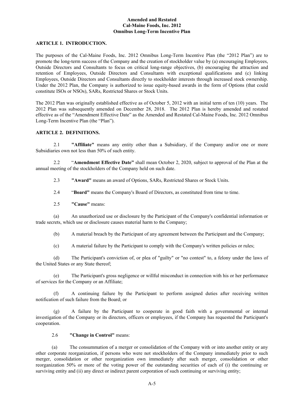# **Amended and Restated Cal-Maine Foods, Inc. 2012 Omnibus Long-Term Incentive Plan**

#### **ARTICLE 1. INTRODUCTION.**

The purposes of the Cal-Maine Foods, Inc. 2012 Omnibus Long-Term Incentive Plan (the "2012 Plan") are to promote the long-term success of the Company and the creation of stockholder value by (a) encouraging Employees, Outside Directors and Consultants to focus on critical long-range objectives, (b) encouraging the attraction and retention of Employees, Outside Directors and Consultants with exceptional qualifications and (c) linking Employees, Outside Directors and Consultants directly to stockholder interests through increased stock ownership. Under the 2012 Plan, the Company is authorized to issue equity-based awards in the form of Options (that could constitute ISOs or NSOs), SARs, Restricted Shares or Stock Units.

The 2012 Plan was originally established effective as of October 5, 2012 with an initial term of ten (10) years. The 2012 Plan was subsequently amended on December 28, 2018. The 2012 Plan is hereby amended and restated effective as of the "Amendment Effective Date" as the Amended and Restated Cal-Maine Foods, Inc. 2012 Omnibus Long-Term Incentive Plan (the "Plan").

### **ARTICLE 2. DEFINITIONS.**

2.1 **"Affiliate"** means any entity other than a Subsidiary, if the Company and/or one or more Subsidiaries own not less than 50% of such entity.

2.2 "**Amendment Effective Date"** shall mean October 2, 2020, subject to approval of the Plan at the annual meeting of the stockholders of the Company held on such date.

2.3 **"Award"** means an award of Options, SARs, Restricted Shares or Stock Units.

2.4 "**Board"** means the Company's Board of Directors, as constituted from time to time.

2.5 **"Cause"** means:

(a) An unauthorized use or disclosure by the Participant of the Company's confidential information or trade secrets, which use or disclosure causes material harm to the Company;

(b) A material breach by the Participant of any agreement between the Participant and the Company;

(c) A material failure by the Participant to comply with the Company's written policies or rules;

(d) The Participant's conviction of, or plea of "guilty" or "no contest" to, a felony under the laws of the United States or any State thereof;

(e) The Participant's gross negligence or willful misconduct in connection with his or her performance of services for the Company or an Affiliate;

(f) A continuing failure by the Participant to perform assigned duties after receiving written notification of such failure from the Board; or

(g) A failure by the Participant to cooperate in good faith with a governmental or internal investigation of the Company or its directors, officers or employees, if the Company has requested the Participant's cooperation.

#### 2.6 **"Change in Control"** means:

(a) The consummation of a merger or consolidation of the Company with or into another entity or any other corporate reorganization, if persons who were not stockholders of the Company immediately prior to such merger, consolidation or other reorganization own immediately after such merger, consolidation or other reorganization 50% or more of the voting power of the outstanding securities of each of (i) the continuing or surviving entity and (ii) any direct or indirect parent corporation of such continuing or surviving entity;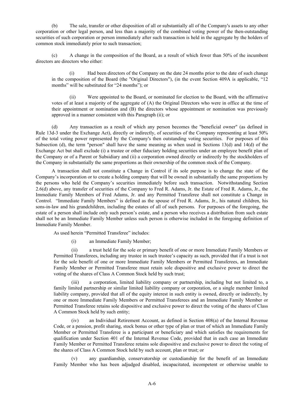(b) The sale, transfer or other disposition of all or substantially all of the Company's assets to any other corporation or other legal person, and less than a majority of the combined voting power of the then-outstanding securities of such corporation or person immediately after such transaction is held in the aggregate by the holders of common stock immediately prior to such transaction;

(c) A change in the composition of the Board, as a result of which fewer than 50% of the incumbent directors are directors who either:

(i) Had been directors of the Company on the date 24 months prior to the date of such change in the composition of the Board (the "Original Directors"), (in the event Section 409A is applicable, "12 months" will be substituted for "24 months"); or

(ii) Were appointed to the Board, or nominated for election to the Board, with the affirmative votes of at least a majority of the aggregate of (A) the Original Directors who were in office at the time of their appointment or nomination and (B) the directors whose appointment or nomination was previously approved in a manner consistent with this Paragraph (ii); or

(d) Any transaction as a result of which any person becomes the "beneficial owner" (as defined in Rule 13d-3 under the Exchange Act), directly or indirectly, of securities of the Company representing at least 50% of the total voting power represented by the Company's then outstanding voting securities. For purposes of this Subsection (d), the term "person" shall have the same meaning as when used in Sections 13(d) and 14(d) of the Exchange Act but shall exclude (i) a trustee or other fiduciary holding securities under an employee benefit plan of the Company or of a Parent or Subsidiary and (ii) a corporation owned directly or indirectly by the stockholders of the Company in substantially the same proportions as their ownership of the common stock of the Company.

A transaction shall not constitute a Change in Control if its sole purpose is to change the state of the Company's incorporation or to create a holding company that will be owned in substantially the same proportions by the persons who held the Company's securities immediately before such transaction. Notwithstanding Section 2.6(d) above, any transfer of securities of the Company to Fred R. Adams, Jr. the Estate of Fred R. Adams, Jr., the Immediate Family Members of Fred Adams, Jr. and any Permitted Transferee shall not constitute a Change in Control. "Immediate Family Members" is defined as the spouse of Fred R. Adams, Jr., his natural children, his sons-in-law and his grandchildren, including the estates of all of such persons. For purposes of the foregoing, the estate of a person shall include only such person's estate, and a person who receives a distribution from such estate shall not be an Immediate Family Member unless such person is otherwise included in the foregoing definition of Immediate Family Member.

As used herein "Permitted Transferee" includes:

(i) an Immediate Family Member;

(ii) a trust held for the sole or primary benefit of one or more Immediate Family Members or Permitted Transferees, including any trustee in such trustee's capacity as such, provided that if a trust is not for the sole benefit of one or more Immediate Family Members or Permitted Transferees, an Immediate Family Member or Permitted Transferee must retain sole dispositive and exclusive power to direct the voting of the shares of Class A Common Stock held by such trust;

(iii) a corporation, limited liability company or partnership, including but not limited to, a family limited partnership or similar limited liability company or corporation, or a single member limited liability company, provided that all of the equity interest in such entity is owned, directly or indirectly, by one or more Immediate Family Members or Permitted Transferees and an Immediate Family Member or Permitted Transferee retains sole dispositive and exclusive power to direct the voting of the shares of Class A Common Stock held by such entity;

(iv) an Individual Retirement Account, as defined in Section 408(a) of the Internal Revenue Code, or a pension, profit sharing, stock bonus or other type of plan or trust of which an Immediate Family Member or Permitted Transferee is a participant or beneficiary and which satisfies the requirements for qualification under Section 401 of the Internal Revenue Code, provided that in each case an Immediate Family Member or Permitted Transferee retains sole dispositive and exclusive power to direct the voting of the shares of Class A Common Stock held by such account, plan or trust; or

(v) any guardianship, conservatorship or custodianship for the benefit of an Immediate Family Member who has been adjudged disabled, incapacitated, incompetent or otherwise unable to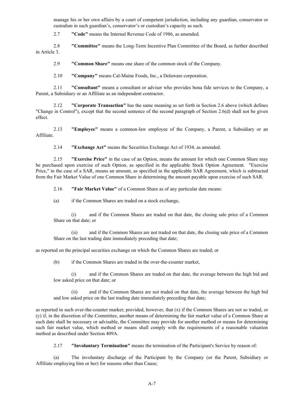manage his or her own affairs by a court of competent jurisdiction, including any guardian, conservator or custodian in such guardian's, conservator's or custodian's capacity as such.

2.7 **"Code"** means the Internal Revenue Code of 1986, as amended.

2.8 **"Committee"** means the Long-Term Incentive Plan Committee of the Board, as further described in Article 3.

2.9 **"Common Share"** means one share of the common stock of the Company.

2.10 **"Company"** means Cal-Maine Foods, Inc., a Delaware corporation.

2.11 **"Consultant"** means a consultant or adviser who provides bona fide services to the Company, a Parent, a Subsidiary or an Affiliate as an independent contractor.

2.12 **"Corporate Transaction"** has the same meaning as set forth in Section 2.6 above (which defines "Change in Control"), except that the second sentence of the second paragraph of Section 2.6(d) shall not be given effect.

2.13 **"Employee"** means a common-law employee of the Company, a Parent, a Subsidiary or an Affiliate.

2.14 **"Exchange Act"** means the Securities Exchange Act of 1934, as amended.

2.15 **"Exercise Price"** in the case of an Option, means the amount for which one Common Share may be purchased upon exercise of such Option, as specified in the applicable Stock Option Agreement. "Exercise Price," in the case of a SAR, means an amount, as specified in the applicable SAR Agreement, which is subtracted from the Fair Market Value of one Common Share in determining the amount payable upon exercise of such SAR.

2.16 **"Fair Market Value"** of a Common Share as of any particular date means:

(a) if the Common Shares are traded on a stock exchange,

(i) and if the Common Shares are traded on that date, the closing sale price of a Common Share on that date; or

(ii) and if the Common Shares are not traded on that date, the closing sale price of a Common Share on the last trading date immediately preceding that date;

as reported on the principal securities exchange on which the Common Shares are traded; or

(b) if the Common Shares are traded in the over-the-counter market,

(i) and if the Common Shares are traded on that date, the average between the high bid and low asked price on that date; or

and if the Common Shares are not traded on that date, the average between the high bid and low asked price on the last trading date immediately preceding that date;

as reported in such over-the-counter market; provided, however, that (x) if the Common Shares are not so traded, or (y) if, in the discretion of the Committee, another means of determining the fair market value of a Common Share at such date shall be necessary or advisable, the Committee may provide for another method or means for determining such fair market value, which method or means shall comply with the requirements of a reasonable valuation method as described under Section 409A.

2.17 **"Involuntary Termination"** means the termination of the Participant's Service by reason of:

(a) The involuntary discharge of the Participant by the Company (or the Parent, Subsidiary or Affiliate employing him or her) for reasons other than Cause;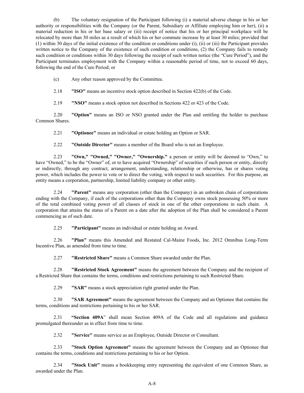(b) The voluntary resignation of the Participant following (i) a material adverse change in his or her authority or responsibilities with the Company (or the Parent, Subsidiary or Affiliate employing him or her), (ii) a material reduction in his or her base salary or (iii) receipt of notice that his or her principal workplace will be relocated by more than 30 miles as a result of which his or her commute increase by at least 30 miles; provided that (1) within 30 days of the initial existence of the condition or conditions under (i), (ii) or (iii) the Participant provides written notice to the Company of the existence of such condition or conditions, (2) the Company fails to remedy such condition or conditions within 30 days following the receipt of such written notice (the "Cure Period"), and the Participant terminates employment with the Company within a reasonable period of time, not to exceed 60 days, following the end of the Cure Period; or

(c) Any other reason approved by the Committee.

2.18 **"ISO"** means an incentive stock option described in Section 422(b) of the Code.

2.19 **"NSO"** means a stock option not described in Sections 422 or 423 of the Code.

2.20 **"Option"** means an ISO or NSO granted under the Plan and entitling the holder to purchase Common Shares.

2.21 **"Optionee"** means an individual or estate holding an Option or SAR.

2.22 **"Outside Director"** means a member of the Board who is not an Employee.

2.23 **"Own," "Owned," "Owner," "Ownership."** a person or entity will be deemed to "Own," to have "Owned," to be the "Owner" of, or to have acquired "Ownership" of securities if such person or entity, directly or indirectly, through any contract, arrangement, understanding, relationship or otherwise, has or shares voting power, which includes the power to vote or to direct the voting, with respect to such securities. For this purpose, an entity means a corporation, partnership, limited liability company or other entity.

2.24 **"Parent"** means any corporation (other than the Company) in an unbroken chain of corporations ending with the Company, if each of the corporations other than the Company owns stock possessing 50% or more of the total combined voting power of all classes of stock in one of the other corporations in such chain. A corporation that attains the status of a Parent on a date after the adoption of the Plan shall be considered a Parent commencing as of such date.

2.25 **"Participant"** means an individual or estate holding an Award.

 2.26 **"Plan"** means this Amended and Restated Cal-Maine Foods, Inc. 2012 Omnibus Long-Term Incentive Plan, as amended from time to time.

2.27 **"Restricted Share"** means a Common Share awarded under the Plan.

2.28 **"Restricted Stock Agreement"** means the agreement between the Company and the recipient of a Restricted Share that contains the terms, conditions and restrictions pertaining to such Restricted Share.

2.29 **"SAR"** means a stock appreciation right granted under the Plan.

2.30 **"SAR Agreement"** means the agreement between the Company and an Optionee that contains the terms, conditions and restrictions pertaining to his or her SAR.

2.31 **"Section 409A**" shall mean Section 409A of the Code and all regulations and guidance promulgated thereunder as in effect from time to time.

2.32 **"Service"** means service as an Employee, Outside Director or Consultant.

2.33 **"Stock Option Agreement"** means the agreement between the Company and an Optionee that contains the terms, conditions and restrictions pertaining to his or her Option.

2.34 **"Stock Unit"** means a bookkeeping entry representing the equivalent of one Common Share, as awarded under the Plan.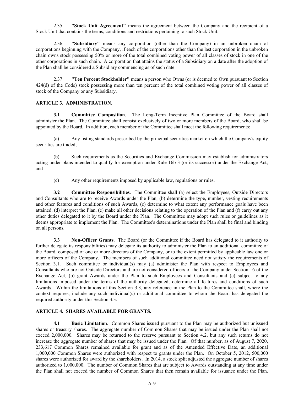2.35 **"Stock Unit Agreement"** means the agreement between the Company and the recipient of a Stock Unit that contains the terms, conditions and restrictions pertaining to such Stock Unit.

2.36 **"Subsidiary"** means any corporation (other than the Company) in an unbroken chain of corporations beginning with the Company, if each of the corporations other than the last corporation in the unbroken chain owns stock possessing 50% or more of the total combined voting power of all classes of stock in one of the other corporations in such chain. A corporation that attains the status of a Subsidiary on a date after the adoption of the Plan shall be considered a Subsidiary commencing as of such date.

2.37 **"Ten Percent Stockholder"** means a person who Owns (or is deemed to Own pursuant to Section 424(d) of the Code) stock possessing more than ten percent of the total combined voting power of all classes of stock of the Company or any Subsidiary.

# **ARTICLE 3. ADMINISTRATION.**

**3.1 Committee Composition**. The Long-Term Incentive Plan Committee of the Board shall administer the Plan. The Committee shall consist exclusively of two or more members of the Board, who shall be appointed by the Board. In addition, each member of the Committee shall meet the following requirements:

(a) Any listing standards prescribed by the principal securities market on which the Company's equity securities are traded;

(b) Such requirements as the Securities and Exchange Commission may establish for administrators acting under plans intended to qualify for exemption under Rule 16b-3 (or its successor) under the Exchange Act; and

(c) Any other requirements imposed by applicable law, regulations or rules.

**3.2 Committee Responsibilities**. The Committee shall (a) select the Employees, Outside Directors and Consultants who are to receive Awards under the Plan, (b) determine the type, number, vesting requirements and other features and conditions of such Awards, (c) determine to what extent any performance goals have been attained, (d) interpret the Plan, (e) make all other decisions relating to the operation of the Plan and (f) carry out any other duties delegated to it by the Board under the Plan. The Committee may adopt such rules or guidelines as it deems appropriate to implement the Plan. The Committee's determinations under the Plan shall be final and binding on all persons.

**3.3** Non-Officer Grants. The Board (or the Committee if the Board has delegated to it authority to further delegate its responsibilities) may delegate its authority to administer the Plan to an additional committee of the Board, composed of one or more directors of the Company, or to the extent permitted by applicable law one or more officers of the Company. The members of such additional committee need not satisfy the requirements of Section 3.1. Such committee or individual(s) may (a) administer the Plan with respect to Employees and Consultants who are not Outside Directors and are not considered officers of the Company under Section 16 of the Exchange Act, (b) grant Awards under the Plan to such Employees and Consultants and (c) subject to any limitations imposed under the terms of the authority delegated, determine all features and conditions of such Awards. Within the limitations of this Section 3.3, any reference in the Plan to the Committee shall, where the context requires, include any such individual(s) or additional committee to whom the Board has delegated the required authority under this Section 3.3.

# **ARTICLE 4. SHARES AVAILABLE FOR GRANTS.**

**4.1 Basic Limitation**. Common Shares issued pursuant to the Plan may be authorized but unissued shares or treasury shares. The aggregate number of Common Shares that may be issued under the Plan shall not exceed 2,000,000. Shares may be returned to the reserve pursuant to Section 4.2, but any such returns do not increase the aggregate number of shares that may be issued under the Plan. Of that number, as of August 7, 2020, 233,617 Common Shares remained available for grant and as of the Amended Effective Date, an additional 1,000,000 Common Shares were authorized with respect to grants under the Plan. On October 5, 2012, 500,000 shares were authorized for award by the shareholders. In 2014, a stock split adjusted the aggregate number of shares authorized to 1,000,000. The number of Common Shares that are subject to Awards outstanding at any time under the Plan shall not exceed the number of Common Shares that then remain available for issuance under the Plan.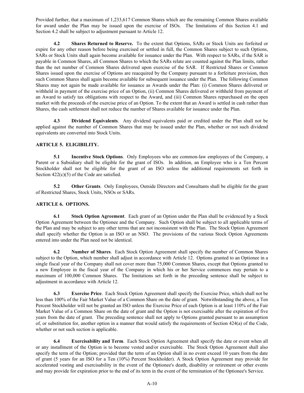Provided further, that a maximum of 1,233,617 Common Shares which are the remaining Common Shares available for award under the Plan may be issued upon the exercise of ISOs. The limitations of this Section 4.1 and Section 4.2 shall be subject to adjustment pursuant to Article 12.

**4.2 Shares Returned to Reserve.** To the extent that Options, SARs or Stock Units are forfeited or expire for any other reason before being exercised or settled in full, the Common Shares subject to such Options, SARs or Stock Units shall again become available for issuance under the Plan. With respect to SARs, if the SAR is payable in Common Shares, all Common Shares to which the SARs relate are counted against the Plan limits, rather than the net number of Common Shares delivered upon exercise of the SAR. If Restricted Shares or Common Shares issued upon the exercise of Options are reacquired by the Company pursuant to a forfeiture provision, then such Common Shares shall again become available for subsequent issuance under the Plan. The following Common Shares may not again be made available for issuance as Awards under the Plan: (i) Common Shares delivered or withheld in payment of the exercise price of an Option, (ii) Common Shares delivered or withheld from payment of an Award to satisfy tax obligations with respect to the Award, and (iii) Common Shares repurchased on the open market with the proceeds of the exercise price of an Option. To the extent that an Award is settled in cash rather than Shares, the cash settlement shall not reduce the number of Shares available for issuance under the Plan.

**4.3 Dividend Equivalents**. Any dividend equivalents paid or credited under the Plan shall not be applied against the number of Common Shares that may be issued under the Plan, whether or not such dividend equivalents are converted into Stock Units.

# **ARTICLE 5. ELIGIBILITY.**

**5.1 Incentive Stock Options**. Only Employees who are common-law employees of the Company, a Parent or a Subsidiary shall be eligible for the grant of ISOs. In addition, an Employee who is a Ten Percent Stockholder shall not be eligible for the grant of an ISO unless the additional requirements set forth in Section  $422(c)(5)$  of the Code are satisfied.

**5.2 Other Grants**. Only Employees, Outside Directors and Consultants shall be eligible for the grant of Restricted Shares, Stock Units, NSOs or SARs.

# **ARTICLE 6. OPTIONS.**

**6.1 Stock Option Agreement**. Each grant of an Option under the Plan shall be evidenced by a Stock Option Agreement between the Optionee and the Company. Such Option shall be subject to all applicable terms of the Plan and may be subject to any other terms that are not inconsistent with the Plan. The Stock Option Agreement shall specify whether the Option is an ISO or an NSO. The provisions of the various Stock Option Agreements entered into under the Plan need not be identical.

**6.2 Number of Shares**. Each Stock Option Agreement shall specify the number of Common Shares subject to the Option, which number shall adjust in accordance with Article 12. Options granted to an Optionee in a single fiscal year of the Company shall not cover more than 75,000 Common Shares, except that Options granted to a new Employee in the fiscal year of the Company in which his or her Service commences may pertain to a maximum of 100,000 Common Shares. The limitations set forth in the preceding sentence shall be subject to adjustment in accordance with Article 12.

**6.3 Exercise Price**. Each Stock Option Agreement shall specify the Exercise Price, which shall not be less than 100% of the Fair Market Value of a Common Share on the date of grant. Notwithstanding the above, a Ten Percent Stockholder will not be granted an ISO unless the Exercise Price of each Option is at least 110% of the Fair Market Value of a Common Share on the date of grant and the Option is not exercisable after the expiration of five years from the date of grant. The preceding sentence shall not apply to Options granted pursuant to an assumption of, or substitution for, another option in a manner that would satisfy the requirements of Section 424(a) of the Code, whether or not such section is applicable.

**6.4 Exercisability and Term**. Each Stock Option Agreement shall specify the date or event when all or any installment of the Option is to become vested and/or exercisable. The Stock Option Agreement shall also specify the term of the Option; provided that the term of an Option shall in no event exceed 10 years from the date of grant (5 years for an ISO for a Ten (10%) Percent Stockholder). A Stock Option Agreement may provide for accelerated vesting and exercisability in the event of the Optionee's death, disability or retirement or other events and may provide for expiration prior to the end of its term in the event of the termination of the Optionee's Service.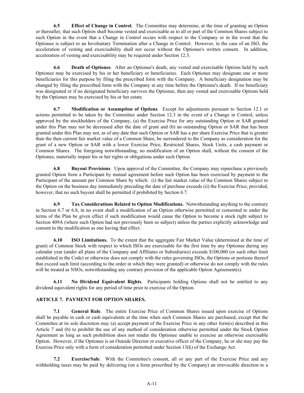**6.5 Effect of Change in Control.** The Committee may determine, at the time of granting an Option or thereafter, that such Option shall become vested and exercisable as to all or part of the Common Shares subject to such Option in the event that a Change in Control occurs with respect to the Company or in the event that the Optionee is subject to an Involuntary Termination after a Change in Control. However, in the case of an ISO, the acceleration of vesting and exercisability shall not occur without the Optionee's written consent. In addition, acceleration of vesting and exercisability may be required under Section 12.3.

**6.6 Death of Optionee**. After an Optionee's death, any vested and exercisable Options held by such Optionee may be exercised by his or her beneficiary or beneficiaries. Each Optionee may designate one or more beneficiaries for this purpose by filing the prescribed form with the Company. A beneficiary designation may be changed by filing the prescribed form with the Company at any time before the Optionee's death. If no beneficiary was designated or if no designated beneficiary survives the Optionee, then any vested and exercisable Options held by the Optionee may be exercised by his or her estate.

**6.7 Modification or Assumption of Options**. Except for adjustments pursuant to Section 12.1 or actions permitted to be taken by the Committee under Section 12.3 in the event of a Change in Control, unless approved by the stockholders of the Company, (a) the Exercise Price for any outstanding Option or SAR granted under this Plan may not be decreased after the date of grant and (b) an outstanding Option or SAR that has been granted under this Plan may not, as of any date that such Option or SAR has a per share Exercise Price that is greater than the then current fair market value of a Common Share, be surrendered to the Company as consideration for the grant of a new Option or SAR with a lower Exercise Price, Restricted Shares, Stock Units, a cash payment or Common Shares. The foregoing notwithstanding, no modification of an Option shall, without the consent of the Optionee, materially impair his or her rights or obligations under such Option.

**6.8 Buyout Provisions**. Upon approval of the Committee, the Company may repurchase a previously granted Option from a Participant by mutual agreement before such Option has been exercised by payment to the Participant of the amount per Common Share by which: (i) the fair market value of the Common Shares subject to the Option on the business day immediately preceding the date of purchase exceeds (ii) the Exercise Price; provided, however, that no such buyout shall be permitted if prohibited by Section 6.7.

**6.9 Tax Considerations Related to Option Modifications.** Notwithstanding anything to the contrary in Section 6.7 or 6.8, in no event shall a modification of an Option otherwise permitted or consented to under the terms of the Plan be given effect if such modification would cause the Option to become a stock right subject to Section 409A (where such Option had not previously been so subject) unless the parties explicitly acknowledge and consent to the modification as one having that effect.

**6.10 ISO Limitations.** To the extent that the aggregate Fair Market Value (determined at the time of grant) of Common Stock with respect to which ISOs are exercisable for the first time by any Optionee during any calendar year (under all plans of the Company and Affiliates or Subsidiaries) exceeds \$100,000 (or such other limit established in the Code) or otherwise does not comply with the rules governing ISOs, the Options or portions thereof that exceed such limit (according to the order in which they were granted) or otherwise do not comply with the rules will be treated as NSOs, notwithstanding any contrary provision of the applicable Option Agreement(s).

**6.11 No Dividend Equivalent Rights**. Participants holding Options shall not be entitled to any dividend equivalent rights for any period of time prior to exercise of the Option.

# **ARTICLE 7. PAYMENT FOR OPTION SHARES.**

**7.1 General Rule**. The entire Exercise Price of Common Shares issued upon exercise of Options shall be payable in cash or cash equivalents at the time when such Common Shares are purchased, except that the Committee at its sole discretion may (a) accept payment of the Exercise Price in any other form(s) described in this Article 7 and (b) to prohibit the use of any method of consideration otherwise permitted under the Stock Option Agreement as long as such prohibition does not render the Optionee unable to exercise an otherwise exercisable Option. However, if the Optionee is an Outside Director or executive officer of the Company, he or she may pay the Exercise Price only with a form of consideration permitted under Section 13(k) of the Exchange Act.

**7.2 Exercise/Sale**. With the Committee's consent, all or any part of the Exercise Price and any withholding taxes may be paid by delivering (on a form prescribed by the Company) an irrevocable direction to a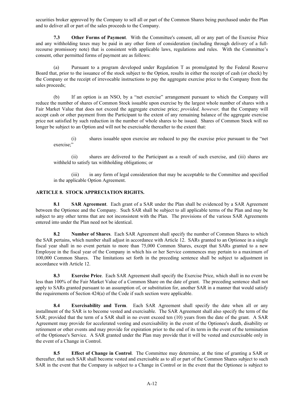securities broker approved by the Company to sell all or part of the Common Shares being purchased under the Plan and to deliver all or part of the sales proceeds to the Company.

**7.3 Other Forms of Payment**. With the Committee's consent, all or any part of the Exercise Price and any withholding taxes may be paid in any other form of consideration (including through delivery of a fullrecourse promissory note) that is consistent with applicable laws, regulations and rules. With the Committee's consent, other permitted forms of payment are as follows:

(a) Pursuant to a program developed under Regulation T as promulgated by the Federal Reserve Board that, prior to the issuance of the stock subject to the Option, results in either the receipt of cash (or check) by the Company or the receipt of irrevocable instructions to pay the aggregate exercise price to the Company from the sales proceeds;

(b) If an option is an NSO, by a "net exercise" arrangement pursuant to which the Company will reduce the number of shares of Common Stock issuable upon exercise by the largest whole number of shares with a Fair Market Value that does not exceed the aggregate exercise price; *provided, however,* that the Company will accept cash or other payment from the Participant to the extent of any remaining balance of the aggregate exercise price not satisfied by such reduction in the number of whole shares to be issued. Shares of Common Stock will no longer be subject to an Option and will not be exercisable thereafter to the extent that:

(i) shares issuable upon exercise are reduced to pay the exercise price pursuant to the "net exercise;"

(ii) shares are delivered to the Participant as a result of such exercise, and (iii) shares are withheld to satisfy tax withholding obligations; or

(iii) in any form of legal consideration that may be acceptable to the Committee and specified in the applicable Option Agreement.

# **ARTICLE 8. STOCK APPRECIATION RIGHTS.**

**8.1 SAR Agreement**. Each grant of a SAR under the Plan shall be evidenced by a SAR Agreement between the Optionee and the Company. Such SAR shall be subject to all applicable terms of the Plan and may be subject to any other terms that are not inconsistent with the Plan. The provisions of the various SAR Agreements entered into under the Plan need not be identical.

**8.2 Number of Shares**. Each SAR Agreement shall specify the number of Common Shares to which the SAR pertains, which number shall adjust in accordance with Article 12. SARs granted to an Optionee in a single fiscal year shall in no event pertain to more than 75,000 Common Shares, except that SARs granted to a new Employee in the fiscal year of the Company in which his or her Service commences may pertain to a maximum of 100,000 Common Shares. The limitations set forth in the preceding sentence shall be subject to adjustment in accordance with Article 12.

**8.3 Exercise Price**. Each SAR Agreement shall specify the Exercise Price, which shall in no event be less than 100% of the Fair Market Value of a Common Share on the date of grant. The preceding sentence shall not apply to SARs granted pursuant to an assumption of, or substitution for, another SAR in a manner that would satisfy the requirements of Section 424(a) of the Code if such section were applicable.

**8.4 Exercisability and Term**. Each SAR Agreement shall specify the date when all or any installment of the SAR is to become vested and exercisable. The SAR Agreement shall also specify the term of the SAR; provided that the term of a SAR shall in no event exceed ten (10) years from the date of the grant. A SAR Agreement may provide for accelerated vesting and exercisability in the event of the Optionee's death, disability or retirement or other events and may provide for expiration prior to the end of its term in the event of the termination of the Optionee's Service. A SAR granted under the Plan may provide that it will be vested and exercisable only in the event of a Change in Control.

**8.5 Effect of Change in Control.** The Committee may determine, at the time of granting a SAR or thereafter, that such SAR shall become vested and exercisable as to all or part of the Common Shares subject to such SAR in the event that the Company is subject to a Change in Control or in the event that the Optionee is subject to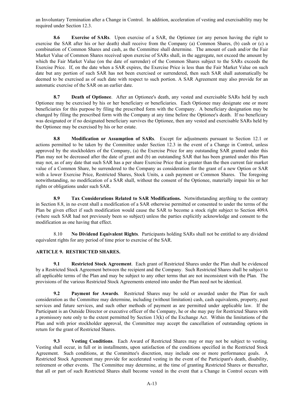an Involuntary Termination after a Change in Control. In addition, acceleration of vesting and exercisability may be required under Section 12.3.

**8.6** Exercise of SARs. Upon exercise of a SAR, the Optionee (or any person having the right to exercise the SAR after his or her death) shall receive from the Company (a) Common Shares, (b) cash or (c) a combination of Common Shares and cash, as the Committee shall determine. The amount of cash and/or the Fair Market Value of Common Shares received upon exercise of SARs shall, in the aggregate, not exceed the amount by which the Fair Market Value (on the date of surrender) of the Common Shares subject to the SARs exceeds the Exercise Price. If, on the date when a SAR expires, the Exercise Price is less than the Fair Market Value on such date but any portion of such SAR has not been exercised or surrendered, then such SAR shall automatically be deemed to be exercised as of such date with respect to such portion. A SAR Agreement may also provide for an automatic exercise of the SAR on an earlier date.

**8.7 Death of Optionee**. After an Optionee's death, any vested and exercisable SARs held by such Optionee may be exercised by his or her beneficiary or beneficiaries. Each Optionee may designate one or more beneficiaries for this purpose by filing the prescribed form with the Company. A beneficiary designation may be changed by filing the prescribed form with the Company at any time before the Optionee's death. If no beneficiary was designated or if no designated beneficiary survives the Optionee, then any vested and exercisable SARs held by the Optionee may be exercised by his or her estate.

**8.8 Modification or Assumption of SARs**. Except for adjustments pursuant to Section 12.1 or actions permitted to be taken by the Committee under Section 12.3 in the event of a Change in Control, unless approved by the stockholders of the Company, (a) the Exercise Price for any outstanding SAR granted under this Plan may not be decreased after the date of grant and (b) an outstanding SAR that has been granted under this Plan may not, as of any date that such SAR has a per share Exercise Price that is greater than the then current fair market value of a Common Share, be surrendered to the Company as consideration for the grant of a new Option or SAR with a lower Exercise Price, Restricted Shares, Stock Units, a cash payment or Common Shares. The foregoing notwithstanding, no modification of a SAR shall, without the consent of the Optionee, materially impair his or her rights or obligations under such SAR.

**8.9 Tax Considerations Related to SAR Modifications.** Notwithstanding anything to the contrary in Section 8.8, in no event shall a modification of a SAR otherwise permitted or consented to under the terms of the Plan be given effect if such modification would cause the SAR to become a stock right subject to Section 409A (where such SAR had not previously been so subject) unless the parties explicitly acknowledge and consent to the modification as one having that effect.

8.10 **No Dividend Equivalent Rights**. Participants holding SARs shall not be entitled to any dividend equivalent rights for any period of time prior to exercise of the SAR.

# **ARTICLE 9. RESTRICTED SHARES.**

**9.1 Restricted Stock Agreement**. Each grant of Restricted Shares under the Plan shall be evidenced by a Restricted Stock Agreement between the recipient and the Company. Such Restricted Shares shall be subject to all applicable terms of the Plan and may be subject to any other terms that are not inconsistent with the Plan. The provisions of the various Restricted Stock Agreements entered into under the Plan need not be identical.

**9.2 Payment for Awards**. Restricted Shares may be sold or awarded under the Plan for such consideration as the Committee may determine, including (without limitation) cash, cash equivalents, property, past services and future services, and such other methods of payment as are permitted under applicable law. If the Participant is an Outside Director or executive officer of the Company, he or she may pay for Restricted Shares with a promissory note only to the extent permitted by Section 13(k) of the Exchange Act. Within the limitations of the Plan and with prior stockholder approval, the Committee may accept the cancellation of outstanding options in return for the grant of Restricted Shares.

**9.3 Vesting Conditions**. Each Award of Restricted Shares may or may not be subject to vesting. Vesting shall occur, in full or in installments, upon satisfaction of the conditions specified in the Restricted Stock Agreement. Such conditions, at the Committee's discretion, may include one or more performance goals. A Restricted Stock Agreement may provide for accelerated vesting in the event of the Participant's death, disability, retirement or other events. The Committee may determine, at the time of granting Restricted Shares or thereafter, that all or part of such Restricted Shares shall become vested in the event that a Change in Control occurs with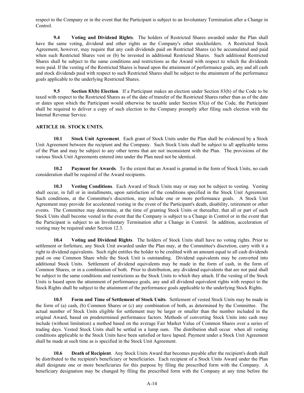respect to the Company or in the event that the Participant is subject to an Involuntary Termination after a Change in Control.

**9.4 Voting and Dividend Rights**. The holders of Restricted Shares awarded under the Plan shall have the same voting, dividend and other rights as the Company's other stockholders. A Restricted Stock Agreement, however, may require that any cash dividends paid on Restricted Shares (a) be accumulated and paid when such Restricted Shares vest or (b) be invested in additional Restricted Shares. Such additional Restricted Shares shall be subject to the same conditions and restrictions as the Award with respect to which the dividends were paid. If the vesting of the Restricted Shares is based upon the attainment of performance goals, any and all cash and stock dividends paid with respect to such Restricted Shares shall be subject to the attainment of the performance goals applicable to the underlying Restricted Shares.

**9.5 Section 83(b) Election**. If a Participant makes an election under Section 83(b) of the Code to be taxed with respect to the Restricted Shares as of the date of transfer of the Restricted Shares rather than as of the date or dates upon which the Participant would otherwise be taxable under Section 83(a) of the Code, the Participant shall be required to deliver a copy of such election to the Company promptly after filing such election with the Internal Revenue Service.

# **ARTICLE 10. STOCK UNITS.**

**10.1 Stock Unit Agreement**. Each grant of Stock Units under the Plan shall be evidenced by a Stock Unit Agreement between the recipient and the Company. Such Stock Units shall be subject to all applicable terms of the Plan and may be subject to any other terms that are not inconsistent with the Plan. The provisions of the various Stock Unit Agreements entered into under the Plan need not be identical.

**10.2 Payment for Awards**. To the extent that an Award is granted in the form of Stock Units, no cash consideration shall be required of the Award recipients.

**10.3 Vesting Conditions**. Each Award of Stock Units may or may not be subject to vesting. Vesting shall occur, in full or in installments, upon satisfaction of the conditions specified in the Stock Unit Agreement. Such conditions, at the Committee's discretion, may include one or more performance goals. A Stock Unit Agreement may provide for accelerated vesting in the event of the Participant's death, disability, retirement or other events. The Committee may determine, at the time of granting Stock Units or thereafter, that all or part of such Stock Units shall become vested in the event that the Company is subject to a Change in Control or in the event that the Participant is subject to an Involuntary Termination after a Change in Control. In addition, acceleration of vesting may be required under Section 12.3.

**10.4 Voting and Dividend Rights**. The holders of Stock Units shall have no voting rights. Prior to settlement or forfeiture, any Stock Unit awarded under the Plan may, at the Committee's discretion, carry with it a right to dividend equivalents. Such right entitles the holder to be credited with an amount equal to all cash dividends paid on one Common Share while the Stock Unit is outstanding. Dividend equivalents may be converted into additional Stock Units. Settlement of dividend equivalents may be made in the form of cash, in the form of Common Shares, or in a combination of both. Prior to distribution, any dividend equivalents that are not paid shall be subject to the same conditions and restrictions as the Stock Units to which they attach. If the vesting of the Stock Units is based upon the attainment of performance goals, any and all dividend equivalent rights with respect to the Stock Rights shall be subject to the attainment of the performance goals applicable to the underlying Stock Rights.

**10.5 Form and Time of Settlement of Stock Units**. Settlement of vested Stock Units may be made in the form of (a) cash, (b) Common Shares or (c) any combination of both, as determined by the Committee. The actual number of Stock Units eligible for settlement may be larger or smaller than the number included in the original Award, based on predetermined performance factors. Methods of converting Stock Units into cash may include (without limitation) a method based on the average Fair Market Value of Common Shares over a series of trading days. Vested Stock Units shall be settled in a lump sum. The distribution shall occur when all vesting conditions applicable to the Stock Units have been satisfied or have lapsed. Payment under a Stock Unit Agreement shall be made at such time as is specified in the Stock Unit Agreement.

**10.6 Death of Recipient**. Any Stock Units Award that becomes payable after the recipient's death shall be distributed to the recipient's beneficiary or beneficiaries. Each recipient of a Stock Units Award under the Plan shall designate one or more beneficiaries for this purpose by filing the prescribed form with the Company. A beneficiary designation may be changed by filing the prescribed form with the Company at any time before the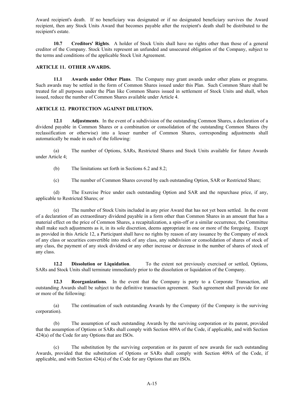Award recipient's death. If no beneficiary was designated or if no designated beneficiary survives the Award recipient, then any Stock Units Award that becomes payable after the recipient's death shall be distributed to the recipient's estate.

**10.7 Creditors' Rights**. A holder of Stock Units shall have no rights other than those of a general creditor of the Company. Stock Units represent an unfunded and unsecured obligation of the Company, subject to the terms and conditions of the applicable Stock Unit Agreement.

### **ARTICLE 11. OTHER AWARDS.**

**11.1 Awards under Other Plans**. The Company may grant awards under other plans or programs. Such awards may be settled in the form of Common Shares issued under this Plan. Such Common Share shall be treated for all purposes under the Plan like Common Shares issued in settlement of Stock Units and shall, when issued, reduce the number of Common Shares available under Article 4.

### **ARTICLE 12. PROTECTION AGAINST DILUTION.**

**12.1 Adjustments**. In the event of a subdivision of the outstanding Common Shares, a declaration of a dividend payable in Common Shares or a combination or consolidation of the outstanding Common Shares (by reclassification or otherwise) into a lesser number of Common Shares, corresponding adjustments shall automatically be made in each of the following:

(a) The number of Options, SARs, Restricted Shares and Stock Units available for future Awards under Article 4;

(b) The limitations set forth in Sections 6.2 and 8.2;

(c) The number of Common Shares covered by each outstanding Option, SAR or Restricted Share;

(d) The Exercise Price under each outstanding Option and SAR and the repurchase price, if any, applicable to Restricted Shares; or

(e) The number of Stock Units included in any prior Award that has not yet been settled. In the event of a declaration of an extraordinary dividend payable in a form other than Common Shares in an amount that has a material effect on the price of Common Shares, a recapitalization, a spin-off or a similar occurrence, the Committee shall make such adjustments as it, in its sole discretion, deems appropriate in one or more of the foregoing. Except as provided in this Article 12, a Participant shall have no rights by reason of any issuance by the Company of stock of any class or securities convertible into stock of any class, any subdivision or consolidation of shares of stock of any class, the payment of any stock dividend or any other increase or decrease in the number of shares of stock of any class.

**12.2 Dissolution or Liquidation**. To the extent not previously exercised or settled, Options, SARs and Stock Units shall terminate immediately prior to the dissolution or liquidation of the Company.

**12.3 Reorganizations**. In the event that the Company is party to a Corporate Transaction, all outstanding Awards shall be subject to the definitive transaction agreement. Such agreement shall provide for one or more of the following:

(a) The continuation of such outstanding Awards by the Company (if the Company is the surviving corporation).

(b) The assumption of such outstanding Awards by the surviving corporation or its parent, provided that the assumption of Options or SARs shall comply with Section 409A of the Code, if applicable, and with Section 424(a) of the Code for any Options that are ISOs.

(c) The substitution by the surviving corporation or its parent of new awards for such outstanding Awards, provided that the substitution of Options or SARs shall comply with Section 409A of the Code, if applicable, and with Section 424(a) of the Code for any Options that are ISOs.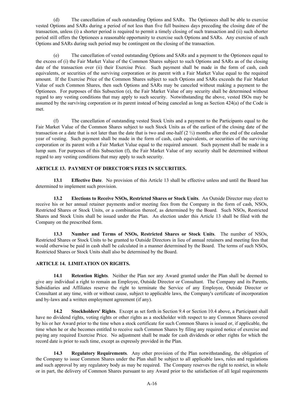(d) The cancellation of such outstanding Options and SARs. The Optionees shall be able to exercise vested Options and SARs during a period of not less than five full business days preceding the closing date of the transaction, unless (i) a shorter period is required to permit a timely closing of such transaction and (ii) such shorter period still offers the Optionees a reasonable opportunity to exercise such Options and SARs. Any exercise of such Options and SARs during such period may be contingent on the closing of the transaction.

(e) The cancellation of vested outstanding Options and SARs and a payment to the Optionees equal to the excess of (i) the Fair Market Value of the Common Shares subject to such Options and SARs as of the closing date of the transaction over (ii) their Exercise Price. Such payment shall be made in the form of cash, cash equivalents, or securities of the surviving corporation or its parent with a Fair Market Value equal to the required amount. If the Exercise Price of the Common Shares subject to such Options and SARs exceeds the Fair Market Value of such Common Shares, then such Options and SARs may be canceled without making a payment to the Optionees. For purposes of this Subsection (e), the Fair Market Value of any security shall be determined without regard to any vesting conditions that may apply to such security. Notwithstanding the above, vested ISOs may be assumed by the surviving corporation or its parent instead of being canceled as long as Section 424(a) of the Code is met.

(f) The cancellation of outstanding vested Stock Units and a payment to the Participants equal to the Fair Market Value of the Common Shares subject to such Stock Units as of the earliest of the closing date of the transaction or a date that is not later than the date that is two and one-half  $(2 \frac{1}{2})$  months after the end of the calendar year of vesting. Such payment shall be made in the form of cash, cash equivalents, or securities of the surviving corporation or its parent with a Fair Market Value equal to the required amount. Such payment shall be made in a lump sum. For purposes of this Subsection (f), the Fair Market Value of any security shall be determined without regard to any vesting conditions that may apply to such security.

# **ARTICLE 13. PAYMENT OF DIRECTOR'S FEES IN SECURITIES.**

**13.1 Effective Date**. No provision of this Article 13 shall be effective unless and until the Board has determined to implement such provision.

**13.2 Elections to Receive NSOs, Restricted Shares or Stock Units**. An Outside Director may elect to receive his or her annual retainer payments and/or meeting fees from the Company in the form of cash, NSOs, Restricted Shares or Stock Units, or a combination thereof, as determined by the Board. Such NSOs, Restricted Shares and Stock Units shall be issued under the Plan. An election under this Article 13 shall be filed with the Company on the prescribed form.

**13.3 Number and Terms of NSOs, Restricted Shares or Stock Units**. The number of NSOs, Restricted Shares or Stock Units to be granted to Outside Directors in lieu of annual retainers and meeting fees that would otherwise be paid in cash shall be calculated in a manner determined by the Board. The terms of such NSOs, Restricted Shares or Stock Units shall also be determined by the Board.

# **ARTICLE 14. LIMITATION ON RIGHTS.**

**14.1 Retention Rights**. Neither the Plan nor any Award granted under the Plan shall be deemed to give any individual a right to remain an Employee, Outside Director or Consultant. The Company and its Parents, Subsidiaries and Affiliates reserve the right to terminate the Service of any Employee, Outside Director or Consultant at any time, with or without cause, subject to applicable laws, the Company's certificate of incorporation and by-laws and a written employment agreement (if any).

**14.2 Stockholders' Rights**. Except as set forth in Section 9.4 or Section 10.4 above, a Participant shall have no dividend rights, voting rights or other rights as a stockholder with respect to any Common Shares covered by his or her Award prior to the time when a stock certificate for such Common Shares is issued or, if applicable, the time when he or she becomes entitled to receive such Common Shares by filing any required notice of exercise and paying any required Exercise Price. No adjustment shall be made for cash dividends or other rights for which the record date is prior to such time, except as expressly provided in the Plan.

**14.3 Regulatory Requirements**. Any other provision of the Plan notwithstanding, the obligation of the Company to issue Common Shares under the Plan shall be subject to all applicable laws, rules and regulations and such approval by any regulatory body as may be required. The Company reserves the right to restrict, in whole or in part, the delivery of Common Shares pursuant to any Award prior to the satisfaction of all legal requirements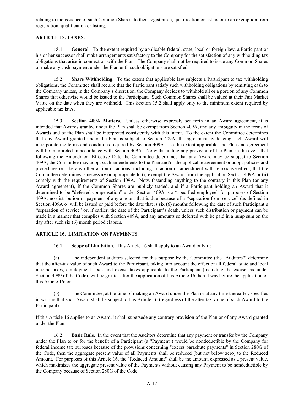relating to the issuance of such Common Shares, to their registration, qualification or listing or to an exemption from registration, qualification or listing.

# **ARTICLE 15. TAXES.**

**15.1 General**. To the extent required by applicable federal, state, local or foreign law, a Participant or his or her successor shall make arrangements satisfactory to the Company for the satisfaction of any withholding tax obligations that arise in connection with the Plan. The Company shall not be required to issue any Common Shares or make any cash payment under the Plan until such obligations are satisfied.

**15.2 Share Withholding**. To the extent that applicable law subjects a Participant to tax withholding obligations, the Committee shall require that the Participant satisfy such withholding obligations by remitting cash to the Company unless, in the Company's discretion, the Company decides to withhold all or a portion of any Common Shares that otherwise would be issued to the Participant. Such Common Shares shall be valued at their Fair Market Value on the date when they are withheld. This Section 15.2 shall apply only to the minimum extent required by applicable tax laws.

**15.3 Section 409A Matters.** Unless otherwise expressly set forth in an Award agreement, it is intended that Awards granted under the Plan shall be exempt from Section 409A, and any ambiguity in the terms of Awards and of the Plan shall be interpreted consistently with this intent. To the extent the Committee determines that any Award granted under the Plan is subject to Section 409A, the agreement evidencing such Award will incorporate the terms and conditions required by Section 409A. To the extent applicable, the Plan and agreement will be interpreted in accordance with Section 409A. Notwithstanding any provision of the Plan, in the event that following the Amendment Effective Date the Committee determines that any Award may be subject to Section 409A, the Committee may adopt such amendments to the Plan and/or the applicable agreement or adopt policies and procedures or take any other action or actions, including an action or amendment with retroactive effect, that the Committee determines is necessary or appropriate to (i) exempt the Award from the application Section 409A or (ii) comply with the requirements of Section 409A. Notwithstanding anything to the contrary in this Plan (or any Award agreement), if the Common Shares are publicly traded, and if a Participant holding an Award that it determined to be "deferred compensation" under Section 409A is a "specified employee" for purposes of Section 409A, no distribution or payment of any amount that is due because of a "separation from service" (as defined in Section 409A o) will be issued or paid before the date that is six (6) months following the date of such Participant's "separation of service" or, if earlier, the date of the Participant's death, unless such distribution or payment can be made in a manner that complies with Section 409A, and any amounts so deferred with be paid in a lump sum on the day after such six (6) month period elapses.

# **ARTICLE 16. LIMITATION ON PAYMENTS.**

**16.1 Scope of Limitation**. This Article 16 shall apply to an Award only if:

(a) The independent auditors selected for this purpose by the Committee (the "Auditors") determine that the after-tax value of such Award to the Participant, taking into account the effect of all federal, state and local income taxes, employment taxes and excise taxes applicable to the Participant (including the excise tax under Section 4999 of the Code), will be greater after the application of this Article 16 than it was before the application of this Article 16; or

(b) The Committee, at the time of making an Award under the Plan or at any time thereafter, specifies in writing that such Award shall be subject to this Article 16 (regardless of the after-tax value of such Award to the Participant).

If this Article 16 applies to an Award, it shall supersede any contrary provision of the Plan or of any Award granted under the Plan.

**16.2 Basic Rule**. In the event that the Auditors determine that any payment or transfer by the Company under the Plan to or for the benefit of a Participant (a "Payment") would be nondeductible by the Company for federal income tax purposes because of the provisions concerning "excess parachute payments" in Section 280G of the Code, then the aggregate present value of all Payments shall be reduced (but not below zero) to the Reduced Amount. For purposes of this Article 16, the "Reduced Amount" shall be the amount, expressed as a present value, which maximizes the aggregate present value of the Payments without causing any Payment to be nondeductible by the Company because of Section 280G of the Code.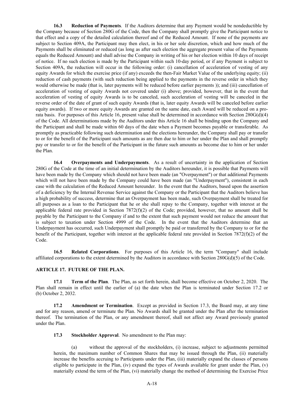**16.3 Reduction of Payments**. If the Auditors determine that any Payment would be nondeductible by the Company because of Section 280G of the Code, then the Company shall promptly give the Participant notice to that effect and a copy of the detailed calculation thereof and of the Reduced Amount. If none of the payments are subject to Section 409A, the Participant may then elect, in his or her sole discretion, which and how much of the Payments shall be eliminated or reduced (as long as after such election the aggregate present value of the Payments equals the Reduced Amount) and shall advise the Company in writing of his or her election within 10 days of receipt of notice. If no such election is made by the Participant within such 10-day period, or if any Payment is subject to Section 409A, the reduction will occur in the following order: (i) cancellation of acceleration of vesting of any equity Awards for which the exercise price (if any) exceeds the then-Fair Market Value of the underlying equity; (ii) reduction of cash payments (with such reduction being applied to the payments in the reverse order in which they would otherwise be made (that is, later payments will be reduced before earlier payments )); and (iii) cancellation of acceleration of vesting of equity Awards not covered under (i) above; provided, however, that in the event that acceleration of vesting of equity Awards is to be canceled, such acceleration of vesting will be canceled in the reverse order of the date of grant of such equity Awards (that is, later equity Awards will be canceled before earlier equity awards). If two or more equity Awards are granted on the same date, each Award will be reduced on a prorata basis. For purposes of this Article 16, present value shall be determined in accordance with Section 280G(d)(4) of the Code. All determinations made by the Auditors under this Article 16 shall be binding upon the Company and the Participant and shall be made within 60 days of the date when a Payment becomes payable or transferable. As promptly as practicable following such determination and the elections hereunder, the Company shall pay or transfer to or for the benefit of the Participant such amounts as are then due to him or her under the Plan and shall promptly pay or transfer to or for the benefit of the Participant in the future such amounts as become due to him or her under the Plan.

**16.4** Overpayments and Underpayments. As a result of uncertainty in the application of Section 280G of the Code at the time of an initial determination by the Auditors hereunder, it is possible that Payments will have been made by the Company which should not have been made (an "Overpayment") or that additional Payments which will not have been made by the Company could have been made (an "Underpayment"), consistent in each case with the calculation of the Reduced Amount hereunder. In the event that the Auditors, based upon the assertion of a deficiency by the Internal Revenue Service against the Company or the Participant that the Auditors believe has a high probability of success, determine that an Overpayment has been made, such Overpayment shall be treated for all purposes as a loan to the Participant that he or she shall repay to the Company, together with interest at the applicable federal rate provided in Section 7872(f)(2) of the Code; provided, however, that no amount shall be payable by the Participant to the Company if and to the extent that such payment would not reduce the amount that is subject to taxation under Section 4999 of the Code. In the event that the Auditors determine that an Underpayment has occurred, such Underpayment shall promptly be paid or transferred by the Company to or for the benefit of the Participant, together with interest at the applicable federal rate provided in Section 7872(f)(2) of the Code.

**16.5 Related Corporations**. For purposes of this Article 16, the term "Company" shall include affiliated corporations to the extent determined by the Auditors in accordance with Section  $280G(d)(5)$  of the Code.

#### **ARTICLE 17. FUTURE OF THE PLAN.**

**17.1 Term of the Plan**. The Plan, as set forth herein, shall become effective on October 2, 2020. The Plan shall remain in effect until the earlier of (a) the date when the Plan is terminated under Section 17.2 or (b) October 2, 2032.

**17.2 Amendment or Termination**. Except as provided in Section 17.3, the Board may, at any time and for any reason, amend or terminate the Plan. No Awards shall be granted under the Plan after the termination thereof. The termination of the Plan, or any amendment thereof, shall not affect any Award previously granted under the Plan.

**17.3 Stockholder Approval**. No amendment to the Plan may:

(a) without the approval of the stockholders, (i) increase, subject to adjustments permitted herein, the maximum number of Common Shares that may be issued through the Plan, (ii) materially increase the benefits accruing to Participants under the Plan, (iii) materially expand the classes of persons eligible to participate in the Plan, (iv) expand the types of Awards available for grant under the Plan, (v) materially extend the term of the Plan, (vi) materially change the method of determining the Exercise Price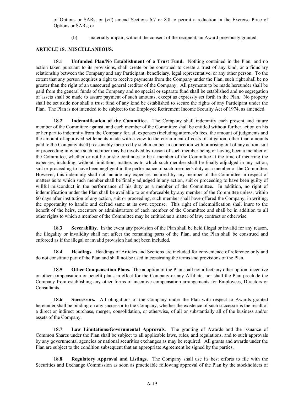of Options or SARs, or (vii) amend Sections 6.7 or 8.8 to permit a reduction in the Exercise Price of Options or SARs; or

(b) materially impair, without the consent of the recipient, an Award previously granted.

### **ARTICLE 18. MISCELLANEOUS.**

**18.1 Unfunded Plan/No Establishment of a Trust Fund.** Nothing contained in the Plan, and no action taken pursuant to its provisions, shall create or be construed to create a trust of any kind, or a fiduciary relationship between the Company and any Participant, beneficiary, legal representative, or any other person. To the extent that any person acquires a right to receive payments from the Company under the Plan, such right shall be no greater than the right of an unsecured general creditor of the Company. All payments to be made hereunder shall be paid from the general funds of the Company and no special or separate fund shall be established and no segregation of assets shall be made to assure payment of such amounts, except as expressly set forth in the Plan. No property shall be set aside nor shall a trust fund of any kind be established to secure the rights of any Participant under the Plan. The Plan is not intended to be subject to the Employee Retirement Income Security Act of 1974, as amended.

**18.2 Indemnification of the Committee.** The Company shall indemnify each present and future member of the Committee against, and each member of the Committee shall be entitled without further action on his or her part to indemnity from the Company for, all expenses (including attorney's fees, the amount of judgments and the amount of approved settlements made with a view to the curtailment of costs of litigation, other than amounts paid to the Company itself) reasonably incurred by such member in connection with or arising out of any action, suit or proceeding in which such member may be involved by reason of such member being or having been a member of the Committee, whether or not he or she continues to be a member of the Committee at the time of incurring the expenses, including, without limitation, matters as to which such member shall be finally adjudged in any action, suit or proceeding to have been negligent in the performance of such member's duty as a member of the Committee. However, this indemnity shall not include any expenses incurred by any member of the Committee in respect of matters as to which such member shall be finally adjudged in any action, suit or proceeding to have been guilty of willful misconduct in the performance of his duty as a member of the Committee. In addition, no right of indemnification under the Plan shall be available to or enforceable by any member of the Committee unless, within 60 days after institution of any action, suit or proceeding, such member shall have offered the Company, in writing, the opportunity to handle and defend same at its own expense. This right of indemnification shall inure to the benefit of the heirs, executors or administrators of each member of the Committee and shall be in addition to all other rights to which a member of the Committee may be entitled as a matter of law, contract or otherwise.

**18.3 Severability**. In the event any provision of the Plan shall be held illegal or invalid for any reason, the illegality or invalidity shall not affect the remaining parts of the Plan, and the Plan shall be construed and enforced as if the illegal or invalid provision had not been included.

**18.4 Headings.** Headings of Articles and Sections are included for convenience of reference only and do not constitute part of the Plan and shall not be used in construing the terms and provisions of the Plan.

**18.5 Other Compensation Plans.** The adoption of the Plan shall not affect any other option, incentive or other compensation or benefit plans in effect for the Company or any Affiliate, nor shall the Plan preclude the Company from establishing any other forms of incentive compensation arrangements for Employees, Directors or Consultants.

**18.6 Successors.** All obligations of the Company under the Plan with respect to Awards granted hereunder shall be binding on any successor to the Company, whether the existence of such successor is the result of a direct or indirect purchase, merger, consolidation, or otherwise, of all or substantially all of the business and/or assets of the Company.

**18.7 Law Limitations/Governmental Approvals**. The granting of Awards and the issuance of Common Shares under the Plan shall be subject to all applicable laws, rules, and regulations, and to such approvals by any governmental agencies or national securities exchanges as may be required. All grants and awards under the Plan are subject to the condition subsequent that an appropriate Agreement be signed by the parties.

**18.8 Regulatory Approval and Listings.** The Company shall use its best efforts to file with the Securities and Exchange Commission as soon as practicable following approval of the Plan by the stockholders of